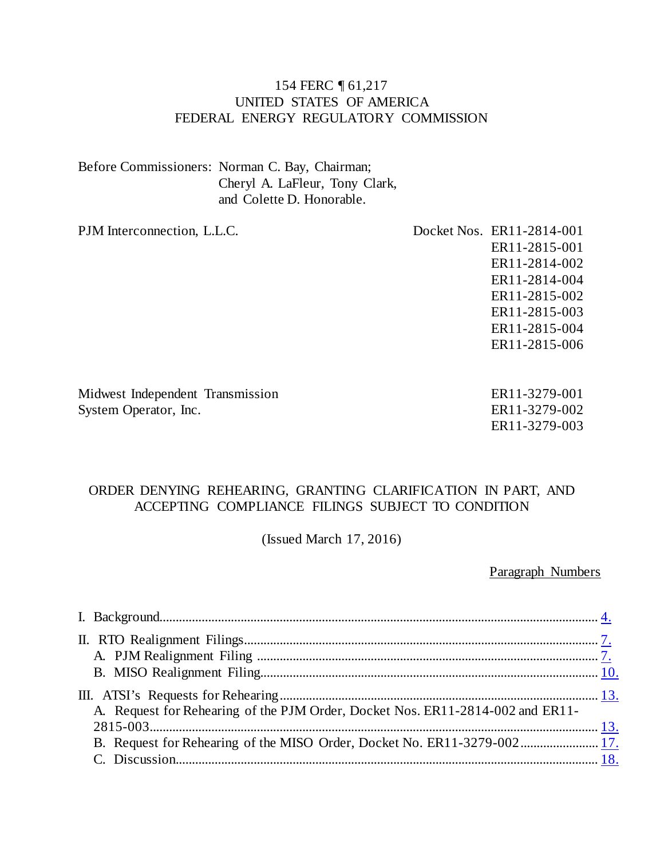#### 154 FERC ¶ 61,217 UNITED STATES OF AMERICA FEDERAL ENERGY REGULATORY COMMISSION

Before Commissioners: Norman C. Bay, Chairman; Cheryl A. LaFleur, Tony Clark, and Colette D. Honorable.

PJM Interconnection, L.L.C. Docket Nos. ER11-2814-001 ER11-2815-001 ER11-2814-002 ER11-2814-004 ER11-2815-002 ER11-2815-003 ER11-2815-004 ER11-2815-006

Midwest Independent Transmission System Operator, Inc.

ER11-3279-001 ER11-3279-002 ER11-3279-003

#### ORDER DENYING REHEARING, GRANTING CLARIFICATION IN PART, AND ACCEPTING COMPLIANCE FILINGS SUBJECT TO CONDITION

(Issued March 17, 2016)

Paragraph Numbers

| A. Request for Rehearing of the PJM Order, Docket Nos. ER11-2814-002 and ER11- |  |
|--------------------------------------------------------------------------------|--|
|                                                                                |  |
|                                                                                |  |
|                                                                                |  |
|                                                                                |  |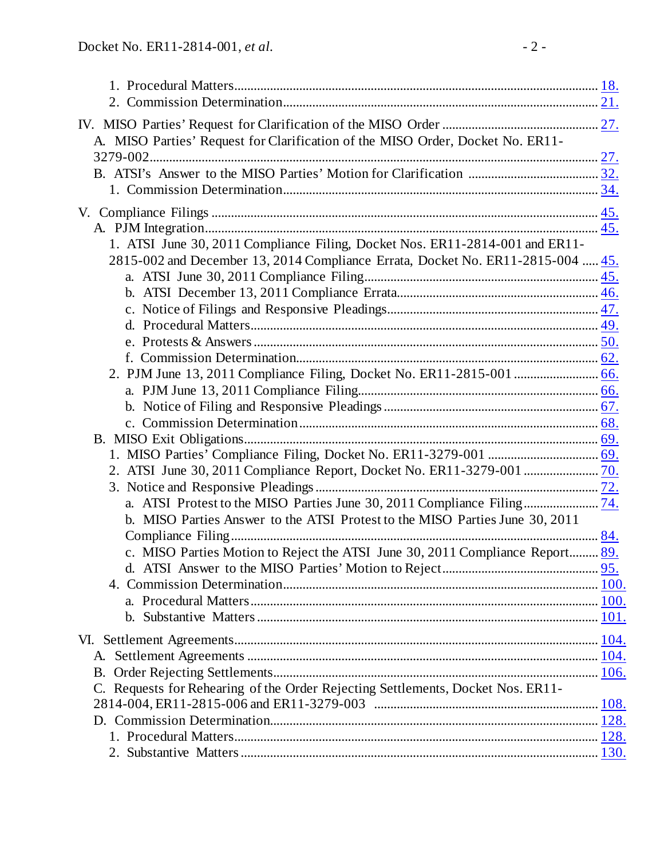| A. MISO Parties' Request for Clarification of the MISO Order, Docket No. ER11-  |  |
|---------------------------------------------------------------------------------|--|
|                                                                                 |  |
|                                                                                 |  |
|                                                                                 |  |
|                                                                                 |  |
|                                                                                 |  |
| 1. ATSI June 30, 2011 Compliance Filing, Docket Nos. ER11-2814-001 and ER11-    |  |
| 2815-002 and December 13, 2014 Compliance Errata, Docket No. ER11-2815-004  45. |  |
|                                                                                 |  |
|                                                                                 |  |
|                                                                                 |  |
|                                                                                 |  |
|                                                                                 |  |
|                                                                                 |  |
|                                                                                 |  |
|                                                                                 |  |
|                                                                                 |  |
|                                                                                 |  |
|                                                                                 |  |
|                                                                                 |  |
|                                                                                 |  |
|                                                                                 |  |
| b. MISO Parties Answer to the ATSI Protest to the MISO Parties June 30, 2011    |  |
|                                                                                 |  |
| c. MISO Parties Motion to Reject the ATSI June 30, 2011 Compliance Report 89.   |  |
|                                                                                 |  |
|                                                                                 |  |
|                                                                                 |  |
|                                                                                 |  |
|                                                                                 |  |
|                                                                                 |  |
|                                                                                 |  |
| C. Requests for Rehearing of the Order Rejecting Settlements, Docket Nos. ER11- |  |
|                                                                                 |  |
|                                                                                 |  |
|                                                                                 |  |
|                                                                                 |  |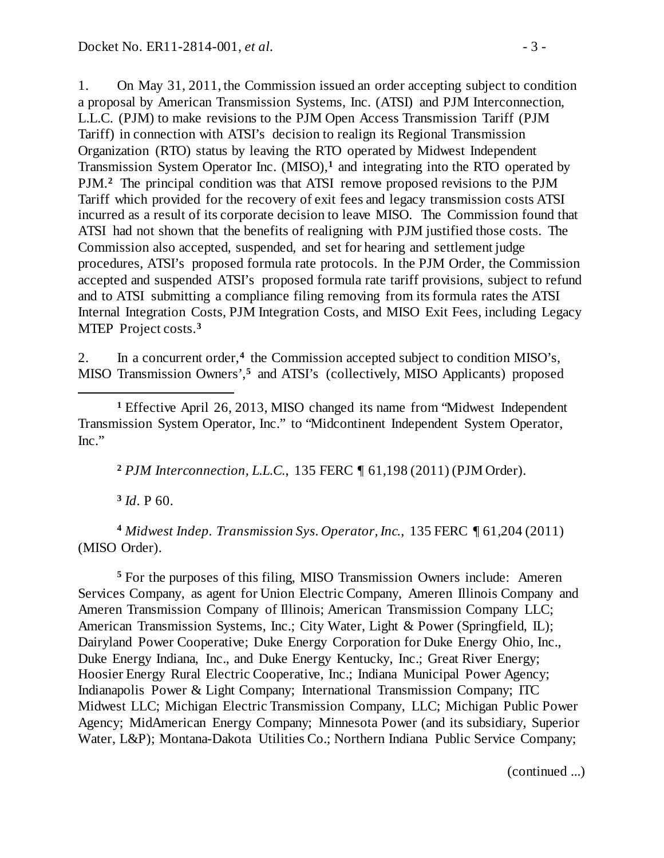1. On May 31, 2011, the Commission issued an order accepting subject to condition a proposal by American Transmission Systems, Inc. (ATSI) and PJM Interconnection, L.L.C. (PJM) to make revisions to the PJM Open Access Transmission Tariff (PJM Tariff) in connection with ATSI's decision to realign its Regional Transmission Organization (RTO) status by leaving the RTO operated by Midwest Independent Transmission System Operator Inc. (MISO),**[1](#page-2-0)** and integrating into the RTO operated by PJM.**[2](#page-2-1)** The principal condition was that ATSI remove proposed revisions to the PJM Tariff which provided for the recovery of exit fees and legacy transmission costs ATSI incurred as a result of its corporate decision to leave MISO. The Commission found that ATSI had not shown that the benefits of realigning with PJM justified those costs. The Commission also accepted, suspended, and set for hearing and settlement judge procedures, ATSI's proposed formula rate protocols. In the PJM Order, the Commission accepted and suspended ATSI's proposed formula rate tariff provisions, subject to refund and to ATSI submitting a compliance filing removing from its formula rates the ATSI Internal Integration Costs, PJM Integration Costs, and MISO Exit Fees, including Legacy MTEP Project costs.**[3](#page-2-2)**

2. In a concurrent order,**[4](#page-2-3)** the Commission accepted subject to condition MISO's, MISO Transmission Owners',**[5](#page-2-4)** and ATSI's (collectively, MISO Applicants) proposed

<span id="page-2-0"></span>**<sup>1</sup>** Effective April 26, 2013, MISO changed its name from "Midwest Independent Transmission System Operator, Inc." to "Midcontinent Independent System Operator, Inc."

**<sup>2</sup>** *PJM Interconnection, L.L.C.*, 135 FERC ¶ 61,198 (2011) (PJM Order).

**<sup>3</sup>** *Id*. P 60.

 $\overline{a}$ 

<span id="page-2-3"></span><span id="page-2-2"></span><span id="page-2-1"></span>**<sup>4</sup>** *Midwest Indep. Transmission Sys. Operator, Inc.*, 135 FERC ¶ 61,204 (2011) (MISO Order).

<span id="page-2-4"></span>**<sup>5</sup>** For the purposes of this filing, MISO Transmission Owners include: Ameren Services Company, as agent for Union Electric Company, Ameren Illinois Company and Ameren Transmission Company of Illinois; American Transmission Company LLC; American Transmission Systems, Inc.; City Water, Light & Power (Springfield, IL); Dairyland Power Cooperative; Duke Energy Corporation for Duke Energy Ohio, Inc., Duke Energy Indiana, Inc., and Duke Energy Kentucky, Inc.; Great River Energy; Hoosier Energy Rural Electric Cooperative, Inc.; Indiana Municipal Power Agency; Indianapolis Power & Light Company; International Transmission Company; ITC Midwest LLC; Michigan Electric Transmission Company, LLC; Michigan Public Power Agency; MidAmerican Energy Company; Minnesota Power (and its subsidiary, Superior Water, L&P); Montana-Dakota Utilities Co.; Northern Indiana Public Service Company;

(continued ...)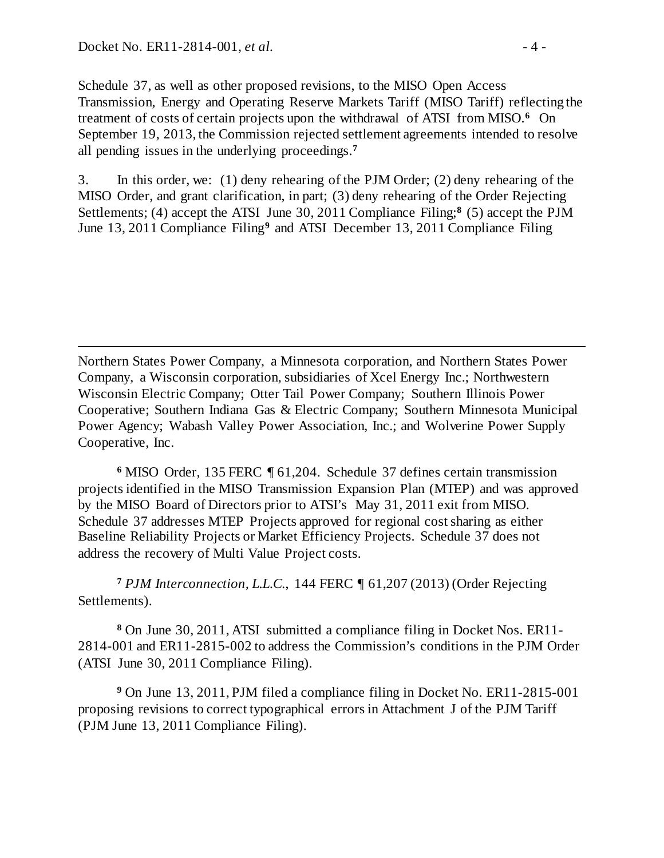$\overline{a}$ 

Schedule 37, as well as other proposed revisions, to the MISO Open Access Transmission, Energy and Operating Reserve Markets Tariff (MISO Tariff) reflecting the treatment of costs of certain projects upon the withdrawal of ATSI from MISO.**[6](#page-3-0)** On September 19, 2013, the Commission rejected settlement agreements intended to resolve all pending issues in the underlying proceedings.**[7](#page-3-1)**

3. In this order, we: (1) deny rehearing of the PJM Order; (2) deny rehearing of the MISO Order, and grant clarification, in part; (3) deny rehearing of the Order Rejecting Settlements; (4) accept the ATSI June 30, 2011 Compliance Filing;**[8](#page-3-2)** (5) accept the PJM June 13, 2011 Compliance Filing**[9](#page-3-3)** and ATSI December 13, 2011 Compliance Filing

Northern States Power Company, a Minnesota corporation, and Northern States Power Company, a Wisconsin corporation, subsidiaries of Xcel Energy Inc.; Northwestern Wisconsin Electric Company; Otter Tail Power Company; Southern Illinois Power Cooperative; Southern Indiana Gas & Electric Company; Southern Minnesota Municipal Power Agency; Wabash Valley Power Association, Inc.; and Wolverine Power Supply Cooperative, Inc.

<span id="page-3-0"></span>**<sup>6</sup>** MISO Order, 135 FERC ¶ 61,204. Schedule 37 defines certain transmission projects identified in the MISO Transmission Expansion Plan (MTEP) and was approved by the MISO Board of Directors prior to ATSI's May 31, 2011 exit from MISO. Schedule 37 addresses MTEP Projects approved for regional cost sharing as either Baseline Reliability Projects or Market Efficiency Projects. Schedule 37 does not address the recovery of Multi Value Project costs.

<span id="page-3-1"></span>**<sup>7</sup>** *PJM Interconnection, L.L.C.*, 144 FERC ¶ 61,207 (2013) (Order Rejecting Settlements).

<span id="page-3-2"></span>**<sup>8</sup>** On June 30, 2011, ATSI submitted a compliance filing in Docket Nos. ER11- 2814-001 and ER11-2815-002 to address the Commission's conditions in the PJM Order (ATSI June 30, 2011 Compliance Filing).

<span id="page-3-3"></span>**<sup>9</sup>** On June 13, 2011, PJM filed a compliance filing in Docket No. ER11-2815-001 proposing revisions to correct typographical errors in Attachment J of the PJM Tariff (PJM June 13, 2011 Compliance Filing).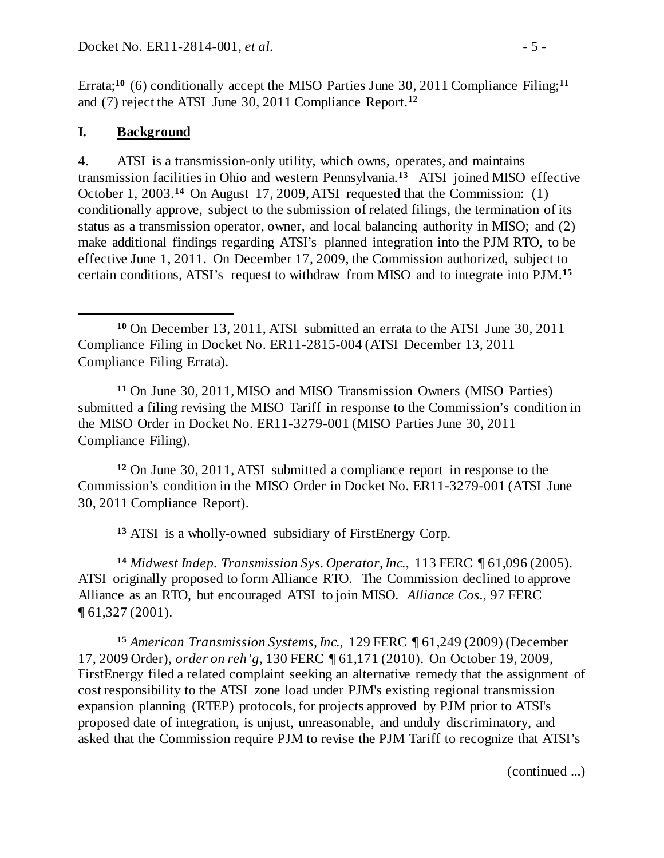Errata;<sup>[10](#page-4-1)</sup> (6) conditionally accept the MISO Parties June 30, 20[11](#page-4-2) Compliance Filing;<sup>11</sup> and (7) reject the ATSI June 30, 2011 Compliance Report.**[12](#page-4-3)**

## <span id="page-4-0"></span>**I. Background**

4. ATSI is a transmission-only utility, which owns, operates, and maintains transmission facilities in Ohio and western Pennsylvania.**[13](#page-4-4)** ATSI joined MISO effective October 1, 2003.**[14](#page-4-5)** On August 17, 2009, ATSI requested that the Commission: (1) conditionally approve, subject to the submission of related filings, the termination of its status as a transmission operator, owner, and local balancing authority in MISO; and (2) make additional findings regarding ATSI's planned integration into the PJM RTO, to be effective June 1, 2011. On December 17, 2009, the Commission authorized, subject to certain conditions, ATSI's request to withdraw from MISO and to integrate into PJM.**[15](#page-4-6)**

<span id="page-4-2"></span>**<sup>11</sup>** On June 30, 2011, MISO and MISO Transmission Owners (MISO Parties) submitted a filing revising the MISO Tariff in response to the Commission's condition in the MISO Order in Docket No. ER11-3279-001 (MISO Parties June 30, 2011 Compliance Filing).

<span id="page-4-3"></span>**<sup>12</sup>** On June 30, 2011, ATSI submitted a compliance report in response to the Commission's condition in the MISO Order in Docket No. ER11-3279-001 (ATSI June 30, 2011 Compliance Report).

**<sup>13</sup>** ATSI is a wholly-owned subsidiary of FirstEnergy Corp.

<span id="page-4-5"></span><span id="page-4-4"></span>**<sup>14</sup>** *Midwest Indep. Transmission Sys. Operator, Inc.*, 113 FERC ¶ 61,096 (2005). ATSI originally proposed to form Alliance RTO. The Commission declined to approve Alliance as an RTO, but encouraged ATSI to join MISO. *Alliance Cos.*, 97 FERC ¶ 61,327 (2001).

<span id="page-4-6"></span>**<sup>15</sup>** *American Transmission Systems, Inc.*, 129 FERC ¶ 61,249 (2009) (December 17, 2009 Order), *order on reh'g*, 130 FERC ¶ 61,171 (2010). On October 19, 2009, FirstEnergy filed a related complaint seeking an alternative remedy that the assignment of cost responsibility to the ATSI zone load under PJM's existing regional transmission expansion planning (RTEP) protocols, for projects approved by PJM prior to ATSI's proposed date of integration, is unjust, unreasonable, and unduly discriminatory, and asked that the Commission require PJM to revise the PJM Tariff to recognize that ATSI's

(continued ...)

<span id="page-4-1"></span> $\overline{a}$ **<sup>10</sup>** On December 13, 2011, ATSI submitted an errata to the ATSI June 30, 2011 Compliance Filing in Docket No. ER11-2815-004 (ATSI December 13, 2011 Compliance Filing Errata).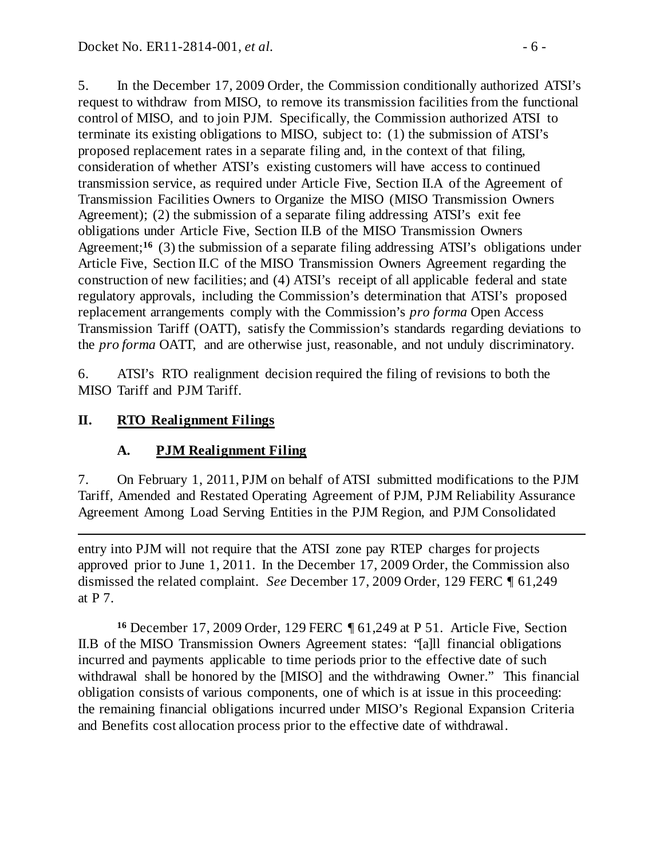5. In the December 17, 2009 Order, the Commission conditionally authorized ATSI's request to withdraw from MISO, to remove its transmission facilities from the functional control of MISO, and to join PJM. Specifically, the Commission authorized ATSI to terminate its existing obligations to MISO, subject to: (1) the submission of ATSI's proposed replacement rates in a separate filing and, in the context of that filing, consideration of whether ATSI's existing customers will have access to continued transmission service, as required under Article Five, Section II.A of the Agreement of Transmission Facilities Owners to Organize the MISO (MISO Transmission Owners Agreement); (2) the submission of a separate filing addressing ATSI's exit fee obligations under Article Five, Section II.B of the MISO Transmission Owners Agreement;**[16](#page-5-2)** (3) the submission of a separate filing addressing ATSI's obligations under Article Five, Section II.C of the MISO Transmission Owners Agreement regarding the construction of new facilities; and (4) ATSI's receipt of all applicable federal and state regulatory approvals, including the Commission's determination that ATSI's proposed replacement arrangements comply with the Commission's *pro forma* Open Access Transmission Tariff (OATT), satisfy the Commission's standards regarding deviations to the *pro forma* OATT, and are otherwise just, reasonable, and not unduly discriminatory.

6. ATSI's RTO realignment decision required the filing of revisions to both the MISO Tariff and PJM Tariff.

# **II. RTO Realignment Filings**

# <span id="page-5-1"></span><span id="page-5-0"></span>**A. PJM Realignment Filing**

7. On February 1, 2011, PJM on behalf of ATSI submitted modifications to the PJM Tariff, Amended and Restated Operating Agreement of PJM, PJM Reliability Assurance Agreement Among Load Serving Entities in the PJM Region, and PJM Consolidated

 $\overline{a}$ entry into PJM will not require that the ATSI zone pay RTEP charges for projects approved prior to June 1, 2011. In the December 17, 2009 Order, the Commission also dismissed the related complaint. *See* December 17, 2009 Order, 129 FERC ¶ 61,249 at P 7.

<span id="page-5-2"></span>**<sup>16</sup>** December 17, 2009 Order, 129 FERC ¶ 61,249 at P 51. Article Five, Section II.B of the MISO Transmission Owners Agreement states: "[a]ll financial obligations incurred and payments applicable to time periods prior to the effective date of such withdrawal shall be honored by the [MISO] and the withdrawing Owner." This financial obligation consists of various components, one of which is at issue in this proceeding: the remaining financial obligations incurred under MISO's Regional Expansion Criteria and Benefits cost allocation process prior to the effective date of withdrawal.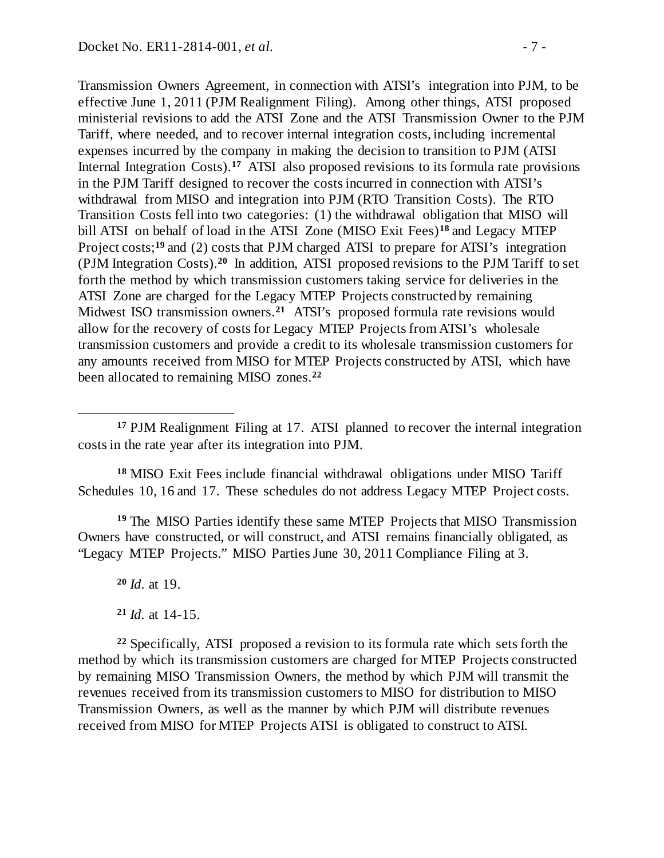Transmission Owners Agreement, in connection with ATSI's integration into PJM, to be effective June 1, 2011 (PJM Realignment Filing). Among other things, ATSI proposed ministerial revisions to add the ATSI Zone and the ATSI Transmission Owner to the PJM Tariff, where needed, and to recover internal integration costs, including incremental expenses incurred by the company in making the decision to transition to PJM (ATSI Internal Integration Costs).**[17](#page-6-0)** ATSI also proposed revisions to its formula rate provisions in the PJM Tariff designed to recover the costs incurred in connection with ATSI's withdrawal from MISO and integration into PJM (RTO Transition Costs). The RTO Transition Costs fell into two categories: (1) the withdrawal obligation that MISO will bill ATSI on behalf of load in the ATSI Zone (MISO Exit Fees)**[18](#page-6-1)** and Legacy MTEP Project costs;<sup>[19](#page-6-2)</sup> and (2) costs that PJM charged ATSI to prepare for ATSI's integration (PJM Integration Costs).**[20](#page-6-3)** In addition, ATSI proposed revisions to the PJM Tariff to set forth the method by which transmission customers taking service for deliveries in the ATSI Zone are charged for the Legacy MTEP Projects constructed by remaining Midwest ISO transmission owners.**[21](#page-6-4)** ATSI's proposed formula rate revisions would allow for the recovery of costs for Legacy MTEP Projects from ATSI's wholesale transmission customers and provide a credit to its wholesale transmission customers for any amounts received from MISO for MTEP Projects constructed by ATSI, which have been allocated to remaining MISO zones.**[22](#page-6-5)**

<span id="page-6-1"></span>**<sup>18</sup>** MISO Exit Fees include financial withdrawal obligations under MISO Tariff Schedules 10, 16 and 17. These schedules do not address Legacy MTEP Project costs.

<span id="page-6-3"></span><span id="page-6-2"></span>**<sup>19</sup>** The MISO Parties identify these same MTEP Projects that MISO Transmission Owners have constructed, or will construct, and ATSI remains financially obligated, as "Legacy MTEP Projects." MISO Parties June 30, 2011 Compliance Filing at 3.

**<sup>20</sup>** *Id.* at 19.

 $\overline{a}$ 

**<sup>21</sup>** *Id.* at 14-15.

<span id="page-6-5"></span><span id="page-6-4"></span>**<sup>22</sup>** Specifically, ATSI proposed a revision to its formula rate which sets forth the method by which its transmission customers are charged for MTEP Projects constructed by remaining MISO Transmission Owners, the method by which PJM will transmit the revenues received from its transmission customers to MISO for distribution to MISO Transmission Owners, as well as the manner by which PJM will distribute revenues received from MISO for MTEP Projects ATSI is obligated to construct to ATSI.

<span id="page-6-0"></span>**<sup>17</sup>** PJM Realignment Filing at 17. ATSI planned to recover the internal integration costs in the rate year after its integration into PJM.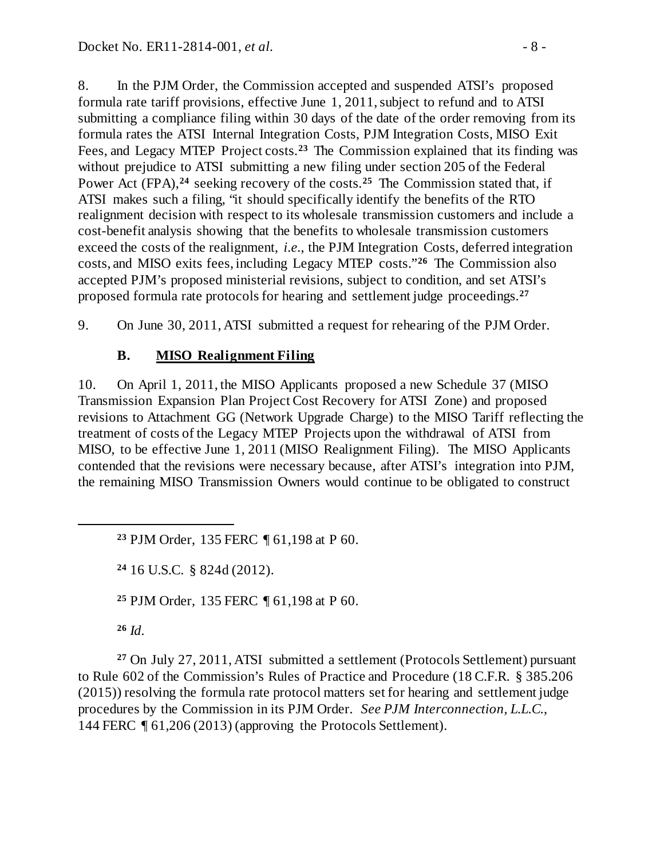8. In the PJM Order, the Commission accepted and suspended ATSI's proposed formula rate tariff provisions, effective June 1, 2011, subject to refund and to ATSI submitting a compliance filing within 30 days of the date of the order removing from its formula rates the ATSI Internal Integration Costs, PJM Integration Costs, MISO Exit Fees, and Legacy MTEP Project costs.**[23](#page-7-1)** The Commission explained that its finding was without prejudice to ATSI submitting a new filing under section 205 of the Federal Power Act (FPA),<sup>[24](#page-7-2)</sup> seeking recovery of the costs.<sup>[25](#page-7-3)</sup> The Commission stated that, if ATSI makes such a filing, "it should specifically identify the benefits of the RTO realignment decision with respect to its wholesale transmission customers and include a cost-benefit analysis showing that the benefits to wholesale transmission customers exceed the costs of the realignment, *i.e.*, the PJM Integration Costs, deferred integration costs, and MISO exits fees, including Legacy MTEP costs."**[26](#page-7-4)** The Commission also accepted PJM's proposed ministerial revisions, subject to condition, and set ATSI's proposed formula rate protocols for hearing and settlement judge proceedings.**[27](#page-7-5)**

9. On June 30, 2011, ATSI submitted a request for rehearing of the PJM Order.

## <span id="page-7-0"></span>**B. MISO Realignment Filing**

10. On April 1, 2011, the MISO Applicants proposed a new Schedule 37 (MISO Transmission Expansion Plan Project Cost Recovery for ATSI Zone) and proposed revisions to Attachment GG (Network Upgrade Charge) to the MISO Tariff reflecting the treatment of costs of the Legacy MTEP Projects upon the withdrawal of ATSI from MISO, to be effective June 1, 2011 (MISO Realignment Filing). The MISO Applicants contended that the revisions were necessary because, after ATSI's integration into PJM, the remaining MISO Transmission Owners would continue to be obligated to construct

**<sup>23</sup>** PJM Order, 135 FERC ¶ 61,198 at P 60.

**<sup>24</sup>** 16 U.S.C. § 824d (2012).

**<sup>25</sup>** PJM Order, 135 FERC ¶ 61,198 at P 60.

**<sup>26</sup>** *Id.*

<span id="page-7-2"></span><span id="page-7-1"></span> $\overline{a}$ 

<span id="page-7-5"></span><span id="page-7-4"></span><span id="page-7-3"></span>**<sup>27</sup>** On July 27, 2011, ATSI submitted a settlement (Protocols Settlement) pursuant to Rule 602 of the Commission's Rules of Practice and Procedure (18 C.F.R. § 385.206 (2015)) resolving the formula rate protocol matters set for hearing and settlement judge procedures by the Commission in its PJM Order. *See PJM Interconnection, L.L.C.*, 144 FERC ¶ 61,206 (2013) (approving the Protocols Settlement).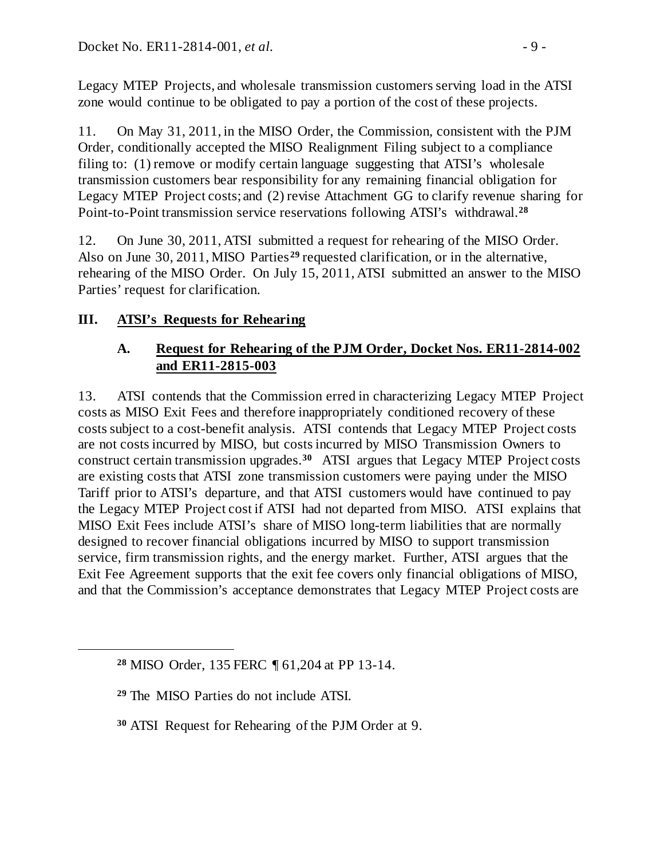Legacy MTEP Projects, and wholesale transmission customers serving load in the ATSI zone would continue to be obligated to pay a portion of the cost of these projects.

11. On May 31, 2011, in the MISO Order, the Commission, consistent with the PJM Order, conditionally accepted the MISO Realignment Filing subject to a compliance filing to: (1) remove or modify certain language suggesting that ATSI's wholesale transmission customers bear responsibility for any remaining financial obligation for Legacy MTEP Project costs; and (2) revise Attachment GG to clarify revenue sharing for Point-to-Point transmission service reservations following ATSI's withdrawal.**[28](#page-8-2)**

12. On June 30, 2011, ATSI submitted a request for rehearing of the MISO Order. Also on June 30, 2011, MISO Parties **[29](#page-8-3)** requested clarification, or in the alternative, rehearing of the MISO Order. On July 15, 2011, ATSI submitted an answer to the MISO Parties' request for clarification.

# **III. ATSI's Requests for Rehearing**

## <span id="page-8-1"></span><span id="page-8-0"></span>**A. Request for Rehearing of the PJM Order, Docket Nos. ER11-2814-002 and ER11-2815-003**

13. ATSI contends that the Commission erred in characterizing Legacy MTEP Project costs as MISO Exit Fees and therefore inappropriately conditioned recovery of these costs subject to a cost-benefit analysis. ATSI contends that Legacy MTEP Project costs are not costs incurred by MISO, but costs incurred by MISO Transmission Owners to construct certain transmission upgrades.**[30](#page-8-4)** ATSI argues that Legacy MTEP Project costs are existing costs that ATSI zone transmission customers were paying under the MISO Tariff prior to ATSI's departure, and that ATSI customers would have continued to pay the Legacy MTEP Project cost if ATSI had not departed from MISO. ATSI explains that MISO Exit Fees include ATSI's share of MISO long-term liabilities that are normally designed to recover financial obligations incurred by MISO to support transmission service, firm transmission rights, and the energy market. Further, ATSI argues that the Exit Fee Agreement supports that the exit fee covers only financial obligations of MISO, and that the Commission's acceptance demonstrates that Legacy MTEP Project costs are

<span id="page-8-4"></span><span id="page-8-3"></span><span id="page-8-2"></span> $\overline{a}$ 

**<sup>28</sup>** MISO Order, 135 FERC ¶ 61,204 at PP 13-14.

**<sup>29</sup>** The MISO Parties do not include ATSI.

**<sup>30</sup>** ATSI Request for Rehearing of the PJM Order at 9.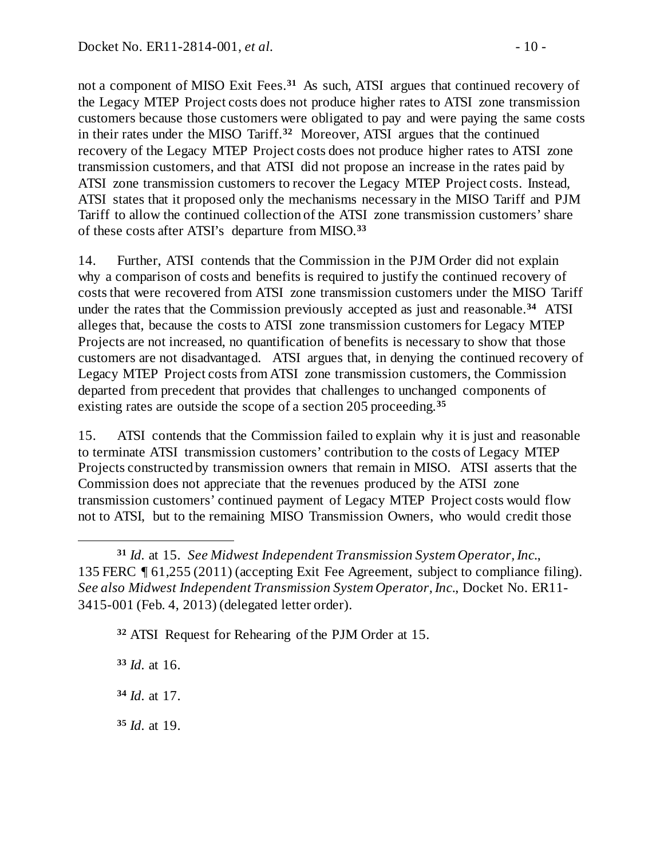not a component of MISO Exit Fees. **[31](#page-9-0)** As such, ATSI argues that continued recovery of the Legacy MTEP Project costs does not produce higher rates to ATSI zone transmission customers because those customers were obligated to pay and were paying the same costs in their rates under the MISO Tariff.**[32](#page-9-1)** Moreover, ATSI argues that the continued recovery of the Legacy MTEP Project costs does not produce higher rates to ATSI zone transmission customers, and that ATSI did not propose an increase in the rates paid by ATSI zone transmission customers to recover the Legacy MTEP Project costs. Instead, ATSI states that it proposed only the mechanisms necessary in the MISO Tariff and PJM Tariff to allow the continued collection of the ATSI zone transmission customers' share of these costs after ATSI's departure from MISO.**[33](#page-9-2)**

14. Further, ATSI contends that the Commission in the PJM Order did not explain why a comparison of costs and benefits is required to justify the continued recovery of costs that were recovered from ATSI zone transmission customers under the MISO Tariff under the rates that the Commission previously accepted as just and reasonable.**[34](#page-9-3)** ATSI alleges that, because the costs to ATSI zone transmission customers for Legacy MTEP Projects are not increased, no quantification of benefits is necessary to show that those customers are not disadvantaged. ATSI argues that, in denying the continued recovery of Legacy MTEP Project costs from ATSI zone transmission customers, the Commission departed from precedent that provides that challenges to unchanged components of existing rates are outside the scope of a section 205 proceeding.**[35](#page-9-4)**

15. ATSI contends that the Commission failed to explain why it is just and reasonable to terminate ATSI transmission customers' contribution to the costs of Legacy MTEP Projects constructed by transmission owners that remain in MISO. ATSI asserts that the Commission does not appreciate that the revenues produced by the ATSI zone transmission customers' continued payment of Legacy MTEP Project costs would flow not to ATSI, but to the remaining MISO Transmission Owners, who would credit those

<span id="page-9-1"></span><span id="page-9-0"></span>**<sup>31</sup>** *Id.* at 15. *See Midwest Independent Transmission System Operator, Inc*., 135 FERC ¶ 61,255 (2011) (accepting Exit Fee Agreement, subject to compliance filing). *See also Midwest Independent Transmission System Operator, Inc*., Docket No. ER11- 3415-001 (Feb. 4, 2013) (delegated letter order).

**<sup>32</sup>** ATSI Request for Rehearing of the PJM Order at 15.

<span id="page-9-2"></span>**<sup>33</sup>** *Id.* at 16.

 $\overline{a}$ 

<span id="page-9-3"></span>**<sup>34</sup>** *Id.* at 17.

<span id="page-9-4"></span>**<sup>35</sup>** *Id.* at 19.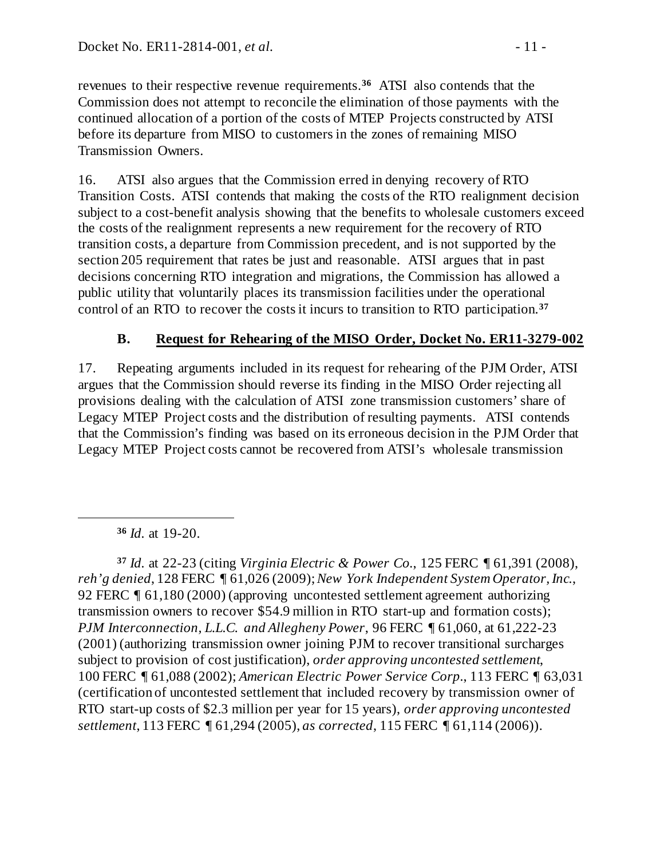revenues to their respective revenue requirements.**[36](#page-10-1)** ATSI also contends that the Commission does not attempt to reconcile the elimination of those payments with the continued allocation of a portion of the costs of MTEP Projects constructed by ATSI before its departure from MISO to customers in the zones of remaining MISO Transmission Owners.

16. ATSI also argues that the Commission erred in denying recovery of RTO Transition Costs. ATSI contends that making the costs of the RTO realignment decision subject to a cost-benefit analysis showing that the benefits to wholesale customers exceed the costs of the realignment represents a new requirement for the recovery of RTO transition costs, a departure from Commission precedent, and is not supported by the section 205 requirement that rates be just and reasonable. ATSI argues that in past decisions concerning RTO integration and migrations, the Commission has allowed a public utility that voluntarily places its transmission facilities under the operational control of an RTO to recover the costs it incurs to transition to RTO participation.**[37](#page-10-2)**

# <span id="page-10-0"></span>**B. Request for Rehearing of the MISO Order, Docket No. ER11-3279-002**

17. Repeating arguments included in its request for rehearing of the PJM Order, ATSI argues that the Commission should reverse its finding in the MISO Order rejecting all provisions dealing with the calculation of ATSI zone transmission customers' share of Legacy MTEP Project costs and the distribution of resulting payments. ATSI contends that the Commission's finding was based on its erroneous decision in the PJM Order that Legacy MTEP Project costs cannot be recovered from ATSI's wholesale transmission

**<sup>36</sup>** *Id.* at 19-20.

<span id="page-10-1"></span> $\overline{a}$ 

<span id="page-10-2"></span>**<sup>37</sup>** *Id.* at 22-23 (citing *Virginia Electric & Power Co.*, 125 FERC ¶ 61,391 (2008), *reh'g denied*, 128 FERC ¶ 61,026 (2009); *New York Independent System Operator, Inc.*, 92 FERC ¶ 61,180 (2000) (approving uncontested settlement agreement authorizing transmission owners to recover \$54.9 million in RTO start-up and formation costs); *PJM Interconnection, L.L.C. and Allegheny Power*, 96 FERC ¶ 61,060, at 61,222-23 (2001) (authorizing transmission owner joining PJM to recover transitional surcharges subject to provision of cost justification), *order approving uncontested settlement*, 100 FERC ¶ 61,088 (2002); *American Electric Power Service Corp.*, 113 FERC ¶ 63,031 (certification of uncontested settlement that included recovery by transmission owner of RTO start-up costs of \$2.3 million per year for 15 years), *order approving uncontested settlement*, 113 FERC ¶ 61,294 (2005), *as corrected*, 115 FERC ¶ 61,114 (2006)).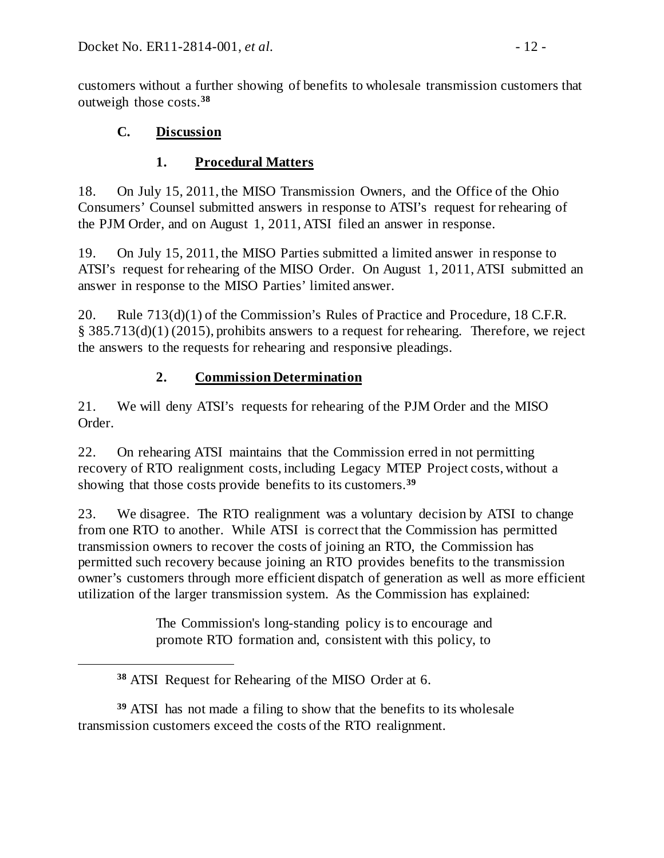customers without a further showing of benefits to wholesale transmission customers that outweigh those costs.**[38](#page-11-3)**

# **C. Discussion**

<span id="page-11-3"></span> $\overline{a}$ 

# <span id="page-11-1"></span><span id="page-11-0"></span>**1. Procedural Matters**

18. On July 15, 2011, the MISO Transmission Owners, and the Office of the Ohio Consumers' Counsel submitted answers in response to ATSI's request for rehearing of the PJM Order, and on August 1, 2011, ATSI filed an answer in response.

19. On July 15, 2011, the MISO Parties submitted a limited answer in response to ATSI's request for rehearing of the MISO Order. On August 1, 2011, ATSI submitted an answer in response to the MISO Parties' limited answer.

20. Rule 713(d)(1) of the Commission's Rules of Practice and Procedure, 18 C.F.R. § 385.713(d)(1) (2015), prohibits answers to a request for rehearing. Therefore, we reject the answers to the requests for rehearing and responsive pleadings.

# <span id="page-11-2"></span>**2. Commission Determination**

21. We will deny ATSI's requests for rehearing of the PJM Order and the MISO Order.

22. On rehearing ATSI maintains that the Commission erred in not permitting recovery of RTO realignment costs, including Legacy MTEP Project costs, without a showing that those costs provide benefits to its customers.**[39](#page-11-4)**

23. We disagree. The RTO realignment was a voluntary decision by ATSI to change from one RTO to another. While ATSI is correct that the Commission has permitted transmission owners to recover the costs of joining an RTO, the Commission has permitted such recovery because joining an RTO provides benefits to the transmission owner's customers through more efficient dispatch of generation as well as more efficient utilization of the larger transmission system. As the Commission has explained:

> The Commission's long-standing policy is to encourage and promote RTO formation and, consistent with this policy, to

**<sup>38</sup>** ATSI Request for Rehearing of the MISO Order at 6.

<span id="page-11-4"></span>**<sup>39</sup>** ATSI has not made a filing to show that the benefits to its wholesale transmission customers exceed the costs of the RTO realignment.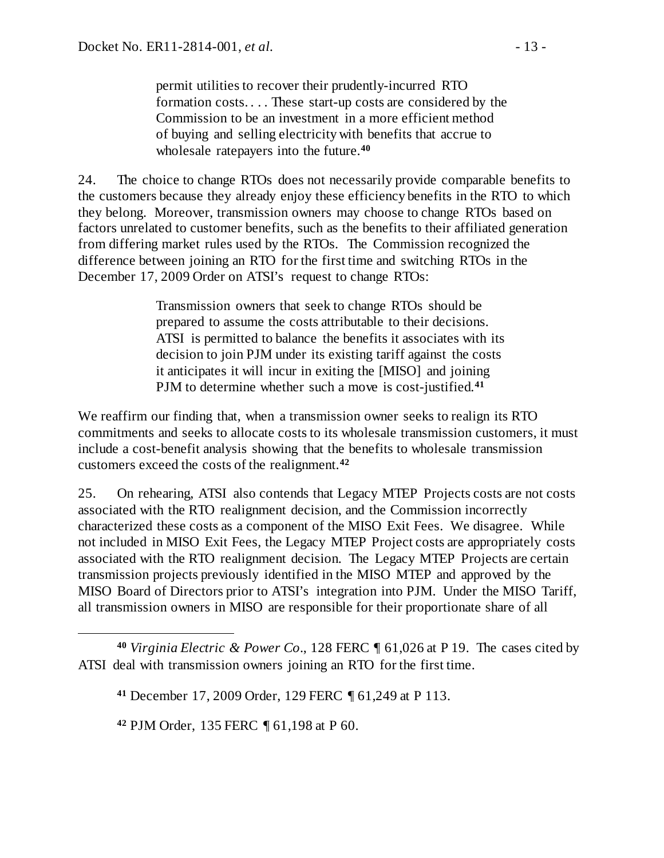permit utilities to recover their prudently-incurred RTO formation costs. . . . These start-up costs are considered by the Commission to be an investment in a more efficient method of buying and selling electricity with benefits that accrue to wholesale ratepayers into the future.**[40](#page-12-0)**

24. The choice to change RTOs does not necessarily provide comparable benefits to the customers because they already enjoy these efficiency benefits in the RTO to which they belong. Moreover, transmission owners may choose to change RTOs based on factors unrelated to customer benefits, such as the benefits to their affiliated generation from differing market rules used by the RTOs. The Commission recognized the difference between joining an RTO for the first time and switching RTOs in the December 17, 2009 Order on ATSI's request to change RTOs:

> Transmission owners that seek to change RTOs should be prepared to assume the costs attributable to their decisions. ATSI is permitted to balance the benefits it associates with its decision to join PJM under its existing tariff against the costs it anticipates it will incur in exiting the [MISO] and joining PJM to determine whether such a move is cost-justified.**[41](#page-12-1)**

We reaffirm our finding that, when a transmission owner seeks to realign its RTO commitments and seeks to allocate costs to its wholesale transmission customers, it must include a cost-benefit analysis showing that the benefits to wholesale transmission customers exceed the costs of the realignment.**[42](#page-12-2)**

25. On rehearing, ATSI also contends that Legacy MTEP Projects costs are not costs associated with the RTO realignment decision, and the Commission incorrectly characterized these costs as a component of the MISO Exit Fees. We disagree. While not included in MISO Exit Fees, the Legacy MTEP Project costs are appropriately costs associated with the RTO realignment decision. The Legacy MTEP Projects are certain transmission projects previously identified in the MISO MTEP and approved by the MISO Board of Directors prior to ATSI's integration into PJM. Under the MISO Tariff, all transmission owners in MISO are responsible for their proportionate share of all

**<sup>42</sup>** PJM Order, 135 FERC ¶ 61,198 at P 60.

 $\overline{a}$ 

<span id="page-12-2"></span><span id="page-12-1"></span><span id="page-12-0"></span>**<sup>40</sup>** *Virginia Electric & Power Co*., 128 FERC ¶ 61,026 at P 19. The cases cited by ATSI deal with transmission owners joining an RTO for the first time.

**<sup>41</sup>** December 17, 2009 Order, 129 FERC ¶ 61,249 at P 113.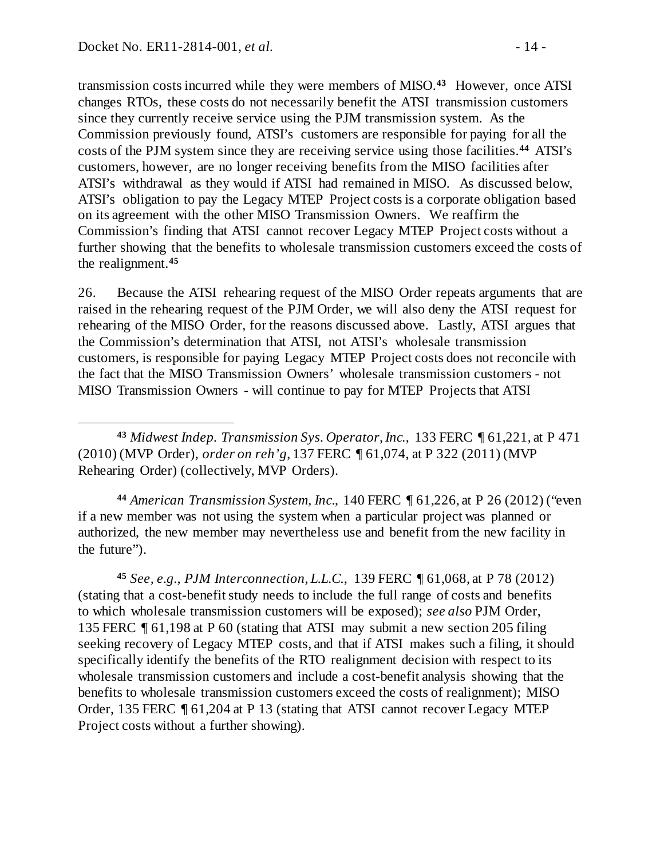$\overline{a}$ 

transmission costs incurred while they were members of MISO.**[43](#page-13-0)** However, once ATSI changes RTOs, these costs do not necessarily benefit the ATSI transmission customers since they currently receive service using the PJM transmission system. As the Commission previously found, ATSI's customers are responsible for paying for all the costs of the PJM system since they are receiving service using those facilities.**[44](#page-13-1)** ATSI's customers, however, are no longer receiving benefits from the MISO facilities after ATSI's withdrawal as they would if ATSI had remained in MISO. As discussed below, ATSI's obligation to pay the Legacy MTEP Project costs is a corporate obligation based on its agreement with the other MISO Transmission Owners. We reaffirm the Commission's finding that ATSI cannot recover Legacy MTEP Project costs without a further showing that the benefits to wholesale transmission customers exceed the costs of the realignment.**[45](#page-13-2)**

26. Because the ATSI rehearing request of the MISO Order repeats arguments that are raised in the rehearing request of the PJM Order, we will also deny the ATSI request for rehearing of the MISO Order, for the reasons discussed above. Lastly, ATSI argues that the Commission's determination that ATSI, not ATSI's wholesale transmission customers, is responsible for paying Legacy MTEP Project costs does not reconcile with the fact that the MISO Transmission Owners' wholesale transmission customers - not MISO Transmission Owners - will continue to pay for MTEP Projects that ATSI

<span id="page-13-0"></span>**<sup>43</sup>** *Midwest Indep. Transmission Sys. Operator, Inc.*, 133 FERC ¶ 61,221, at P 471 (2010) (MVP Order), *order on reh'g*, 137 FERC ¶ 61,074, at P 322 (2011) (MVP Rehearing Order) (collectively, MVP Orders).

<span id="page-13-1"></span>**<sup>44</sup>** *American Transmission System, Inc*., 140 FERC ¶ 61,226, at P 26 (2012) ("even if a new member was not using the system when a particular project was planned or authorized, the new member may nevertheless use and benefit from the new facility in the future").

<span id="page-13-2"></span>**<sup>45</sup>** *See, e.g., PJM Interconnection, L.L.C.*, 139 FERC ¶ 61,068, at P 78 (2012) (stating that a cost-benefit study needs to include the full range of costs and benefits to which wholesale transmission customers will be exposed); *see also* PJM Order, 135 FERC ¶ 61,198 at P 60 (stating that ATSI may submit a new section 205 filing seeking recovery of Legacy MTEP costs, and that if ATSI makes such a filing, it should specifically identify the benefits of the RTO realignment decision with respect to its wholesale transmission customers and include a cost-benefit analysis showing that the benefits to wholesale transmission customers exceed the costs of realignment); MISO Order, 135 FERC ¶ 61,204 at P 13 (stating that ATSI cannot recover Legacy MTEP Project costs without a further showing).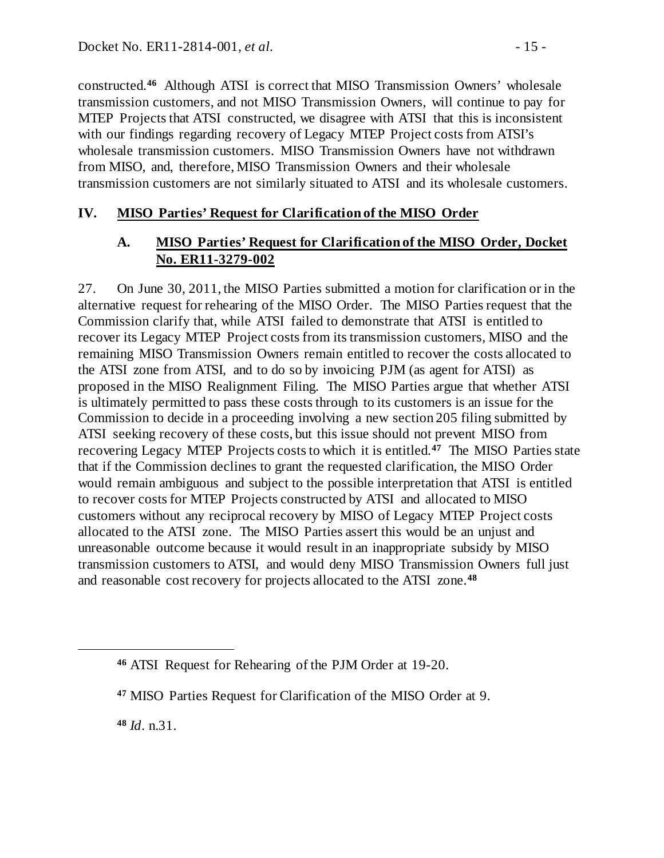constructed. **[46](#page-14-2)** Although ATSI is correct that MISO Transmission Owners' wholesale transmission customers, and not MISO Transmission Owners, will continue to pay for MTEP Projects that ATSI constructed, we disagree with ATSI that this is inconsistent with our findings regarding recovery of Legacy MTEP Project costs from ATSI's wholesale transmission customers. MISO Transmission Owners have not withdrawn from MISO, and, therefore, MISO Transmission Owners and their wholesale transmission customers are not similarly situated to ATSI and its wholesale customers.

## **IV. MISO Parties' Request for Clarification of the MISO Order**

## <span id="page-14-1"></span><span id="page-14-0"></span>**A. MISO Parties' Request for Clarification of the MISO Order, Docket No. ER11-3279-002**

27. On June 30, 2011, the MISO Parties submitted a motion for clarification or in the alternative request for rehearing of the MISO Order. The MISO Parties request that the Commission clarify that, while ATSI failed to demonstrate that ATSI is entitled to recover its Legacy MTEP Project costs from its transmission customers, MISO and the remaining MISO Transmission Owners remain entitled to recover the costs allocated to the ATSI zone from ATSI, and to do so by invoicing PJM (as agent for ATSI) as proposed in the MISO Realignment Filing. The MISO Parties argue that whether ATSI is ultimately permitted to pass these costs through to its customers is an issue for the Commission to decide in a proceeding involving a new section 205 filing submitted by ATSI seeking recovery of these costs, but this issue should not prevent MISO from recovering Legacy MTEP Projects costs to which it is entitled.**[47](#page-14-3)** The MISO Parties state that if the Commission declines to grant the requested clarification, the MISO Order would remain ambiguous and subject to the possible interpretation that ATSI is entitled to recover costs for MTEP Projects constructed by ATSI and allocated to MISO customers without any reciprocal recovery by MISO of Legacy MTEP Project costs allocated to the ATSI zone. The MISO Parties assert this would be an unjust and unreasonable outcome because it would result in an inappropriate subsidy by MISO transmission customers to ATSI, and would deny MISO Transmission Owners full just and reasonable cost recovery for projects allocated to the ATSI zone.**[48](#page-14-4)**

**<sup>48</sup>** *Id*. n.31.

<span id="page-14-4"></span><span id="page-14-3"></span><span id="page-14-2"></span> $\overline{a}$ 

**<sup>46</sup>** ATSI Request for Rehearing of the PJM Order at 19-20.

**<sup>47</sup>** MISO Parties Request for Clarification of the MISO Order at 9.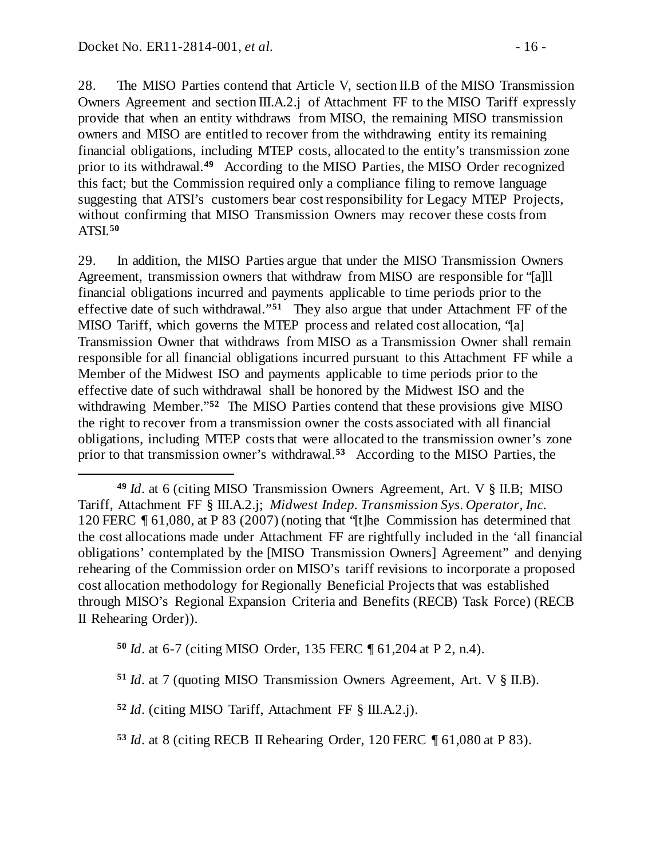$\overline{a}$ 

28. The MISO Parties contend that Article V, section II.B of the MISO Transmission Owners Agreement and section III.A.2.j of Attachment FF to the MISO Tariff expressly provide that when an entity withdraws from MISO, the remaining MISO transmission owners and MISO are entitled to recover from the withdrawing entity its remaining financial obligations, including MTEP costs, allocated to the entity's transmission zone prior to its withdrawal.**[49](#page-15-0)** According to the MISO Parties, the MISO Order recognized this fact; but the Commission required only a compliance filing to remove language suggesting that ATSI's customers bear cost responsibility for Legacy MTEP Projects, without confirming that MISO Transmission Owners may recover these costs from ATSI.**[50](#page-15-1)**

29. In addition, the MISO Parties argue that under the MISO Transmission Owners Agreement, transmission owners that withdraw from MISO are responsible for "[a]ll financial obligations incurred and payments applicable to time periods prior to the effective date of such withdrawal."**[51](#page-15-2)** They also argue that under Attachment FF of the MISO Tariff, which governs the MTEP process and related cost allocation, "[a] Transmission Owner that withdraws from MISO as a Transmission Owner shall remain responsible for all financial obligations incurred pursuant to this Attachment FF while a Member of the Midwest ISO and payments applicable to time periods prior to the effective date of such withdrawal shall be honored by the Midwest ISO and the withdrawing Member."**[52](#page-15-3)** The MISO Parties contend that these provisions give MISO the right to recover from a transmission owner the costs associated with all financial obligations, including MTEP costs that were allocated to the transmission owner's zone prior to that transmission owner's withdrawal.**[53](#page-15-4)** According to the MISO Parties, the

<span id="page-15-1"></span>**<sup>50</sup>** *Id*. at 6-7 (citing MISO Order, 135 FERC ¶ 61,204 at P 2, n.4).

<span id="page-15-2"></span>**<sup>51</sup>** *Id*. at 7 (quoting MISO Transmission Owners Agreement, Art. V § II.B).

<span id="page-15-3"></span>**<sup>52</sup>** *Id*. (citing MISO Tariff, Attachment FF § III.A.2.j).

<span id="page-15-0"></span>**<sup>49</sup>** *Id*. at 6 (citing MISO Transmission Owners Agreement, Art. V § II.B; MISO Tariff, Attachment FF § III.A.2.j; *Midwest Indep. Transmission Sys. Operator, Inc*. 120 FERC ¶ 61,080, at P 83 (2007) (noting that "[t]he Commission has determined that the cost allocations made under Attachment FF are rightfully included in the 'all financial obligations' contemplated by the [MISO Transmission Owners] Agreement" and denying rehearing of the Commission order on MISO's tariff revisions to incorporate a proposed cost allocation methodology for Regionally Beneficial Projects that was established through MISO's Regional Expansion Criteria and Benefits (RECB) Task Force) (RECB II Rehearing Order)).

<span id="page-15-4"></span>**<sup>53</sup>** *Id*. at 8 (citing RECB II Rehearing Order, 120 FERC ¶ 61,080 at P 83).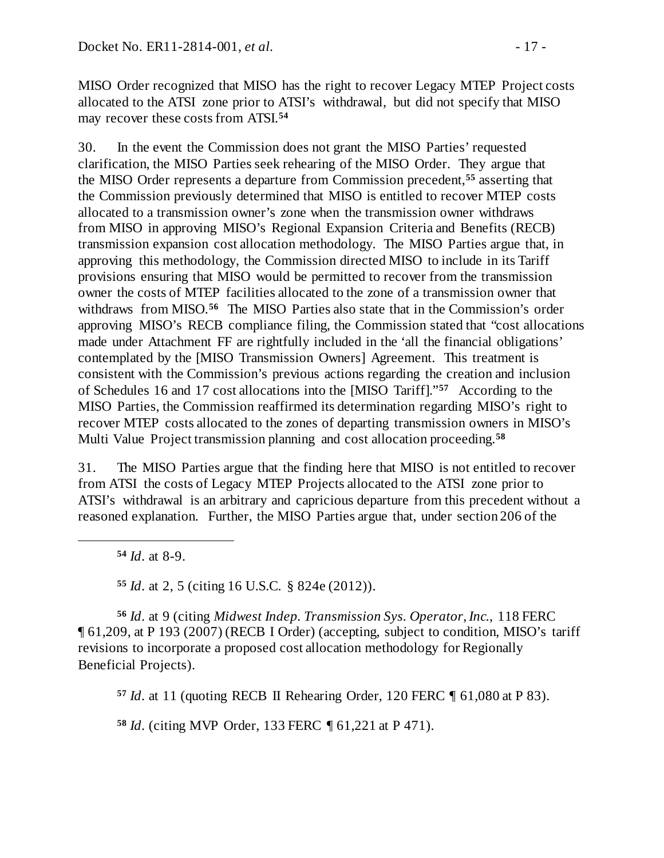MISO Order recognized that MISO has the right to recover Legacy MTEP Project costs allocated to the ATSI zone prior to ATSI's withdrawal, but did not specify that MISO may recover these costs from ATSI.**[54](#page-16-0)**

30. In the event the Commission does not grant the MISO Parties' requested clarification, the MISO Parties seek rehearing of the MISO Order. They argue that the MISO Order represents a departure from Commission precedent,**[55](#page-16-1)** asserting that the Commission previously determined that MISO is entitled to recover MTEP costs allocated to a transmission owner's zone when the transmission owner withdraws from MISO in approving MISO's Regional Expansion Criteria and Benefits (RECB) transmission expansion cost allocation methodology. The MISO Parties argue that, in approving this methodology, the Commission directed MISO to include in its Tariff provisions ensuring that MISO would be permitted to recover from the transmission owner the costs of MTEP facilities allocated to the zone of a transmission owner that withdraws from MISO.**[56](#page-16-2)** The MISO Parties also state that in the Commission's order approving MISO's RECB compliance filing, the Commission stated that "cost allocations made under Attachment FF are rightfully included in the 'all the financial obligations' contemplated by the [MISO Transmission Owners] Agreement. This treatment is consistent with the Commission's previous actions regarding the creation and inclusion of Schedules 16 and 17 cost allocations into the [MISO Tariff]."**[57](#page-16-3)** According to the MISO Parties, the Commission reaffirmed its determination regarding MISO's right to recover MTEP costs allocated to the zones of departing transmission owners in MISO's Multi Value Project transmission planning and cost allocation proceeding.**[58](#page-16-4)**

31. The MISO Parties argue that the finding here that MISO is not entitled to recover from ATSI the costs of Legacy MTEP Projects allocated to the ATSI zone prior to ATSI's withdrawal is an arbitrary and capricious departure from this precedent without a reasoned explanation. Further, the MISO Parties argue that, under section 206 of the

**<sup>54</sup>** *Id*. at 8-9.

<span id="page-16-0"></span> $\overline{a}$ 

**<sup>55</sup>** *Id*. at 2, 5 (citing 16 U.S.C. § 824e (2012)).

<span id="page-16-3"></span><span id="page-16-2"></span><span id="page-16-1"></span>**<sup>56</sup>** *Id*. at 9 (citing *Midwest Indep. Transmission Sys. Operator, Inc.*, 118 FERC ¶ 61,209, at P 193 (2007) (RECB I Order) (accepting, subject to condition, MISO's tariff revisions to incorporate a proposed cost allocation methodology for Regionally Beneficial Projects).

**<sup>57</sup>** *Id*. at 11 (quoting RECB II Rehearing Order, 120 FERC ¶ 61,080 at P 83).

<span id="page-16-4"></span>**<sup>58</sup>** *Id*. (citing MVP Order, 133 FERC ¶ 61,221 at P 471).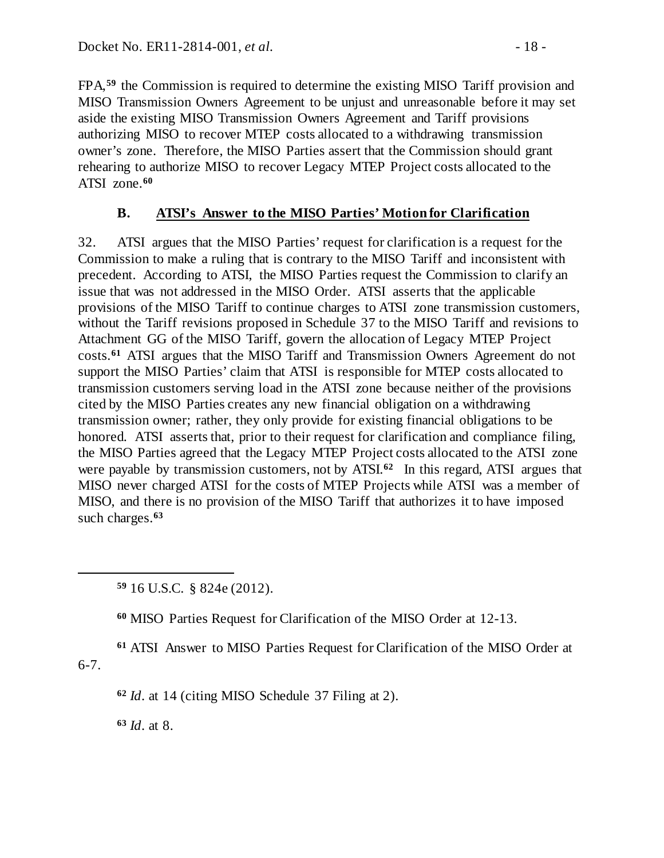FPA, **[59](#page-17-1)** the Commission is required to determine the existing MISO Tariff provision and MISO Transmission Owners Agreement to be unjust and unreasonable before it may set aside the existing MISO Transmission Owners Agreement and Tariff provisions authorizing MISO to recover MTEP costs allocated to a withdrawing transmission owner's zone. Therefore, the MISO Parties assert that the Commission should grant rehearing to authorize MISO to recover Legacy MTEP Project costs allocated to the ATSI zone.**[60](#page-17-2)**

## <span id="page-17-0"></span>**B. ATSI's Answer to the MISO Parties' Motion for Clarification**

32. ATSI argues that the MISO Parties' request for clarification is a request for the Commission to make a ruling that is contrary to the MISO Tariff and inconsistent with precedent. According to ATSI, the MISO Parties request the Commission to clarify an issue that was not addressed in the MISO Order. ATSI asserts that the applicable provisions of the MISO Tariff to continue charges to ATSI zone transmission customers, without the Tariff revisions proposed in Schedule 37 to the MISO Tariff and revisions to Attachment GG of the MISO Tariff, govern the allocation of Legacy MTEP Project costs.**[61](#page-17-3)** ATSI argues that the MISO Tariff and Transmission Owners Agreement do not support the MISO Parties' claim that ATSI is responsible for MTEP costs allocated to transmission customers serving load in the ATSI zone because neither of the provisions cited by the MISO Parties creates any new financial obligation on a withdrawing transmission owner; rather, they only provide for existing financial obligations to be honored. ATSI asserts that, prior to their request for clarification and compliance filing, the MISO Parties agreed that the Legacy MTEP Project costs allocated to the ATSI zone were payable by transmission customers, not by ATSI.<sup>[62](#page-17-4)</sup> In this regard, ATSI argues that MISO never charged ATSI for the costs of MTEP Projects while ATSI was a member of MISO, and there is no provision of the MISO Tariff that authorizes it to have imposed such charges.**[63](#page-17-5)**

**<sup>59</sup>** 16 U.S.C. § 824e (2012).

**<sup>60</sup>** MISO Parties Request for Clarification of the MISO Order at 12-13.

<span id="page-17-5"></span><span id="page-17-4"></span><span id="page-17-3"></span><span id="page-17-2"></span>**<sup>61</sup>** ATSI Answer to MISO Parties Request for Clarification of the MISO Order at 6-7.

**<sup>62</sup>** *Id*. at 14 (citing MISO Schedule 37 Filing at 2).

**<sup>63</sup>** *Id*. at 8.

<span id="page-17-1"></span> $\overline{a}$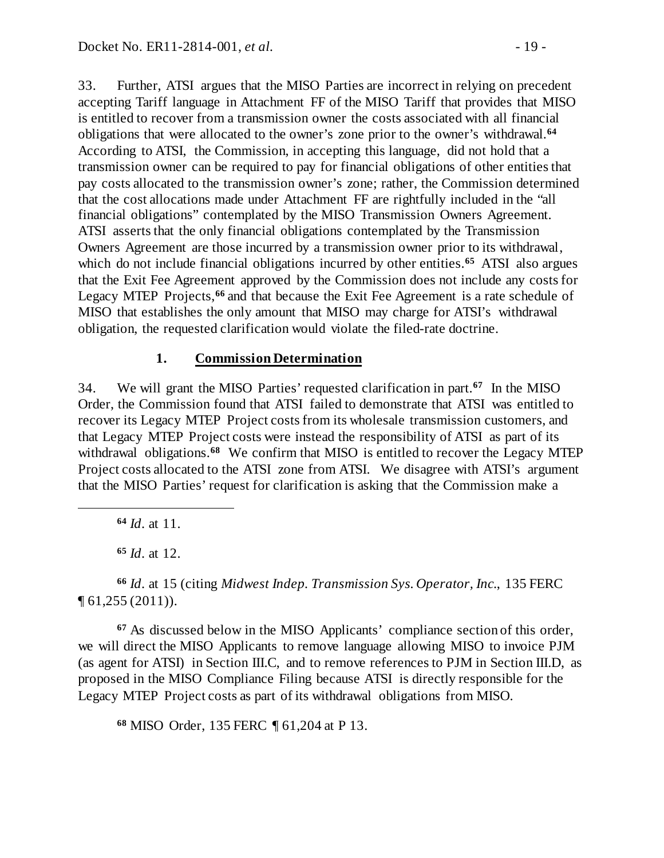33. Further, ATSI argues that the MISO Parties are incorrect in relying on precedent accepting Tariff language in Attachment FF of the MISO Tariff that provides that MISO is entitled to recover from a transmission owner the costs associated with all financial obligations that were allocated to the owner's zone prior to the owner's withdrawal.**[64](#page-18-1)** According to ATSI, the Commission, in accepting this language, did not hold that a transmission owner can be required to pay for financial obligations of other entities that pay costs allocated to the transmission owner's zone; rather, the Commission determined that the cost allocations made under Attachment FF are rightfully included in the "all financial obligations" contemplated by the MISO Transmission Owners Agreement. ATSI asserts that the only financial obligations contemplated by the Transmission Owners Agreement are those incurred by a transmission owner prior to its withdrawal, which do not include financial obligations incurred by other entities.<sup>[65](#page-18-2)</sup> ATSI also argues that the Exit Fee Agreement approved by the Commission does not include any costs for Legacy MTEP Projects,**[66](#page-18-3)** and that because the Exit Fee Agreement is a rate schedule of MISO that establishes the only amount that MISO may charge for ATSI's withdrawal obligation, the requested clarification would violate the filed-rate doctrine.

#### <span id="page-18-6"></span><span id="page-18-0"></span>**1. Commission Determination**

34. We will grant the MISO Parties' requested clarification in part.**[67](#page-18-4)** In the MISO Order, the Commission found that ATSI failed to demonstrate that ATSI was entitled to recover its Legacy MTEP Project costs from its wholesale transmission customers, and that Legacy MTEP Project costs were instead the responsibility of ATSI as part of its withdrawal obligations.<sup>[68](#page-18-5)</sup> We confirm that MISO is entitled to recover the Legacy MTEP Project costs allocated to the ATSI zone from ATSI. We disagree with ATSI's argument that the MISO Parties' request for clarification is asking that the Commission make a

**<sup>64</sup>** *Id*. at 11.

<span id="page-18-1"></span> $\overline{a}$ 

**<sup>65</sup>** *Id*. at 12.

<span id="page-18-3"></span><span id="page-18-2"></span>**<sup>66</sup>** *Id*. at 15 (citing *Midwest Indep. Transmission Sys. Operator, Inc*., 135 FERC ¶ 61,255 (2011)).

<span id="page-18-4"></span>**<sup>67</sup>** As discussed below in the MISO Applicants' compliance section of this order, we will direct the MISO Applicants to remove language allowing MISO to invoice PJM (as agent for ATSI) in Section III.C, and to remove references to PJM in Section III.D, as proposed in the MISO Compliance Filing because ATSI is directly responsible for the Legacy MTEP Project costs as part of its withdrawal obligations from MISO.

<span id="page-18-5"></span>**<sup>68</sup>** MISO Order, 135 FERC ¶ 61,204 at P 13.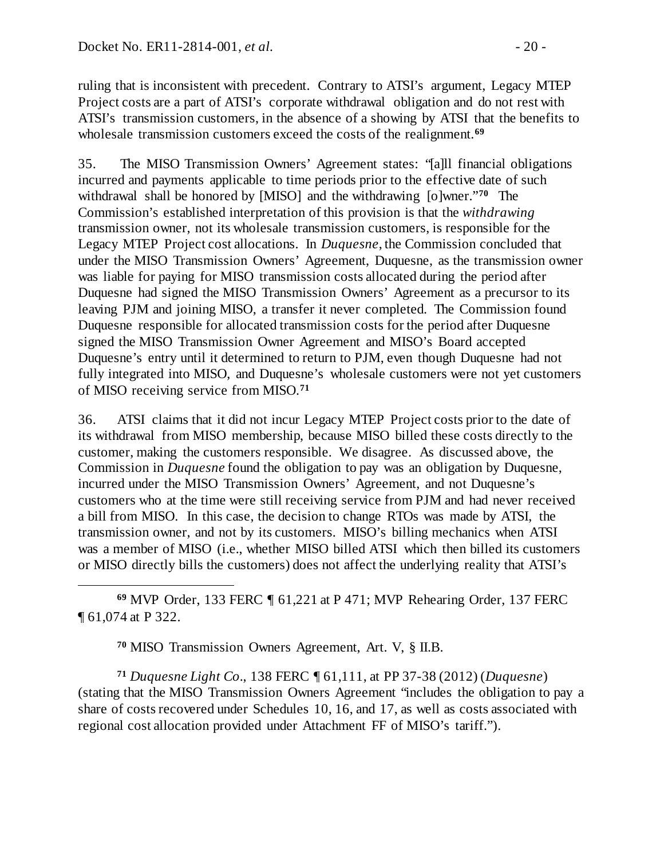$\overline{a}$ 

ruling that is inconsistent with precedent. Contrary to ATSI's argument, Legacy MTEP Project costs are a part of ATSI's corporate withdrawal obligation and do not rest with ATSI's transmission customers, in the absence of a showing by ATSI that the benefits to wholesale transmission customers exceed the costs of the realignment. **[69](#page-19-0)**

35. The MISO Transmission Owners' Agreement states: "[a]ll financial obligations incurred and payments applicable to time periods prior to the effective date of such withdrawal shall be honored by [MISO] and the withdrawing [o]wner."**[70](#page-19-1)** The Commission's established interpretation of this provision is that the *withdrawing*  transmission owner, not its wholesale transmission customers, is responsible for the Legacy MTEP Project cost allocations. In *Duquesne*, the Commission concluded that under the MISO Transmission Owners' Agreement, Duquesne, as the transmission owner was liable for paying for MISO transmission costs allocated during the period after Duquesne had signed the MISO Transmission Owners' Agreement as a precursor to its leaving PJM and joining MISO, a transfer it never completed. The Commission found Duquesne responsible for allocated transmission costs for the period after Duquesne signed the MISO Transmission Owner Agreement and MISO's Board accepted Duquesne's entry until it determined to return to PJM, even though Duquesne had not fully integrated into MISO, and Duquesne's wholesale customers were not yet customers of MISO receiving service from MISO.**[71](#page-19-2)**

36. ATSI claims that it did not incur Legacy MTEP Project costs prior to the date of its withdrawal from MISO membership, because MISO billed these costs directly to the customer, making the customers responsible. We disagree. As discussed above, the Commission in *Duquesne* found the obligation to pay was an obligation by Duquesne, incurred under the MISO Transmission Owners' Agreement, and not Duquesne's customers who at the time were still receiving service from PJM and had never received a bill from MISO. In this case, the decision to change RTOs was made by ATSI, the transmission owner, and not by its customers. MISO's billing mechanics when ATSI was a member of MISO (i.e., whether MISO billed ATSI which then billed its customers or MISO directly bills the customers) does not affect the underlying reality that ATSI's

<span id="page-19-0"></span>**<sup>69</sup>** MVP Order, 133 FERC ¶ 61,221 at P 471; MVP Rehearing Order, 137 FERC ¶ 61,074 at P 322.

**<sup>70</sup>** MISO Transmission Owners Agreement, Art. V, § II.B.

<span id="page-19-2"></span><span id="page-19-1"></span>**<sup>71</sup>** *Duquesne Light Co*., 138 FERC ¶ 61,111, at PP 37-38 (2012) (*Duquesne*) (stating that the MISO Transmission Owners Agreement "includes the obligation to pay a share of costs recovered under Schedules 10, 16, and 17, as well as costs associated with regional cost allocation provided under Attachment FF of MISO's tariff.").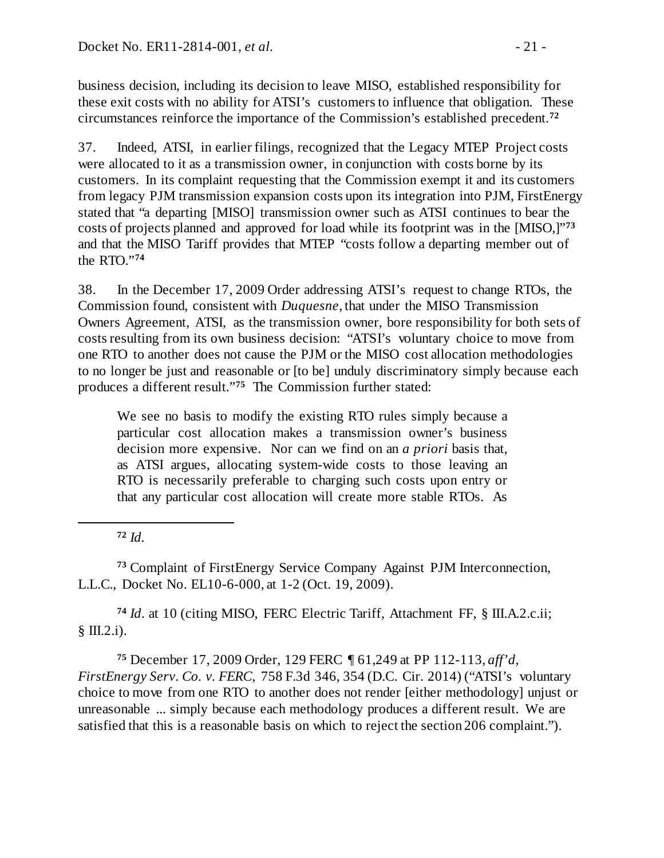business decision, including its decision to leave MISO, established responsibility for these exit costs with no ability for ATSI's customers to influence that obligation. These circumstances reinforce the importance of the Commission's established precedent.**[72](#page-20-0)**

37. Indeed, ATSI, in earlier filings, recognized that the Legacy MTEP Project costs were allocated to it as a transmission owner, in conjunction with costs borne by its customers. In its complaint requesting that the Commission exempt it and its customers from legacy PJM transmission expansion costs upon its integration into PJM, FirstEnergy stated that "a departing [MISO] transmission owner such as ATSI continues to bear the costs of projects planned and approved for load while its footprint was in the [MISO,]"**[73](#page-20-1)** and that the MISO Tariff provides that MTEP "costs follow a departing member out of the RTO."**[74](#page-20-2)**

38. In the December 17, 2009 Order addressing ATSI's request to change RTOs, the Commission found, consistent with *Duquesne*, that under the MISO Transmission Owners Agreement, ATSI, as the transmission owner, bore responsibility for both sets of costs resulting from its own business decision: "ATSI's voluntary choice to move from one RTO to another does not cause the PJM or the MISO cost allocation methodologies to no longer be just and reasonable or [to be] unduly discriminatory simply because each produces a different result."**[75](#page-20-3)** The Commission further stated:

We see no basis to modify the existing RTO rules simply because a particular cost allocation makes a transmission owner's business decision more expensive. Nor can we find on an *a priori* basis that, as ATSI argues, allocating system-wide costs to those leaving an RTO is necessarily preferable to charging such costs upon entry or that any particular cost allocation will create more stable RTOs. As

**<sup>72</sup>** *Id.*

<span id="page-20-0"></span> $\overline{a}$ 

<span id="page-20-1"></span>**<sup>73</sup>** Complaint of FirstEnergy Service Company Against PJM Interconnection, L.L.C., Docket No. EL10-6-000, at 1-2 (Oct. 19, 2009).

<span id="page-20-2"></span>**<sup>74</sup>** *Id*. at 10 (citing MISO, FERC Electric Tariff, Attachment FF, § III.A.2.c.ii; § Ш.2.i).

<span id="page-20-3"></span>**<sup>75</sup>** December 17, 2009 Order, 129 FERC ¶ 61,249 at PP 112-113, *aff'd, FirstEnergy Serv. Co. v. FERC*, 758 F.3d 346, 354 (D.C. Cir. 2014) ("ATSI's voluntary choice to move from one RTO to another does not render [either methodology] unjust or unreasonable ... simply because each methodology produces a different result. We are satisfied that this is a reasonable basis on which to reject the section 206 complaint.").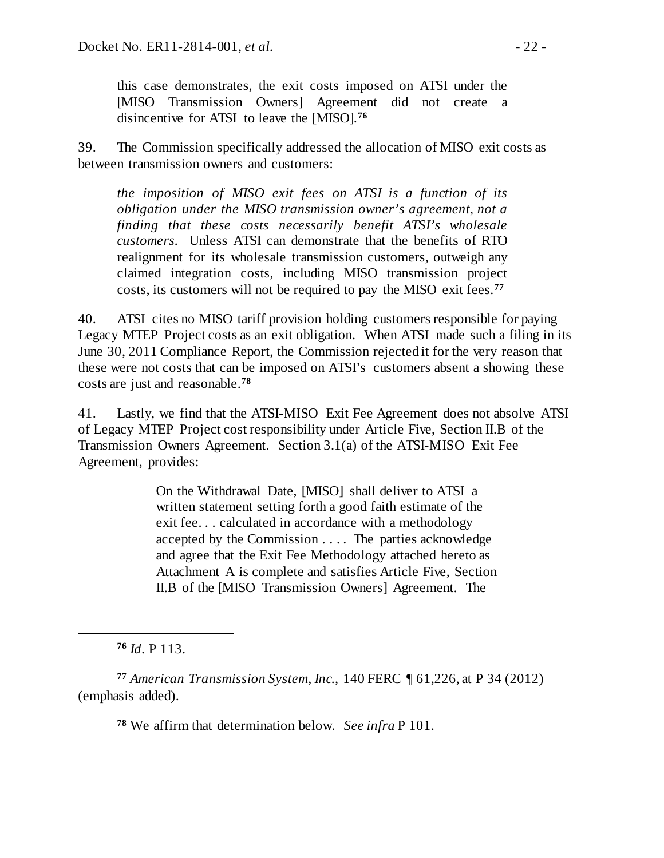this case demonstrates, the exit costs imposed on ATSI under the [MISO Transmission Owners] Agreement did not create a disincentive for ATSI to leave the [MISO].**[76](#page-21-0)**

39. The Commission specifically addressed the allocation of MISO exit costs as between transmission owners and customers:

*the imposition of MISO exit fees on ATSI is a function of its obligation under the MISO transmission owner's agreement*, *not a finding that these costs necessarily benefit ATSI's wholesale customers.* Unless ATSI can demonstrate that the benefits of RTO realignment for its wholesale transmission customers, outweigh any claimed integration costs, including MISO transmission project costs, its customers will not be required to pay the MISO exit fees.**[77](#page-21-1)**

40. ATSI cites no MISO tariff provision holding customers responsible for paying Legacy MTEP Project costs as an exit obligation. When ATSI made such a filing in its June 30, 2011 Compliance Report, the Commission rejected it for the very reason that these were not costs that can be imposed on ATSI's customers absent a showing these costs are just and reasonable.**[78](#page-21-2)**

41. Lastly, we find that the ATSI-MISO Exit Fee Agreement does not absolve ATSI of Legacy MTEP Project cost responsibility under Article Five, Section II.B of the Transmission Owners Agreement. Section 3.1(a) of the ATSI-MISO Exit Fee Agreement, provides:

> On the Withdrawal Date, [MISO] shall deliver to ATSI a written statement setting forth a good faith estimate of the exit fee. . . calculated in accordance with a methodology accepted by the Commission . . . . The parties acknowledge and agree that the Exit Fee Methodology attached hereto as Attachment A is complete and satisfies Article Five, Section II.B of the [MISO Transmission Owners] Agreement. The

**<sup>76</sup>** *Id*. P 113.

<span id="page-21-0"></span> $\overline{a}$ 

<span id="page-21-2"></span><span id="page-21-1"></span>**<sup>77</sup>** *American Transmission System, Inc.*, 140 FERC ¶ 61,226, at P 34 (2012) (emphasis added).

**<sup>78</sup>** We affirm that determination below. *See infra* P 101.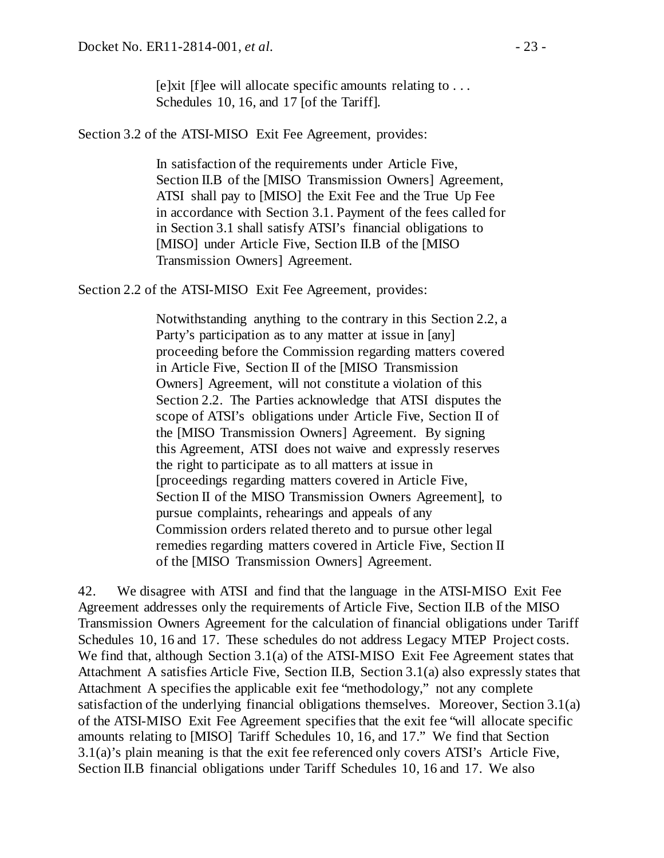[e]xit [f]ee will allocate specific amounts relating to . . . Schedules 10, 16, and 17 [of the Tariff].

Section 3.2 of the ATSI-MISO Exit Fee Agreement, provides:

In satisfaction of the requirements under Article Five, Section II.B of the [MISO Transmission Owners] Agreement, ATSI shall pay to [MISO] the Exit Fee and the True Up Fee in accordance with Section 3.1. Payment of the fees called for in Section 3.1 shall satisfy ATSI's financial obligations to [MISO] under Article Five, Section II.B of the [MISO Transmission Owners] Agreement.

Section 2.2 of the ATSI-MISO Exit Fee Agreement, provides:

Notwithstanding anything to the contrary in this Section 2.2, a Party's participation as to any matter at issue in [any] proceeding before the Commission regarding matters covered in Article Five, Section II of the [MISO Transmission Owners] Agreement, will not constitute a violation of this Section 2.2. The Parties acknowledge that ATSI disputes the scope of ATSI's obligations under Article Five, Section II of the [MISO Transmission Owners] Agreement. By signing this Agreement, ATSI does not waive and expressly reserves the right to participate as to all matters at issue in [proceedings regarding matters covered in Article Five, Section II of the MISO Transmission Owners Agreement], to pursue complaints, rehearings and appeals of any Commission orders related thereto and to pursue other legal remedies regarding matters covered in Article Five, Section II of the [MISO Transmission Owners] Agreement.

42. We disagree with ATSI and find that the language in the ATSI-MISO Exit Fee Agreement addresses only the requirements of Article Five, Section II.B of the MISO Transmission Owners Agreement for the calculation of financial obligations under Tariff Schedules 10, 16 and 17. These schedules do not address Legacy MTEP Project costs. We find that, although Section 3.1(a) of the ATSI-MISO Exit Fee Agreement states that Attachment A satisfies Article Five, Section II.B, Section 3.1(a) also expressly states that Attachment A specifies the applicable exit fee "methodology," not any complete satisfaction of the underlying financial obligations themselves. Moreover, Section 3.1(a) of the ATSI-MISO Exit Fee Agreement specifies that the exit fee "will allocate specific amounts relating to [MISO] Tariff Schedules 10, 16, and 17." We find that Section 3.1(a)'s plain meaning is that the exit fee referenced only covers ATSI's Article Five, Section II.B financial obligations under Tariff Schedules 10, 16 and 17. We also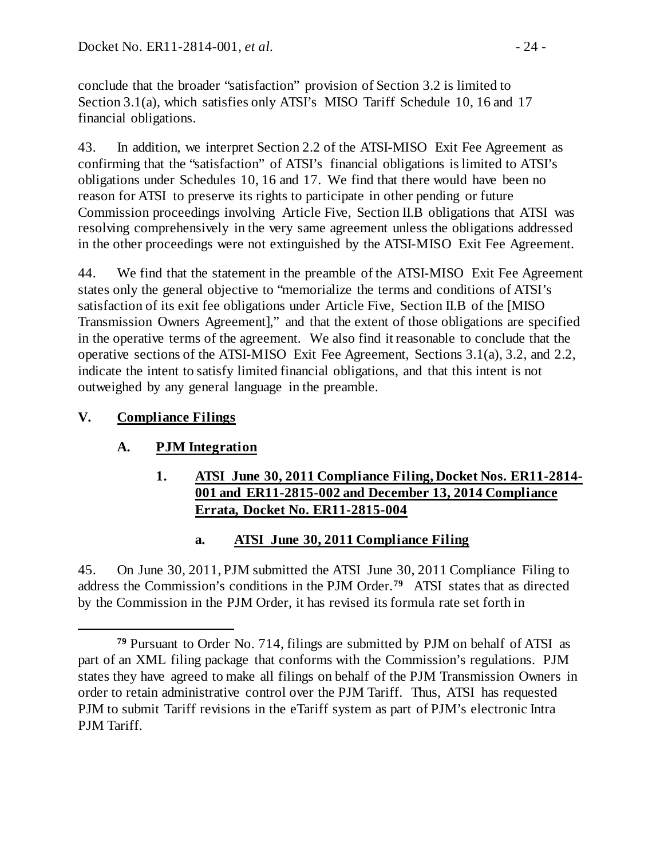conclude that the broader "satisfaction" provision of Section 3.2 is limited to Section 3.1(a), which satisfies only ATSI's MISO Tariff Schedule 10, 16 and 17 financial obligations.

43. In addition, we interpret Section 2.2 of the ATSI-MISO Exit Fee Agreement as confirming that the "satisfaction" of ATSI's financial obligations is limited to ATSI's obligations under Schedules 10, 16 and 17. We find that there would have been no reason for ATSI to preserve its rights to participate in other pending or future Commission proceedings involving Article Five, Section II.B obligations that ATSI was resolving comprehensively in the very same agreement unless the obligations addressed in the other proceedings were not extinguished by the ATSI-MISO Exit Fee Agreement.

<span id="page-23-5"></span>44. We find that the statement in the preamble of the ATSI-MISO Exit Fee Agreement states only the general objective to "memorialize the terms and conditions of ATSI's satisfaction of its exit fee obligations under Article Five, Section II.B of the [MISO Transmission Owners Agreement]," and that the extent of those obligations are specified in the operative terms of the agreement. We also find it reasonable to conclude that the operative sections of the ATSI-MISO Exit Fee Agreement, Sections 3.1(a), 3.2, and 2.2, indicate the intent to satisfy limited financial obligations, and that this intent is not outweighed by any general language in the preamble.

# **V. Compliance Filings**

## **A. PJM Integration**

## <span id="page-23-1"></span><span id="page-23-0"></span>**1. ATSI June 30, 2011 Compliance Filing, Docket Nos. ER11-2814- 001 and ER11-2815-002 and December 13, 2014 Compliance Errata, Docket No. ER11-2815-004**

## <span id="page-23-3"></span><span id="page-23-2"></span>**a. ATSI June 30, 2011 Compliance Filing**

45. On June 30, 2011, PJM submitted the ATSI June 30, 2011 Compliance Filing to address the Commission's conditions in the PJM Order.**[79](#page-23-4)** ATSI states that as directed by the Commission in the PJM Order, it has revised its formula rate set forth in

<span id="page-23-4"></span> $\overline{a}$ **<sup>79</sup>** Pursuant to Order No. 714, filings are submitted by PJM on behalf of ATSI as part of an XML filing package that conforms with the Commission's regulations. PJM states they have agreed to make all filings on behalf of the PJM Transmission Owners in order to retain administrative control over the PJM Tariff. Thus, ATSI has requested PJM to submit Tariff revisions in the eTariff system as part of PJM's electronic Intra PJM Tariff.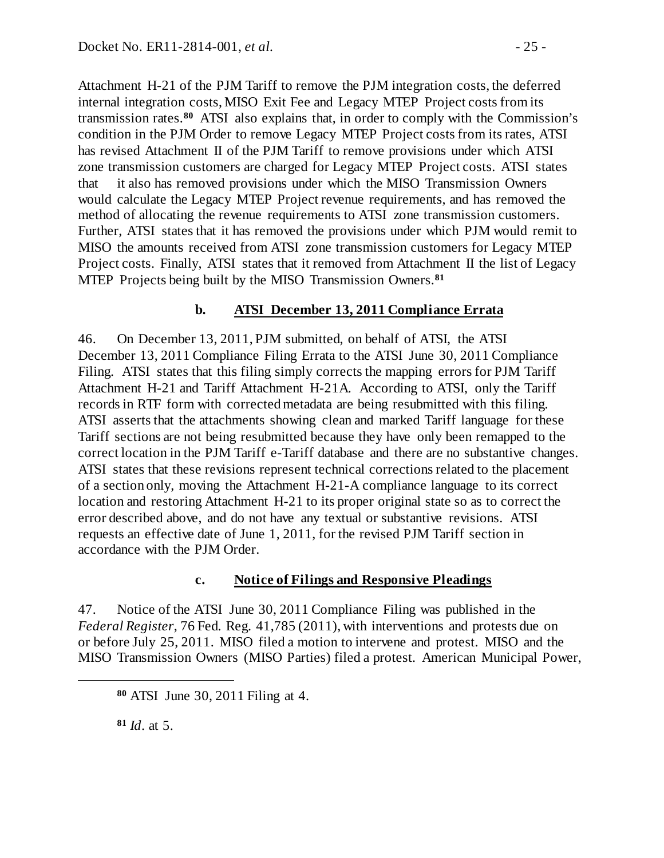Attachment H-21 of the PJM Tariff to remove the PJM integration costs, the deferred internal integration costs, MISO Exit Fee and Legacy MTEP Project costs from its transmission rates.**[80](#page-24-2)** ATSI also explains that, in order to comply with the Commission's condition in the PJM Order to remove Legacy MTEP Project costs from its rates, ATSI has revised Attachment II of the PJM Tariff to remove provisions under which ATSI zone transmission customers are charged for Legacy MTEP Project costs. ATSI states that it also has removed provisions under which the MISO Transmission Owners would calculate the Legacy MTEP Project revenue requirements, and has removed the method of allocating the revenue requirements to ATSI zone transmission customers. Further, ATSI states that it has removed the provisions under which PJM would remit to MISO the amounts received from ATSI zone transmission customers for Legacy MTEP Project costs. Finally, ATSI states that it removed from Attachment II the list of Legacy MTEP Projects being built by the MISO Transmission Owners.**[81](#page-24-3)**

## <span id="page-24-0"></span>**b. ATSI December 13, 2011 Compliance Errata**

46. On December 13, 2011, PJM submitted, on behalf of ATSI, the ATSI December 13, 2011 Compliance Filing Errata to the ATSI June 30, 2011 Compliance Filing. ATSI states that this filing simply corrects the mapping errors for PJM Tariff Attachment H-21 and Tariff Attachment H-21A. According to ATSI, only the Tariff records in RTF form with corrected metadata are being resubmitted with this filing. ATSI asserts that the attachments showing clean and marked Tariff language for these Tariff sections are not being resubmitted because they have only been remapped to the correct location in the PJM Tariff e-Tariff database and there are no substantive changes. ATSI states that these revisions represent technical corrections related to the placement of a section only, moving the Attachment H-21-A compliance language to its correct location and restoring Attachment H-21 to its proper original state so as to correct the error described above, and do not have any textual or substantive revisions. ATSI requests an effective date of June 1, 2011, for the revised PJM Tariff section in accordance with the PJM Order.

#### <span id="page-24-1"></span>**c. Notice of Filings and Responsive Pleadings**

47. Notice of the ATSI June 30, 2011 Compliance Filing was published in the *Federal Register*, 76 Fed. Reg. 41,785 (2011), with interventions and protests due on or before July 25, 2011. MISO filed a motion to intervene and protest. MISO and the MISO Transmission Owners (MISO Parties) filed a protest. American Municipal Power,

**<sup>81</sup>** *Id*. at 5.

<span id="page-24-3"></span><span id="page-24-2"></span> $\overline{a}$ 

**<sup>80</sup>** ATSI June 30, 2011 Filing at 4.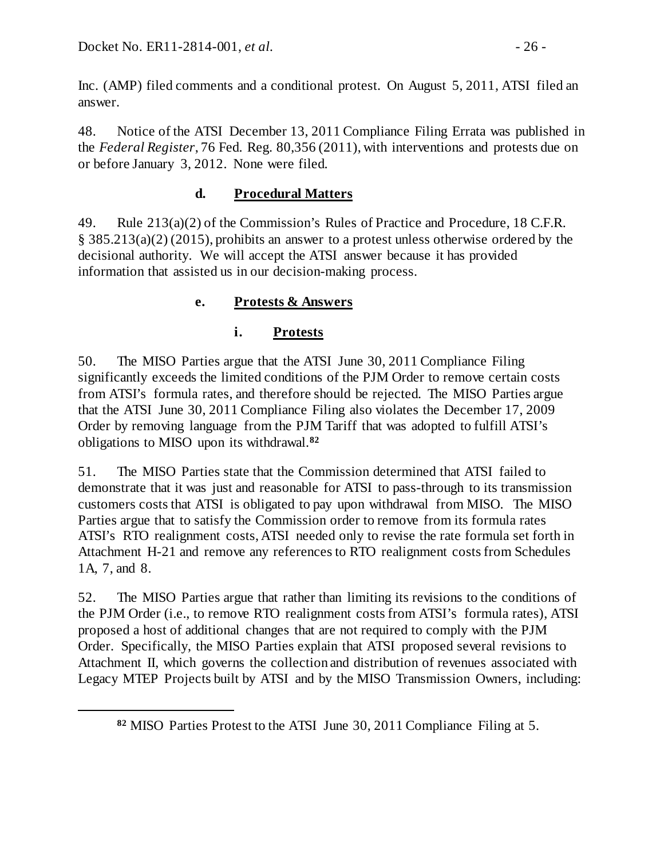<span id="page-25-2"></span> $\overline{a}$ 

Inc. (AMP) filed comments and a conditional protest. On August 5, 2011, ATSI filed an answer.

48. Notice of the ATSI December 13, 2011 Compliance Filing Errata was published in the *Federal Register*, 76 Fed. Reg. 80,356 (2011), with interventions and protests due on or before January 3, 2012. None were filed.

# <span id="page-25-0"></span>**d. Procedural Matters**

49. Rule 213(a)(2) of the Commission's Rules of Practice and Procedure, 18 C.F.R. § 385.213(a)(2) (2015), prohibits an answer to a protest unless otherwise ordered by the decisional authority. We will accept the ATSI answer because it has provided information that assisted us in our decision-making process.

# **e. Protests & Answers**

# <span id="page-25-1"></span>**i. Protests**

50. The MISO Parties argue that the ATSI June 30, 2011 Compliance Filing significantly exceeds the limited conditions of the PJM Order to remove certain costs from ATSI's formula rates, and therefore should be rejected. The MISO Parties argue that the ATSI June 30, 2011 Compliance Filing also violates the December 17, 2009 Order by removing language from the PJM Tariff that was adopted to fulfill ATSI's obligations to MISO upon its withdrawal.**[82](#page-25-2)**

51. The MISO Parties state that the Commission determined that ATSI failed to demonstrate that it was just and reasonable for ATSI to pass-through to its transmission customers costs that ATSI is obligated to pay upon withdrawal from MISO. The MISO Parties argue that to satisfy the Commission order to remove from its formula rates ATSI's RTO realignment costs, ATSI needed only to revise the rate formula set forth in Attachment H-21 and remove any references to RTO realignment costs from Schedules 1A, 7, and 8.

52. The MISO Parties argue that rather than limiting its revisions to the conditions of the PJM Order (i.e., to remove RTO realignment costs from ATSI's formula rates), ATSI proposed a host of additional changes that are not required to comply with the PJM Order. Specifically, the MISO Parties explain that ATSI proposed several revisions to Attachment II, which governs the collection and distribution of revenues associated with Legacy MTEP Projects built by ATSI and by the MISO Transmission Owners, including:

**<sup>82</sup>** MISO Parties Protest to the ATSI June 30, 2011 Compliance Filing at 5.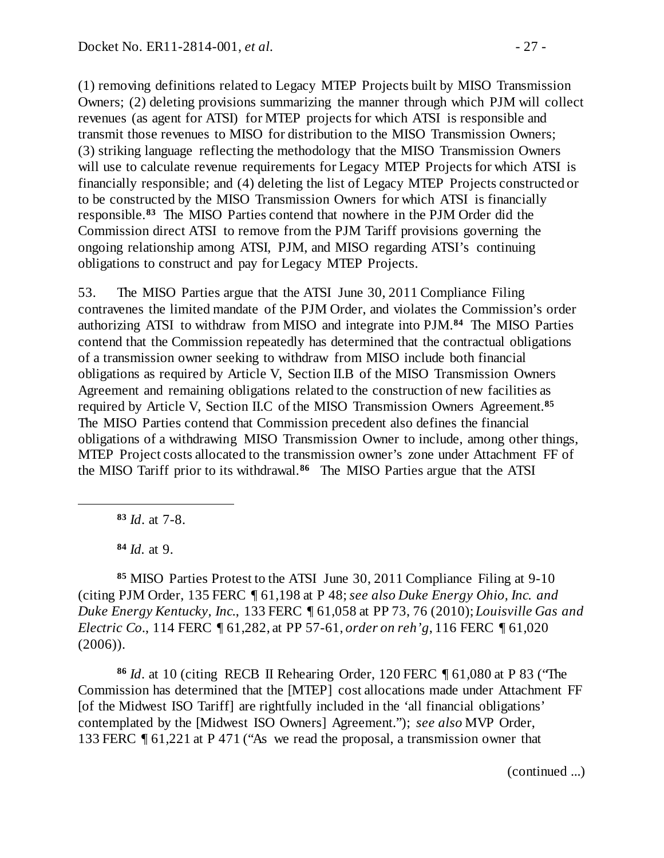(1) removing definitions related to Legacy MTEP Projects built by MISO Transmission Owners; (2) deleting provisions summarizing the manner through which PJM will collect revenues (as agent for ATSI) for MTEP projects for which ATSI is responsible and transmit those revenues to MISO for distribution to the MISO Transmission Owners; (3) striking language reflecting the methodology that the MISO Transmission Owners will use to calculate revenue requirements for Legacy MTEP Projects for which ATSI is financially responsible; and (4) deleting the list of Legacy MTEP Projects constructed or to be constructed by the MISO Transmission Owners for which ATSI is financially responsible.**[83](#page-26-0)** The MISO Parties contend that nowhere in the PJM Order did the Commission direct ATSI to remove from the PJM Tariff provisions governing the ongoing relationship among ATSI, PJM, and MISO regarding ATSI's continuing obligations to construct and pay for Legacy MTEP Projects.

53. The MISO Parties argue that the ATSI June 30, 2011 Compliance Filing contravenes the limited mandate of the PJM Order, and violates the Commission's order authorizing ATSI to withdraw from MISO and integrate into PJM.**[84](#page-26-1)** The MISO Parties contend that the Commission repeatedly has determined that the contractual obligations of a transmission owner seeking to withdraw from MISO include both financial obligations as required by Article V, Section II.B of the MISO Transmission Owners Agreement and remaining obligations related to the construction of new facilities as required by Article V, Section II.C of the MISO Transmission Owners Agreement.**[85](#page-26-2)** The MISO Parties contend that Commission precedent also defines the financial obligations of a withdrawing MISO Transmission Owner to include, among other things, MTEP Project costs allocated to the transmission owner's zone under Attachment FF of the MISO Tariff prior to its withdrawal.**[86](#page-26-3)** The MISO Parties argue that the ATSI

**<sup>83</sup>** *Id*. at 7-8.

**<sup>84</sup>** *Id.* at 9.

<span id="page-26-0"></span> $\overline{a}$ 

<span id="page-26-2"></span><span id="page-26-1"></span>**<sup>85</sup>** MISO Parties Protest to the ATSI June 30, 2011 Compliance Filing at 9-10 (citing PJM Order, 135 FERC ¶ 61,198 at P 48; *see also Duke Energy Ohio, Inc. and Duke Energy Kentucky, Inc.*, 133 FERC ¶ 61,058 at PP 73, 76 (2010); *Louisville Gas and Electric Co.*, 114 FERC ¶ 61,282, at PP 57-61, *order on reh'g*, 116 FERC ¶ 61,020  $(2006)$ ).

<span id="page-26-3"></span>**<sup>86</sup>** *Id*. at 10 (citingRECB II Rehearing Order, 120 FERC ¶ 61,080 at P 83 ("The Commission has determined that the [MTEP] cost allocations made under Attachment FF [of the Midwest ISO Tariff] are rightfully included in the 'all financial obligations' contemplated by the [Midwest ISO Owners] Agreement."); *see also* MVP Order, 133 FERC ¶ 61,221 at P 471 ("As we read the proposal, a transmission owner that

(continued ...)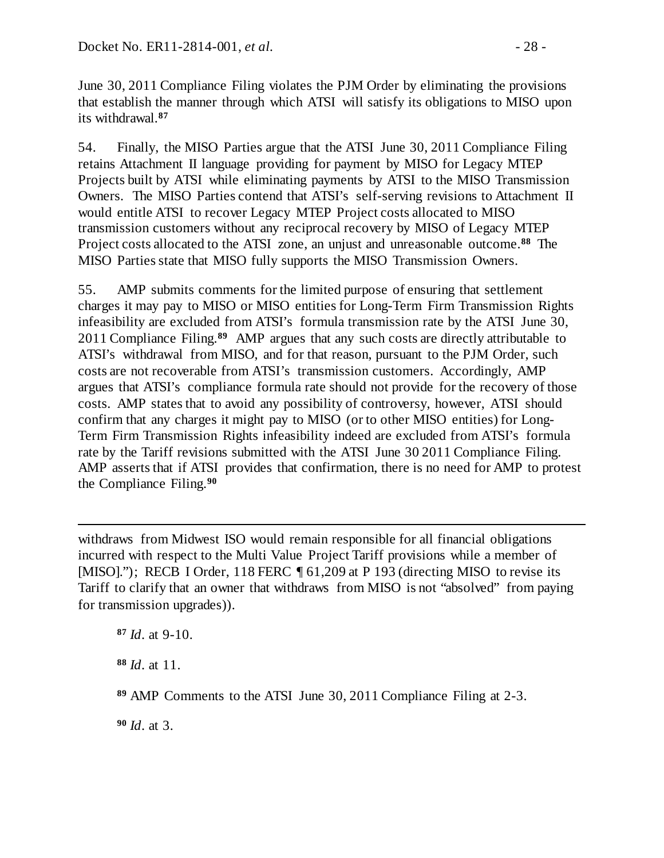June 30, 2011 Compliance Filing violates the PJM Order by eliminating the provisions that establish the manner through which ATSI will satisfy its obligations to MISO upon its withdrawal.**[87](#page-27-0)**

54. Finally, the MISO Parties argue that the ATSI June 30, 2011 Compliance Filing retains Attachment II language providing for payment by MISO for Legacy MTEP Projects built by ATSI while eliminating payments by ATSI to the MISO Transmission Owners. The MISO Parties contend that ATSI's self-serving revisions to Attachment II would entitle ATSI to recover Legacy MTEP Project costs allocated to MISO transmission customers without any reciprocal recovery by MISO of Legacy MTEP Project costs allocated to the ATSI zone, an unjust and unreasonable outcome.**[88](#page-27-1)** The MISO Parties state that MISO fully supports the MISO Transmission Owners.

55. AMP submits comments for the limited purpose of ensuring that settlement charges it may pay to MISO or MISO entities for Long-Term Firm Transmission Rights infeasibility are excluded from ATSI's formula transmission rate by the ATSI June 30, 2011 Compliance Filing.**[89](#page-27-2)** AMP argues that any such costs are directly attributable to ATSI's withdrawal from MISO, and for that reason, pursuant to the PJM Order, such costs are not recoverable from ATSI's transmission customers. Accordingly, AMP argues that ATSI's compliance formula rate should not provide for the recovery of those costs. AMP states that to avoid any possibility of controversy, however, ATSI should confirm that any charges it might pay to MISO (or to other MISO entities) for Long-Term Firm Transmission Rights infeasibility indeed are excluded from ATSI's formula rate by the Tariff revisions submitted with the ATSI June 30 2011 Compliance Filing. AMP asserts that if ATSI provides that confirmation, there is no need for AMP to protest the Compliance Filing.**[90](#page-27-3)**

 $\overline{a}$ withdraws from Midwest ISO would remain responsible for all financial obligations incurred with respect to the Multi Value Project Tariff provisions while a member of [MISO]."); RECB I Order, 118 FERC  $\parallel$  61,209 at P 193 (directing MISO to revise its Tariff to clarify that an owner that withdraws from MISO is not "absolved" from paying for transmission upgrades)).

<span id="page-27-0"></span>**<sup>87</sup>** *Id*. at 9-10.

<span id="page-27-1"></span>**<sup>88</sup>** *Id*. at 11.

<span id="page-27-2"></span>**<sup>89</sup>** AMP Comments to the ATSI June 30, 2011 Compliance Filing at 2-3.

<span id="page-27-3"></span>**<sup>90</sup>** *Id*. at 3.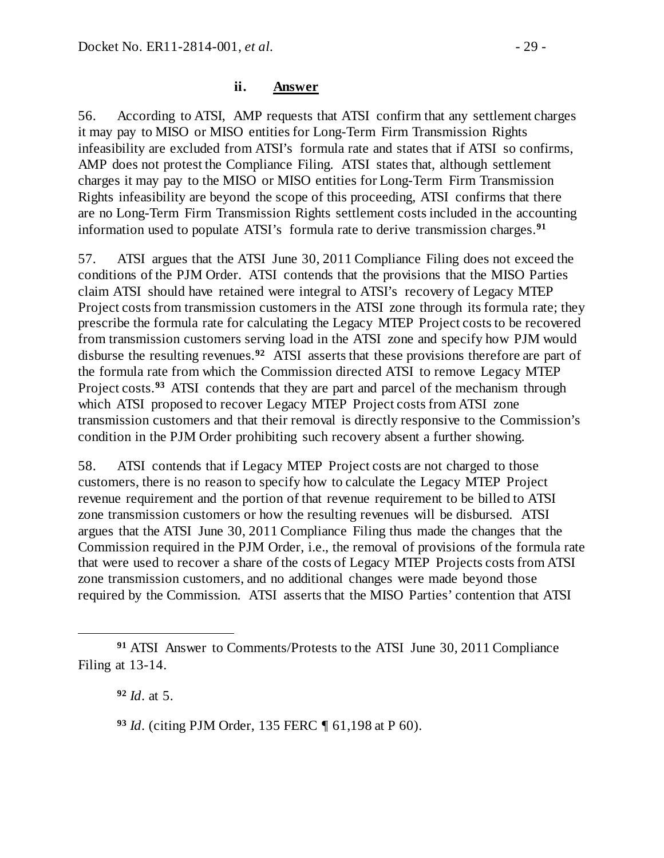56. According to ATSI, AMP requests that ATSI confirm that any settlement charges it may pay to MISO or MISO entities for Long-Term Firm Transmission Rights infeasibility are excluded from ATSI's formula rate and states that if ATSI so confirms, AMP does not protest the Compliance Filing. ATSI states that, although settlement charges it may pay to the MISO or MISO entities for Long-Term Firm Transmission Rights infeasibility are beyond the scope of this proceeding, ATSI confirms that there are no Long-Term Firm Transmission Rights settlement costs included in the accounting information used to populate ATSI's formula rate to derive transmission charges.**[91](#page-28-0)**

57. ATSI argues that the ATSI June 30, 2011 Compliance Filing does not exceed the conditions of the PJM Order. ATSI contends that the provisions that the MISO Parties claim ATSI should have retained were integral to ATSI's recovery of Legacy MTEP Project costs from transmission customers in the ATSI zone through its formula rate; they prescribe the formula rate for calculating the Legacy MTEP Project costs to be recovered from transmission customers serving load in the ATSI zone and specify how PJM would disburse the resulting revenues.**[92](#page-28-1)** ATSI asserts that these provisions therefore are part of the formula rate from which the Commission directed ATSI to remove Legacy MTEP Project costs.**[93](#page-28-2)** ATSI contends that they are part and parcel of the mechanism through which ATSI proposed to recover Legacy MTEP Project costs from ATSI zone transmission customers and that their removal is directly responsive to the Commission's condition in the PJM Order prohibiting such recovery absent a further showing.

58. ATSI contends that if Legacy MTEP Project costs are not charged to those customers, there is no reason to specify how to calculate the Legacy MTEP Project revenue requirement and the portion of that revenue requirement to be billed to ATSI zone transmission customers or how the resulting revenues will be disbursed. ATSI argues that the ATSI June 30, 2011 Compliance Filing thus made the changes that the Commission required in the PJM Order, i.e., the removal of provisions of the formula rate that were used to recover a share of the costs of Legacy MTEP Projects costs from ATSI zone transmission customers, and no additional changes were made beyond those required by the Commission. ATSI asserts that the MISO Parties' contention that ATSI

**<sup>92</sup>** *Id*. at 5.

<span id="page-28-2"></span>**<sup>93</sup>** *Id*. (citing PJM Order, 135 FERC ¶ 61,198 at P 60).

<span id="page-28-1"></span><span id="page-28-0"></span> $\overline{a}$ **<sup>91</sup>** ATSI Answer to Comments/Protests to the ATSI June 30, 2011 Compliance Filing at 13-14.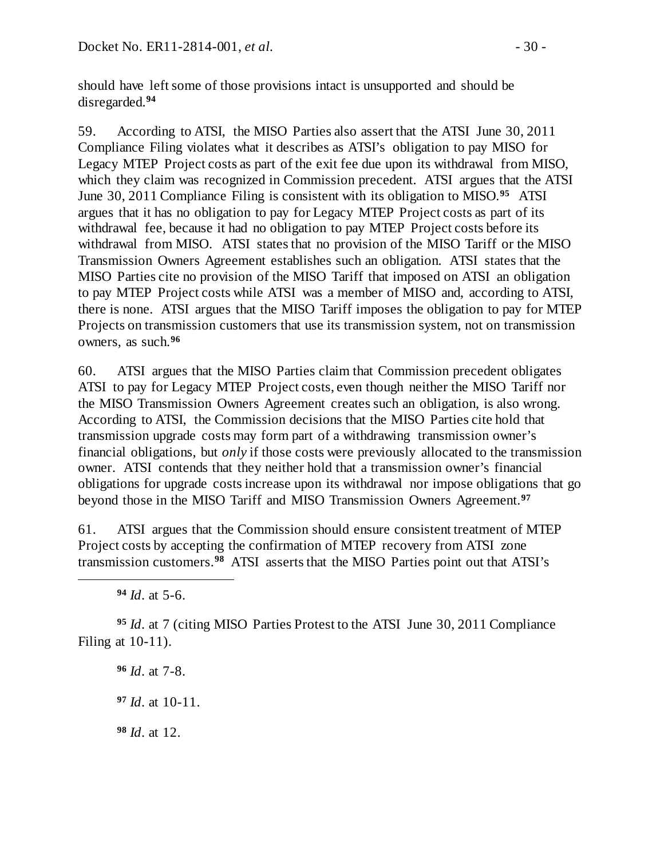should have left some of those provisions intact is unsupported and should be disregarded.**[94](#page-29-0)**

59. According to ATSI, the MISO Parties also assert that the ATSI June 30, 2011 Compliance Filing violates what it describes as ATSI's obligation to pay MISO for Legacy MTEP Project costs as part of the exit fee due upon its withdrawal from MISO, which they claim was recognized in Commission precedent. ATSI argues that the ATSI June 30, 2011 Compliance Filing is consistent with its obligation to MISO.**[95](#page-29-1)** ATSI argues that it has no obligation to pay for Legacy MTEP Project costs as part of its withdrawal fee, because it had no obligation to pay MTEP Project costs before its withdrawal from MISO. ATSI states that no provision of the MISO Tariff or the MISO Transmission Owners Agreement establishes such an obligation. ATSI states that the MISO Parties cite no provision of the MISO Tariff that imposed on ATSI an obligation to pay MTEP Project costs while ATSI was a member of MISO and, according to ATSI, there is none. ATSI argues that the MISO Tariff imposes the obligation to pay for MTEP Projects on transmission customers that use its transmission system, not on transmission owners, as such.**[96](#page-29-2)**

60. ATSI argues that the MISO Parties claim that Commission precedent obligates ATSI to pay for Legacy MTEP Project costs, even though neither the MISO Tariff nor the MISO Transmission Owners Agreement creates such an obligation, is also wrong. According to ATSI, the Commission decisions that the MISO Parties cite hold that transmission upgrade costs may form part of a withdrawing transmission owner's financial obligations, but *only* if those costs were previously allocated to the transmission owner. ATSI contends that they neither hold that a transmission owner's financial obligations for upgrade costs increase upon its withdrawal nor impose obligations that go beyond those in the MISO Tariff and MISO Transmission Owners Agreement.**[97](#page-29-3)**

61. ATSI argues that the Commission should ensure consistent treatment of MTEP Project costs by accepting the confirmation of MTEP recovery from ATSI zone transmission customers.**[98](#page-29-4)** ATSI asserts that the MISO Parties point out that ATSI's

**<sup>94</sup>** *Id*. at 5-6.

<span id="page-29-0"></span> $\overline{a}$ 

<span id="page-29-3"></span><span id="page-29-2"></span><span id="page-29-1"></span>**<sup>95</sup>** *Id*. at 7 (citing MISO Parties Protest to the ATSI June 30, 2011 Compliance Filing at 10-11).

**<sup>96</sup>** *Id*. at 7-8.

**<sup>97</sup>** *Id*. at 10-11.

<span id="page-29-4"></span>**<sup>98</sup>** *Id*. at 12.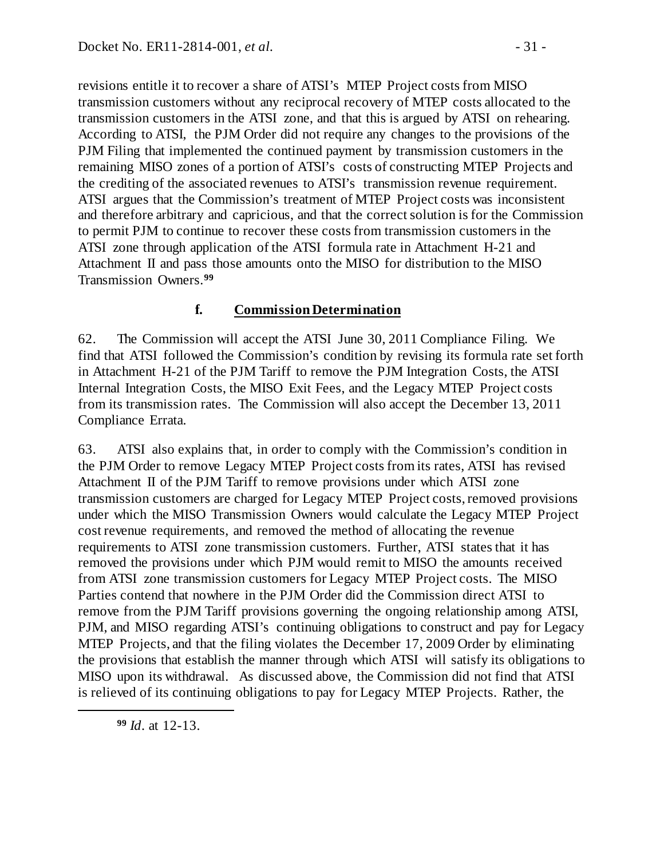revisions entitle it to recover a share of ATSI's MTEP Project costs from MISO transmission customers without any reciprocal recovery of MTEP costs allocated to the transmission customers in the ATSI zone, and that this is argued by ATSI on rehearing. According to ATSI, the PJM Order did not require any changes to the provisions of the PJM Filing that implemented the continued payment by transmission customers in the remaining MISO zones of a portion of ATSI's costs of constructing MTEP Projects and the crediting of the associated revenues to ATSI's transmission revenue requirement. ATSI argues that the Commission's treatment of MTEP Project costs was inconsistent and therefore arbitrary and capricious, and that the correct solution is for the Commission to permit PJM to continue to recover these costs from transmission customers in the ATSI zone through application of the ATSI formula rate in Attachment H-21 and Attachment II and pass those amounts onto the MISO for distribution to the MISO Transmission Owners.**[99](#page-30-1)**

## <span id="page-30-0"></span>**f. Commission Determination**

62. The Commission will accept the ATSI June 30, 2011 Compliance Filing. We find that ATSI followed the Commission's condition by revising its formula rate set forth in Attachment H-21 of the PJM Tariff to remove the PJM Integration Costs, the ATSI Internal Integration Costs, the MISO Exit Fees, and the Legacy MTEP Project costs from its transmission rates. The Commission will also accept the December 13, 2011 Compliance Errata.

63. ATSI also explains that, in order to comply with the Commission's condition in the PJM Order to remove Legacy MTEP Project costs from its rates, ATSI has revised Attachment II of the PJM Tariff to remove provisions under which ATSI zone transmission customers are charged for Legacy MTEP Project costs, removed provisions under which the MISO Transmission Owners would calculate the Legacy MTEP Project cost revenue requirements, and removed the method of allocating the revenue requirements to ATSI zone transmission customers. Further, ATSI states that it has removed the provisions under which PJM would remit to MISO the amounts received from ATSI zone transmission customers for Legacy MTEP Project costs. The MISO Parties contend that nowhere in the PJM Order did the Commission direct ATSI to remove from the PJM Tariff provisions governing the ongoing relationship among ATSI, PJM, and MISO regarding ATSI's continuing obligations to construct and pay for Legacy MTEP Projects, and that the filing violates the December 17, 2009 Order by eliminating the provisions that establish the manner through which ATSI will satisfy its obligations to MISO upon its withdrawal. As discussed above, the Commission did not find that ATSI is relieved of its continuing obligations to pay for Legacy MTEP Projects. Rather, the

**<sup>99</sup>** *Id*. at 12-13.

<span id="page-30-1"></span> $\overline{a}$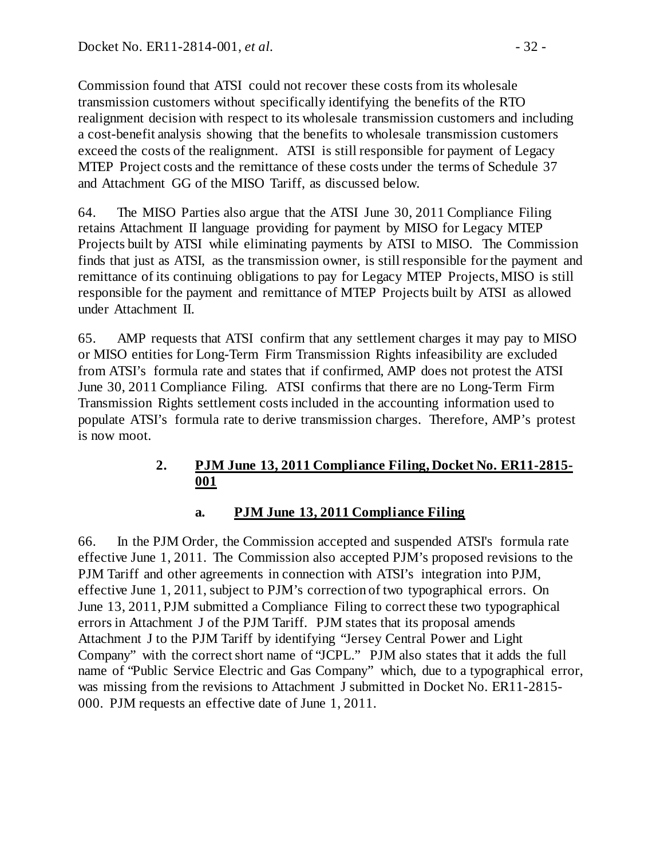Commission found that ATSI could not recover these costs from its wholesale transmission customers without specifically identifying the benefits of the RTO realignment decision with respect to its wholesale transmission customers and including a cost-benefit analysis showing that the benefits to wholesale transmission customers exceed the costs of the realignment. ATSI is still responsible for payment of Legacy MTEP Project costs and the remittance of these costs under the terms of Schedule 37 and Attachment GG of the MISO Tariff, as discussed below.

<span id="page-31-2"></span>64. The MISO Parties also argue that the ATSI June 30, 2011 Compliance Filing retains Attachment II language providing for payment by MISO for Legacy MTEP Projects built by ATSI while eliminating payments by ATSI to MISO. The Commission finds that just as ATSI, as the transmission owner, is still responsible for the payment and remittance of its continuing obligations to pay for Legacy MTEP Projects, MISO is still responsible for the payment and remittance of MTEP Projects built by ATSI as allowed under Attachment II.

65. AMP requests that ATSI confirm that any settlement charges it may pay to MISO or MISO entities for Long-Term Firm Transmission Rights infeasibility are excluded from ATSI's formula rate and states that if confirmed, AMP does not protest the ATSI June 30, 2011 Compliance Filing. ATSI confirms that there are no Long-Term Firm Transmission Rights settlement costs included in the accounting information used to populate ATSI's formula rate to derive transmission charges. Therefore, AMP's protest is now moot.

## **2. PJM June 13, 2011 Compliance Filing, Docket No. ER11-2815- 001**

#### <span id="page-31-1"></span><span id="page-31-0"></span>**a. PJM June 13, 2011 Compliance Filing**

66. In the PJM Order, the Commission accepted and suspended ATSI's formula rate effective June 1, 2011. The Commission also accepted PJM's proposed revisions to the PJM Tariff and other agreements in connection with ATSI's integration into PJM, effective June 1, 2011, subject to PJM's correction of two typographical errors. On June 13, 2011, PJM submitted a Compliance Filing to correct these two typographical errors in Attachment J of the PJM Tariff. PJM states that its proposal amends Attachment J to the PJM Tariff by identifying "Jersey Central Power and Light Company" with the correct short name of "JCPL." PJM also states that it adds the full name of "Public Service Electric and Gas Company" which, due to a typographical error, was missing from the revisions to Attachment J submitted in Docket No. ER11-2815- 000. PJM requests an effective date of June 1, 2011.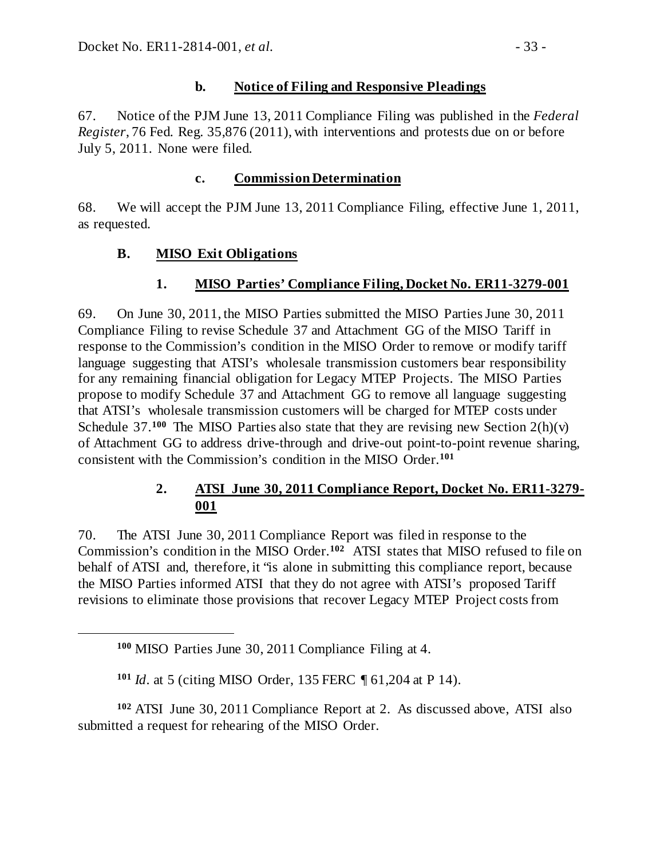## <span id="page-32-0"></span>**b. Notice of Filing and Responsive Pleadings**

67. Notice of the PJM June 13, 2011 Compliance Filing was published in the *Federal Register*, 76 Fed. Reg. 35,876 (2011), with interventions and protests due on or before July 5, 2011. None were filed.

## <span id="page-32-3"></span><span id="page-32-2"></span><span id="page-32-1"></span>**c. Commission Determination**

68. We will accept the PJM June 13, 2011 Compliance Filing, effective June 1, 2011, as requested.

## **B. MISO Exit Obligations**

#### **1. MISO Parties' Compliance Filing, Docket No. ER11-3279-001**

69. On June 30, 2011, the MISO Parties submitted the MISO Parties June 30, 2011 Compliance Filing to revise Schedule 37 and Attachment GG of the MISO Tariff in response to the Commission's condition in the MISO Order to remove or modify tariff language suggesting that ATSI's wholesale transmission customers bear responsibility for any remaining financial obligation for Legacy MTEP Projects. The MISO Parties propose to modify Schedule 37 and Attachment GG to remove all language suggesting that ATSI's wholesale transmission customers will be charged for MTEP costs under Schedule  $37.100$  $37.100$  The MISO Parties also state that they are revising new Section  $2(h)(v)$ of Attachment GG to address drive-through and drive-out point-to-point revenue sharing, consistent with the Commission's condition in the MISO Order.**[101](#page-32-6)**

# <span id="page-32-4"></span>**2. ATSI June 30, 2011 Compliance Report, Docket No. ER11-3279- 001**

70. The ATSI June 30, 2011 Compliance Report was filed in response to the Commission's condition in the MISO Order.**[102](#page-32-7)** ATSI states that MISO refused to file on behalf of ATSI and, therefore, it "is alone in submitting this compliance report, because the MISO Parties informed ATSI that they do not agree with ATSI's proposed Tariff revisions to eliminate those provisions that recover Legacy MTEP Project costs from

<span id="page-32-5"></span> $\overline{a}$ 

<span id="page-32-7"></span><span id="page-32-6"></span>**<sup>102</sup>** ATSI June 30, 2011 Compliance Report at 2. As discussed above, ATSI also submitted a request for rehearing of the MISO Order.

**<sup>100</sup>** MISO Parties June 30, 2011 Compliance Filing at 4.

**<sup>101</sup>** *Id*. at 5 (citing MISO Order, 135 FERC ¶ 61,204 at P 14).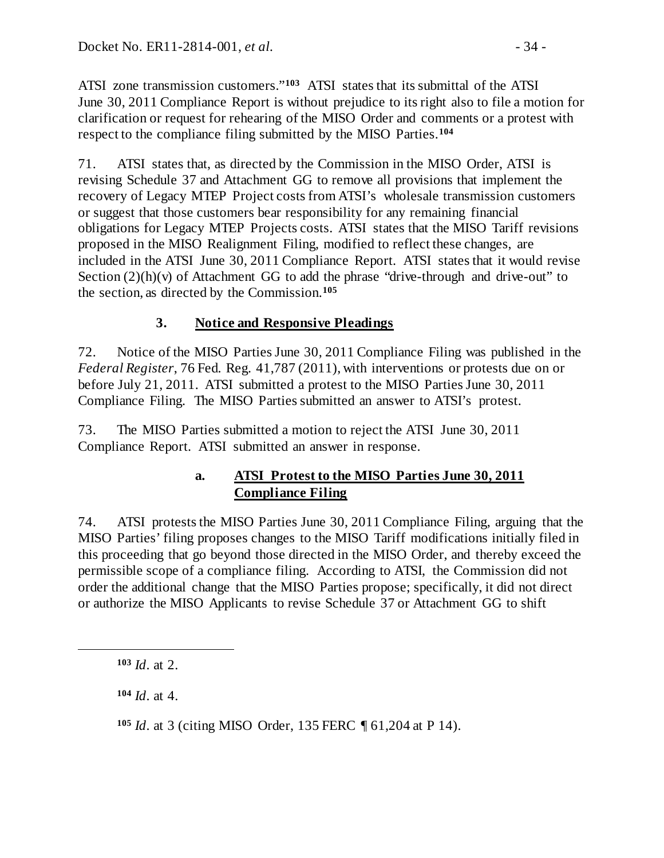ATSI zone transmission customers."**[103](#page-33-2)** ATSI states that its submittal of the ATSI June 30, 2011 Compliance Report is without prejudice to its right also to file a motion for clarification or request for rehearing of the MISO Order and comments or a protest with respect to the compliance filing submitted by the MISO Parties.**[104](#page-33-3)**

71. ATSI states that, as directed by the Commission in the MISO Order, ATSI is revising Schedule 37 and Attachment GG to remove all provisions that implement the recovery of Legacy MTEP Project costs from ATSI's wholesale transmission customers or suggest that those customers bear responsibility for any remaining financial obligations for Legacy MTEP Projects costs. ATSI states that the MISO Tariff revisions proposed in the MISO Realignment Filing, modified to reflect these changes, are included in the ATSI June 30, 2011 Compliance Report. ATSI states that it would revise Section  $(2)(h)(v)$  of Attachment GG to add the phrase "drive-through and drive-out" to the section, as directed by the Commission.**[105](#page-33-4)**

# <span id="page-33-0"></span>**3. Notice and Responsive Pleadings**

72. Notice of the MISO Parties June 30, 2011 Compliance Filing was published in the *Federal Register*, 76 Fed. Reg. 41,787 (2011), with interventions or protests due on or before July 21, 2011. ATSI submitted a protest to the MISO Parties June 30, 2011 Compliance Filing. The MISO Parties submitted an answer to ATSI's protest.

73. The MISO Parties submitted a motion to reject the ATSI June 30, 2011 Compliance Report. ATSI submitted an answer in response.

## <span id="page-33-1"></span>**a. ATSI Protest to the MISO Parties June 30, 2011 Compliance Filing**

74. ATSI protests the MISO Parties June 30, 2011 Compliance Filing, arguing that the MISO Parties' filing proposes changes to the MISO Tariff modifications initially filed in this proceeding that go beyond those directed in the MISO Order, and thereby exceed the permissible scope of a compliance filing. According to ATSI, the Commission did not order the additional change that the MISO Parties propose; specifically, it did not direct or authorize the MISO Applicants to revise Schedule 37 or Attachment GG to shift

<span id="page-33-4"></span><span id="page-33-3"></span><span id="page-33-2"></span> $\overline{a}$ 

**<sup>103</sup>** *Id*. at 2.

**<sup>104</sup>** *Id*. at 4.

**<sup>105</sup>** *Id*. at 3 (citing MISO Order, 135 FERC ¶ 61,204 at P 14).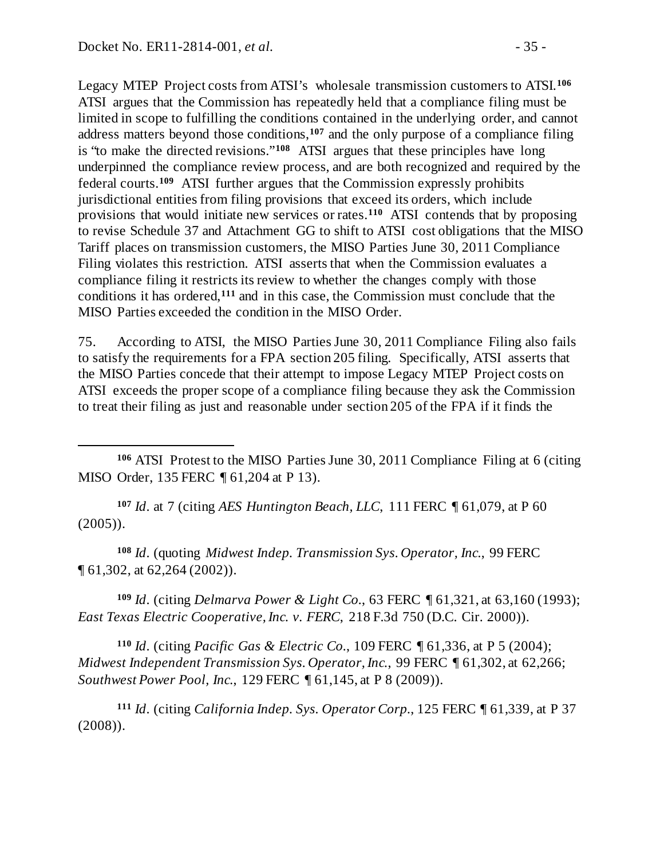$\overline{a}$ 

Legacy MTEP Project costs from ATSI's wholesale transmission customers to ATSI.**[106](#page-34-0)** ATSI argues that the Commission has repeatedly held that a compliance filing must be limited in scope to fulfilling the conditions contained in the underlying order, and cannot address matters beyond those conditions,**[107](#page-34-1)** and the only purpose of a compliance filing is "to make the directed revisions."**[108](#page-34-2)** ATSI argues that these principles have long underpinned the compliance review process, and are both recognized and required by the federal courts.**[109](#page-34-3)** ATSI further argues that the Commission expressly prohibits jurisdictional entities from filing provisions that exceed its orders, which include provisions that would initiate new services or rates.**[110](#page-34-4)** ATSI contends that by proposing to revise Schedule 37 and Attachment GG to shift to ATSI cost obligations that the MISO Tariff places on transmission customers, the MISO Parties June 30, 2011 Compliance Filing violates this restriction. ATSI asserts that when the Commission evaluates a compliance filing it restricts its review to whether the changes comply with those conditions it has ordered,**[111](#page-34-5)** and in this case, the Commission must conclude that the MISO Parties exceeded the condition in the MISO Order.

75. According to ATSI, the MISO Parties June 30, 2011 Compliance Filing also fails to satisfy the requirements for a FPA section 205 filing. Specifically, ATSI asserts that the MISO Parties concede that their attempt to impose Legacy MTEP Project costs on ATSI exceeds the proper scope of a compliance filing because they ask the Commission to treat their filing as just and reasonable under section 205 of the FPA if it finds the

<span id="page-34-1"></span>**<sup>107</sup>** *Id*. at 7 (citing *AES Huntington Beach, LLC*, 111 FERC ¶ 61,079, at P 60  $(2005)$ ).

<span id="page-34-2"></span>**<sup>108</sup>** *Id*. (quoting *Midwest Indep. Transmission Sys. Operator, Inc.*, 99 FERC ¶ 61,302, at 62,264 (2002)).

<span id="page-34-3"></span>**<sup>109</sup>** *Id*. (citing *Delmarva Power & Light Co.*, 63 FERC ¶ 61,321, at 63,160 (1993); *East Texas Electric Cooperative, Inc. v. FERC*, 218 F.3d 750 (D.C. Cir. 2000)).

<span id="page-34-4"></span>**<sup>110</sup>** *Id*. (citing *Pacific Gas & Electric Co.*, 109 FERC ¶ 61,336, at P 5 (2004); *Midwest Independent Transmission Sys. Operator, Inc.*, 99 FERC ¶ 61,302, at 62,266; *Southwest Power Pool, Inc.*, 129 FERC ¶ 61,145, at P 8 (2009)).

<span id="page-34-5"></span>**<sup>111</sup>** *Id*. (citing *California Indep. Sys. Operator Corp.*, 125 FERC ¶ 61,339, at P 37 (2008)).

<span id="page-34-0"></span>**<sup>106</sup>** ATSI Protest to the MISO Parties June 30, 2011 Compliance Filing at 6 (citing MISO Order, 135 FERC ¶ 61,204 at P 13).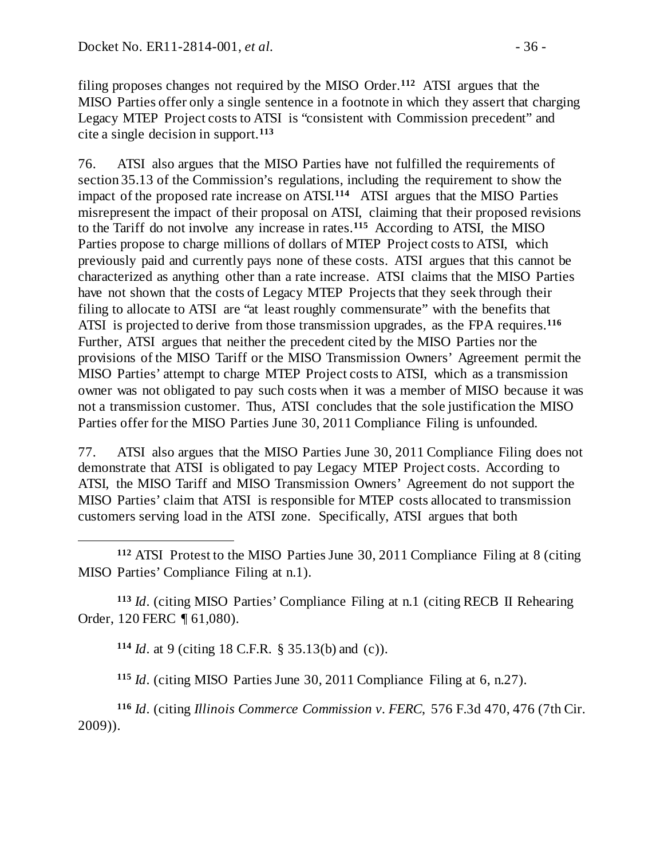filing proposes changes not required by the MISO Order.**[112](#page-35-0)** ATSI argues that the MISO Parties offer only a single sentence in a footnote in which they assert that charging Legacy MTEP Project costs to ATSI is "consistent with Commission precedent" and cite a single decision in support.**[113](#page-35-1)**

76. ATSI also argues that the MISO Parties have not fulfilled the requirements of section 35.13 of the Commission's regulations, including the requirement to show the impact of the proposed rate increase on ATSI.**[114](#page-35-2)** ATSI argues that the MISO Parties misrepresent the impact of their proposal on ATSI, claiming that their proposed revisions to the Tariff do not involve any increase in rates.**[115](#page-35-3)** According to ATSI, the MISO Parties propose to charge millions of dollars of MTEP Project costs to ATSI, which previously paid and currently pays none of these costs. ATSI argues that this cannot be characterized as anything other than a rate increase. ATSI claims that the MISO Parties have not shown that the costs of Legacy MTEP Projects that they seek through their filing to allocate to ATSI are "at least roughly commensurate" with the benefits that ATSI is projected to derive from those transmission upgrades, as the FPA requires.**[116](#page-35-4)** Further, ATSI argues that neither the precedent cited by the MISO Parties nor the provisions of the MISO Tariff or the MISO Transmission Owners' Agreement permit the MISO Parties' attempt to charge MTEP Project costs to ATSI, which as a transmission owner was not obligated to pay such costs when it was a member of MISO because it was not a transmission customer. Thus, ATSI concludes that the sole justification the MISO Parties offer for the MISO Parties June 30, 2011 Compliance Filing is unfounded.

77. ATSI also argues that the MISO Parties June 30, 2011 Compliance Filing does not demonstrate that ATSI is obligated to pay Legacy MTEP Project costs. According to ATSI, the MISO Tariff and MISO Transmission Owners' Agreement do not support the MISO Parties' claim that ATSI is responsible for MTEP costs allocated to transmission customers serving load in the ATSI zone. Specifically, ATSI argues that both

<span id="page-35-0"></span> $\overline{a}$ **<sup>112</sup>** ATSI Protest to the MISO Parties June 30, 2011 Compliance Filing at 8 (citing MISO Parties' Compliance Filing at n.1).

<span id="page-35-2"></span><span id="page-35-1"></span>**<sup>113</sup>** *Id*. (citing MISO Parties' Compliance Filing at n.1 (citing RECB II Rehearing Order, 120 FERC ¶ 61,080).

**<sup>114</sup>** *Id*. at 9 (citing 18 C.F.R. § 35.13(b) and (c)).

**<sup>115</sup>** *Id*. (citing MISO Parties June 30, 2011 Compliance Filing at 6, n.27).

<span id="page-35-4"></span><span id="page-35-3"></span>**<sup>116</sup>** *Id*. (citing *Illinois Commerce Commission v. FERC*, 576 F.3d 470, 476 (7th Cir. 2009)).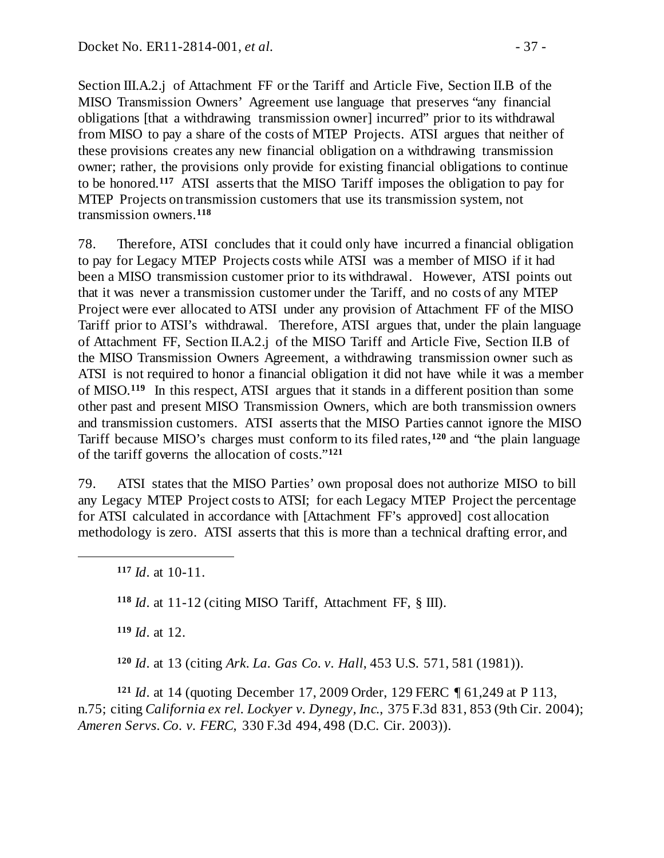Section III.A.2.j of Attachment FF or the Tariff and Article Five, Section II.B of the MISO Transmission Owners' Agreement use language that preserves "any financial obligations [that a withdrawing transmission owner] incurred" prior to its withdrawal from MISO to pay a share of the costs of MTEP Projects. ATSI argues that neither of these provisions creates any new financial obligation on a withdrawing transmission owner; rather, the provisions only provide for existing financial obligations to continue to be honored.**[117](#page-36-0)** ATSI asserts that the MISO Tariff imposes the obligation to pay for MTEP Projects on transmission customers that use its transmission system, not transmission owners.**[118](#page-36-1)**

78. Therefore, ATSI concludes that it could only have incurred a financial obligation to pay for Legacy MTEP Projects costs while ATSI was a member of MISO if it had been a MISO transmission customer prior to its withdrawal. However, ATSI points out that it was never a transmission customer under the Tariff, and no costs of any MTEP Project were ever allocated to ATSI under any provision of Attachment FF of the MISO Tariff prior to ATSI's withdrawal. Therefore, ATSI argues that, under the plain language of Attachment FF, Section II.A.2.j of the MISO Tariff and Article Five, Section II.B of the MISO Transmission Owners Agreement, a withdrawing transmission owner such as ATSI is not required to honor a financial obligation it did not have while it was a member of MISO.**[119](#page-36-2)** In this respect, ATSI argues that it stands in a different position than some other past and present MISO Transmission Owners, which are both transmission owners and transmission customers. ATSI asserts that the MISO Parties cannot ignore the MISO Tariff because MISO's charges must conform to its filed rates,**[120](#page-36-3)** and "the plain language of the tariff governs the allocation of costs."**[121](#page-36-4)**

79. ATSI states that the MISO Parties' own proposal does not authorize MISO to bill any Legacy MTEP Project costs to ATSI; for each Legacy MTEP Project the percentage for ATSI calculated in accordance with [Attachment FF's approved] cost allocation methodology is zero. ATSI asserts that this is more than a technical drafting error, and

**<sup>117</sup>** *Id*. at 10-11.

<span id="page-36-1"></span><span id="page-36-0"></span> $\overline{a}$ 

**<sup>118</sup>** *Id*. at 11-12 (citing MISO Tariff, Attachment FF, § III).

**<sup>119</sup>** *Id*. at 12.

**<sup>120</sup>** *Id*. at 13 (citing *Ark. La. Gas Co. v. Hall*, 453 U.S. 571, 581 (1981)).

<span id="page-36-4"></span><span id="page-36-3"></span><span id="page-36-2"></span>**<sup>121</sup>** *Id*. at 14 (quoting December 17, 2009 Order, 129 FERC ¶ 61,249 at P 113, n.75; citing *California ex rel. Lockyer v. Dynegy, Inc.*, 375 F.3d 831, 853 (9th Cir. 2004); *Ameren Servs. Co. v. FERC*, 330 F.3d 494, 498 (D.C. Cir. 2003)).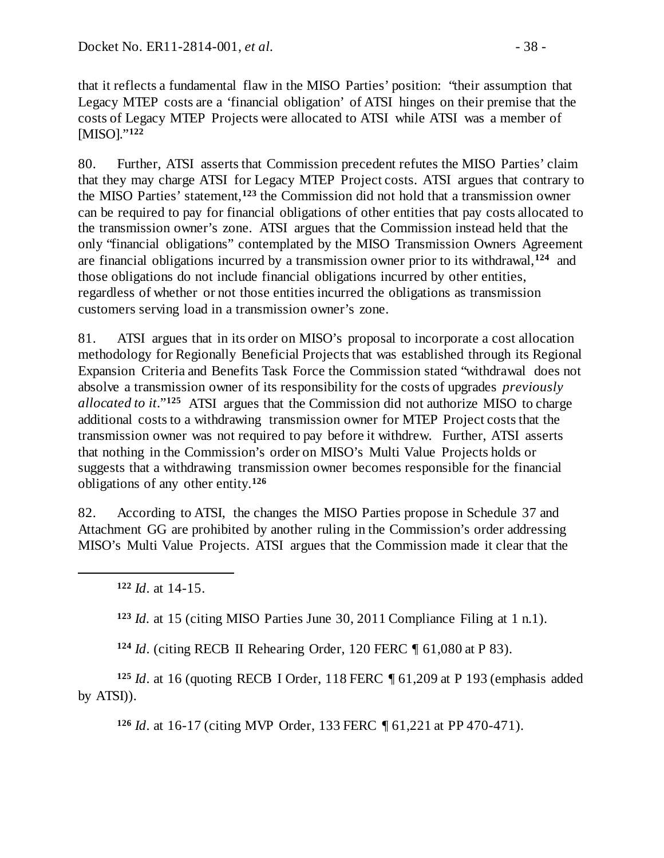that it reflects a fundamental flaw in the MISO Parties' position: "their assumption that Legacy MTEP costs are a 'financial obligation' of ATSI hinges on their premise that the costs of Legacy MTEP Projects were allocated to ATSI while ATSI was a member of [MISO]."**[122](#page-37-0)**

80. Further, ATSI asserts that Commission precedent refutes the MISO Parties' claim that they may charge ATSI for Legacy MTEP Project costs. ATSI argues that contrary to the MISO Parties' statement,**[123](#page-37-1)** the Commission did not hold that a transmission owner can be required to pay for financial obligations of other entities that pay costs allocated to the transmission owner's zone. ATSI argues that the Commission instead held that the only "financial obligations" contemplated by the MISO Transmission Owners Agreement are financial obligations incurred by a transmission owner prior to its withdrawal,**[124](#page-37-2)** and those obligations do not include financial obligations incurred by other entities, regardless of whether or not those entities incurred the obligations as transmission customers serving load in a transmission owner's zone.

81. ATSI argues that in its order on MISO's proposal to incorporate a cost allocation methodology for Regionally Beneficial Projects that was established through its Regional Expansion Criteria and Benefits Task Force the Commission stated "withdrawal does not absolve a transmission owner of its responsibility for the costs of upgrades *previously allocated to it*."**[125](#page-37-3)** ATSI argues that the Commission did not authorize MISO to charge additional costs to a withdrawing transmission owner for MTEP Project costs that the transmission owner was not required to pay before it withdrew. Further, ATSI asserts that nothing in the Commission's order on MISO's Multi Value Projects holds or suggests that a withdrawing transmission owner becomes responsible for the financial obligations of any other entity.**[126](#page-37-4)**

82. According to ATSI, the changes the MISO Parties propose in Schedule 37 and Attachment GG are prohibited by another ruling in the Commission's order addressing MISO's Multi Value Projects. ATSI argues that the Commission made it clear that the

<span id="page-37-1"></span><span id="page-37-0"></span> $\overline{a}$ 

**<sup>123</sup>** *Id.* at 15 (citing MISO Parties June 30, 2011 Compliance Filing at 1 n.1).

**<sup>124</sup>** *Id*. (citing RECB II Rehearing Order, 120 FERC ¶ 61,080 at P 83).

<span id="page-37-4"></span><span id="page-37-3"></span><span id="page-37-2"></span>**<sup>125</sup>** *Id*. at 16 (quoting RECB I Order, 118 FERC ¶ 61,209 at P 193 (emphasis added by ATSI)).

**<sup>126</sup>** *Id*. at 16-17 (citing MVP Order, 133 FERC ¶ 61,221 at PP 470-471).

**<sup>122</sup>** *Id*. at 14-15.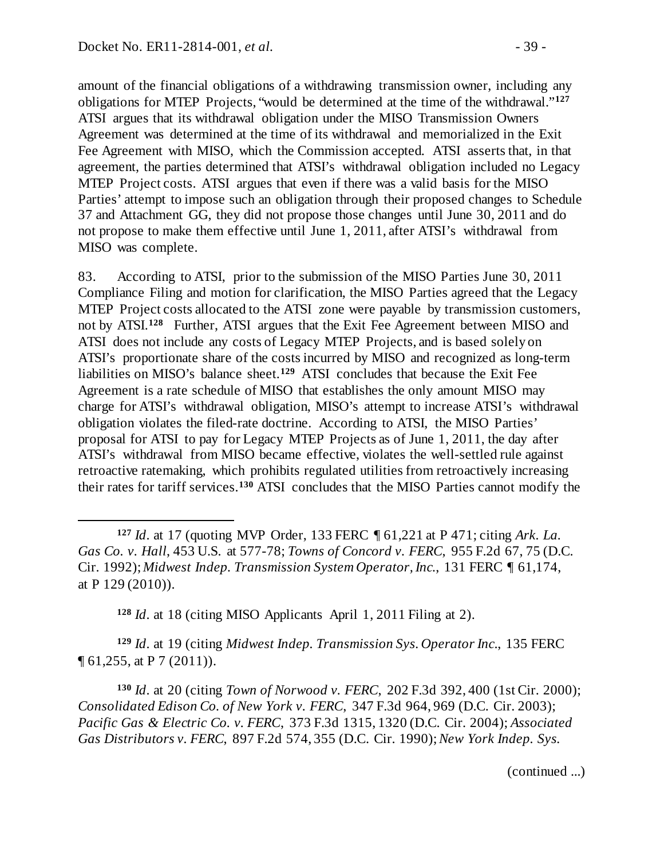$\overline{a}$ 

amount of the financial obligations of a withdrawing transmission owner, including any obligations for MTEP Projects, "would be determined at the time of the withdrawal."**[127](#page-38-0)** ATSI argues that its withdrawal obligation under the MISO Transmission Owners Agreement was determined at the time of its withdrawal and memorialized in the Exit Fee Agreement with MISO, which the Commission accepted. ATSI asserts that, in that agreement, the parties determined that ATSI's withdrawal obligation included no Legacy MTEP Project costs. ATSI argues that even if there was a valid basis for the MISO Parties' attempt to impose such an obligation through their proposed changes to Schedule 37 and Attachment GG, they did not propose those changes until June 30, 2011 and do not propose to make them effective until June 1, 2011, after ATSI's withdrawal from MISO was complete.

83. According to ATSI, prior to the submission of the MISO Parties June 30, 2011 Compliance Filing and motion for clarification, the MISO Parties agreed that the Legacy MTEP Project costs allocated to the ATSI zone were payable by transmission customers, not by ATSI.**[128](#page-38-1)** Further, ATSI argues that the Exit Fee Agreement between MISO and ATSI does not include any costs of Legacy MTEP Projects, and is based solely on ATSI's proportionate share of the costs incurred by MISO and recognized as long-term liabilities on MISO's balance sheet.**[129](#page-38-2)** ATSI concludes that because the Exit Fee Agreement is a rate schedule of MISO that establishes the only amount MISO may charge for ATSI's withdrawal obligation, MISO's attempt to increase ATSI's withdrawal obligation violates the filed-rate doctrine. According to ATSI, the MISO Parties' proposal for ATSI to pay for Legacy MTEP Projects as of June 1, 2011, the day after ATSI's withdrawal from MISO became effective, violates the well-settled rule against retroactive ratemaking, which prohibits regulated utilities from retroactively increasing their rates for tariff services.**[130](#page-38-3)** ATSI concludes that the MISO Parties cannot modify the

**<sup>128</sup>** *Id*. at 18 (citing MISO Applicants April 1, 2011 Filing at 2).

<span id="page-38-2"></span><span id="page-38-1"></span>**<sup>129</sup>** *Id*. at 19 (citing *Midwest Indep. Transmission Sys. Operator Inc*., 135 FERC  $\P$  61,255, at P 7 (2011)).

<span id="page-38-3"></span>**<sup>130</sup>** *Id*. at 20 (citing *Town of Norwood v. FERC*, 202 F.3d 392, 400 (1st Cir. 2000); *Consolidated Edison Co. of New York v. FERC*, 347 F.3d 964, 969 (D.C. Cir. 2003); *Pacific Gas & Electric Co. v. FERC*, 373 F.3d 1315, 1320 (D.C. Cir. 2004); *Associated Gas Distributors v. FERC*, 897 F.2d 574, 355 (D.C. Cir. 1990); *New York Indep. Sys.*

(continued ...)

<span id="page-38-0"></span>**<sup>127</sup>** *Id*. at 17 (quoting MVP Order, 133 FERC ¶ 61,221 at P 471; citing *Ark. La. Gas Co. v. Hall*, 453 U.S. at 577-78; *Towns of Concord v. FERC*, 955 F.2d 67, 75 (D.C. Cir. 1992); *Midwest Indep. Transmission System Operator, Inc.*, 131 FERC ¶ 61,174, at P 129 (2010)).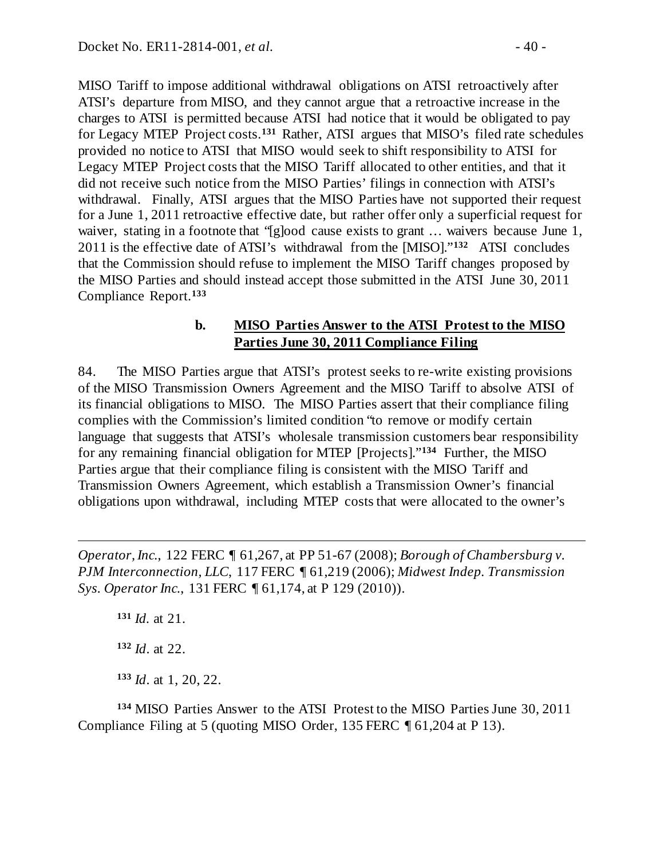MISO Tariff to impose additional withdrawal obligations on ATSI retroactively after ATSI's departure from MISO, and they cannot argue that a retroactive increase in the charges to ATSI is permitted because ATSI had notice that it would be obligated to pay for Legacy MTEP Project costs.**[131](#page-39-1)** Rather, ATSI argues that MISO's filed rate schedules provided no notice to ATSI that MISO would seek to shift responsibility to ATSI for Legacy MTEP Project costs that the MISO Tariff allocated to other entities, and that it did not receive such notice from the MISO Parties' filings in connection with ATSI's withdrawal. Finally, ATSI argues that the MISO Parties have not supported their request for a June 1, 2011 retroactive effective date, but rather offer only a superficial request for waiver, stating in a footnote that "[g]ood cause exists to grant ... waivers because June 1, 2011 is the effective date of ATSI's withdrawal from the [MISO]."**[132](#page-39-2)** ATSI concludes that the Commission should refuse to implement the MISO Tariff changes proposed by the MISO Parties and should instead accept those submitted in the ATSI June 30, 2011 Compliance Report.**[133](#page-39-3)**

#### <span id="page-39-0"></span>**b. MISO Parties Answer to the ATSI Protest to the MISO Parties June 30, 2011 Compliance Filing**

84. The MISO Parties argue that ATSI's protest seeks to re-write existing provisions of the MISO Transmission Owners Agreement and the MISO Tariff to absolve ATSI of its financial obligations to MISO. The MISO Parties assert that their compliance filing complies with the Commission's limited condition "to remove or modify certain language that suggests that ATSI's wholesale transmission customers bear responsibility for any remaining financial obligation for MTEP [Projects]."**[134](#page-39-4)** Further, the MISO Parties argue that their compliance filing is consistent with the MISO Tariff and Transmission Owners Agreement, which establish a Transmission Owner's financial obligations upon withdrawal, including MTEP costs that were allocated to the owner's

<span id="page-39-1"></span>*Operator, Inc.*, 122 FERC ¶ 61,267, at PP 51-67 (2008); *Borough of Chambersburg v. PJM Interconnection, LLC*, 117 FERC ¶ 61,219 (2006); *Midwest Indep. Transmission Sys. Operator Inc.*, 131 FERC ¶ 61,174, at P 129 (2010)).

**<sup>131</sup>** *Id.* at 21. **<sup>132</sup>** *Id*. at 22. **<sup>133</sup>** *Id*. at 1, 20, 22.

 $\overline{a}$ 

<span id="page-39-4"></span><span id="page-39-3"></span><span id="page-39-2"></span>**<sup>134</sup>** MISO Parties Answer to the ATSI Protest to the MISO Parties June 30, 2011 Compliance Filing at 5 (quoting MISO Order, 135 FERC ¶ 61,204 at P 13).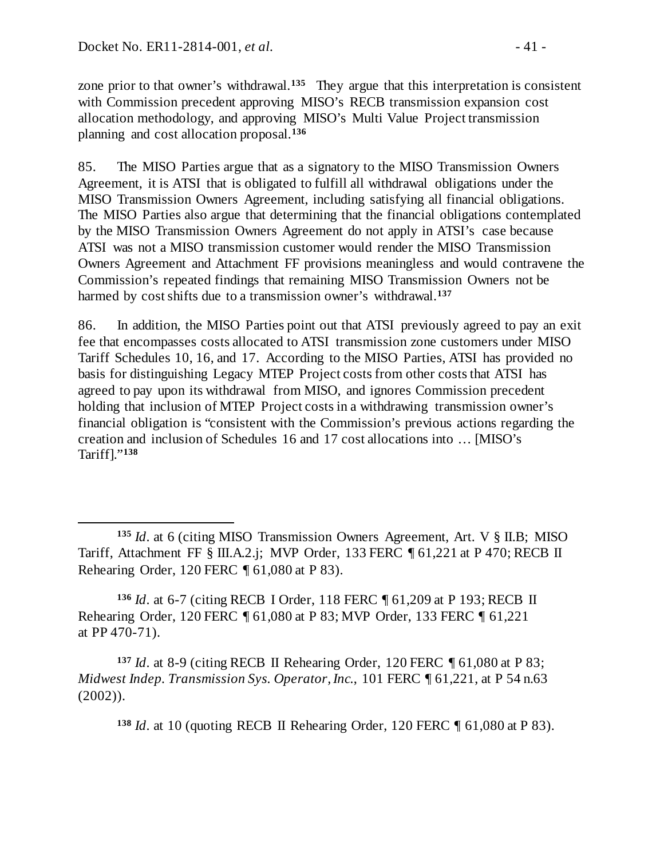$\overline{a}$ 

zone prior to that owner's withdrawal.**[135](#page-40-0)** They argue that this interpretation is consistent with Commission precedent approving MISO's RECB transmission expansion cost allocation methodology, and approving MISO's Multi Value Project transmission planning and cost allocation proposal.**[136](#page-40-1)**

85. The MISO Parties argue that as a signatory to the MISO Transmission Owners Agreement, it is ATSI that is obligated to fulfill all withdrawal obligations under the MISO Transmission Owners Agreement, including satisfying all financial obligations. The MISO Parties also argue that determining that the financial obligations contemplated by the MISO Transmission Owners Agreement do not apply in ATSI's case because ATSI was not a MISO transmission customer would render the MISO Transmission Owners Agreement and Attachment FF provisions meaningless and would contravene the Commission's repeated findings that remaining MISO Transmission Owners not be harmed by cost shifts due to a transmission owner's withdrawal.**[137](#page-40-2)**

86. In addition, the MISO Parties point out that ATSI previously agreed to pay an exit fee that encompasses costs allocated to ATSI transmission zone customers under MISO Tariff Schedules 10, 16, and 17. According to the MISO Parties, ATSI has provided no basis for distinguishing Legacy MTEP Project costs from other costs that ATSI has agreed to pay upon its withdrawal from MISO, and ignores Commission precedent holding that inclusion of MTEP Project costs in a withdrawing transmission owner's financial obligation is "consistent with the Commission's previous actions regarding the creation and inclusion of Schedules 16 and 17 cost allocations into … [MISO's Tariff]."**[138](#page-40-3)**

<span id="page-40-1"></span>**<sup>136</sup>** *Id*. at 6-7 (citing RECB I Order, 118 FERC ¶ 61,209 at P 193; RECB II Rehearing Order, 120 FERC ¶ 61,080 at P 83; MVP Order, 133 FERC ¶ 61,221 at PP 470-71).

<span id="page-40-3"></span><span id="page-40-2"></span>**<sup>137</sup>** *Id*. at 8-9 (citing RECB II Rehearing Order, 120 FERC ¶ 61,080 at P 83; *Midwest Indep. Transmission Sys. Operator, Inc.*, 101 FERC ¶ 61,221, at P 54 n.63 (2002)).

**<sup>138</sup>** *Id*. at 10 (quoting RECB II Rehearing Order, 120 FERC ¶ 61,080 at P 83).

<span id="page-40-0"></span>**<sup>135</sup>** *Id*. at 6 (citing MISO Transmission Owners Agreement, Art. V § II.B; MISO Tariff, Attachment FF § III.A.2.j; MVP Order, 133 FERC ¶ 61,221 at P 470; RECB II Rehearing Order, 120 FERC ¶ 61,080 at P 83).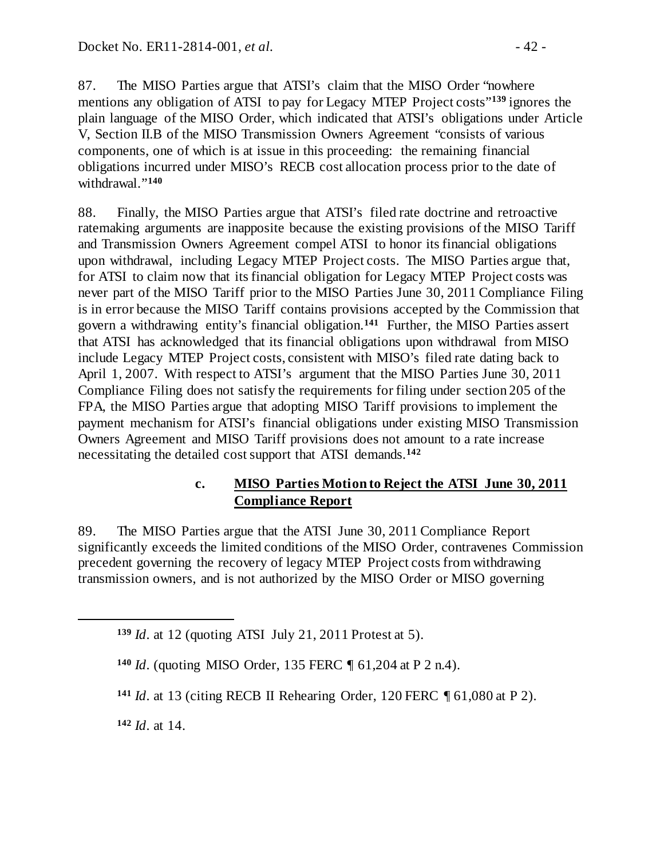87. The MISO Parties argue that ATSI's claim that the MISO Order "nowhere mentions any obligation of ATSI to pay for Legacy MTEP Project costs"**[139](#page-41-1)** ignores the plain language of the MISO Order, which indicated that ATSI's obligations under Article V, Section II.B of the MISO Transmission Owners Agreement "consists of various components, one of which is at issue in this proceeding: the remaining financial obligations incurred under MISO's RECB cost allocation process prior to the date of withdrawal."**[140](#page-41-2)**

88. Finally, the MISO Parties argue that ATSI's filed rate doctrine and retroactive ratemaking arguments are inapposite because the existing provisions of the MISO Tariff and Transmission Owners Agreement compel ATSI to honor its financial obligations upon withdrawal, including Legacy MTEP Project costs. The MISO Parties argue that, for ATSI to claim now that its financial obligation for Legacy MTEP Project costs was never part of the MISO Tariff prior to the MISO Parties June 30, 2011 Compliance Filing is in error because the MISO Tariff contains provisions accepted by the Commission that govern a withdrawing entity's financial obligation.**[141](#page-41-3)** Further, the MISO Parties assert that ATSI has acknowledged that its financial obligations upon withdrawal from MISO include Legacy MTEP Project costs, consistent with MISO's filed rate dating back to April 1, 2007. With respect to ATSI's argument that the MISO Parties June 30, 2011 Compliance Filing does not satisfy the requirements for filing under section 205 of the FPA, the MISO Parties argue that adopting MISO Tariff provisions to implement the payment mechanism for ATSI's financial obligations under existing MISO Transmission Owners Agreement and MISO Tariff provisions does not amount to a rate increase necessitating the detailed cost support that ATSI demands.**[142](#page-41-4)**

# <span id="page-41-0"></span>**c. MISO Parties Motion to Reject the ATSI June 30, 2011 Compliance Report**

89. The MISO Parties argue that the ATSI June 30, 2011 Compliance Report significantly exceeds the limited conditions of the MISO Order, contravenes Commission precedent governing the recovery of legacy MTEP Project costs from withdrawing transmission owners, and is not authorized by the MISO Order or MISO governing

<span id="page-41-4"></span>**<sup>142</sup>** *Id*. at 14.

<span id="page-41-3"></span><span id="page-41-2"></span><span id="page-41-1"></span> $\overline{a}$ 

**<sup>139</sup>** *Id*. at 12 (quoting ATSI July 21, 2011 Protest at 5).

**<sup>140</sup>** *Id*. (quoting MISO Order, 135 FERC ¶ 61,204 at P 2 n.4).

**<sup>141</sup>** *Id*. at 13 (citing RECB II Rehearing Order, 120 FERC ¶ 61,080 at P 2).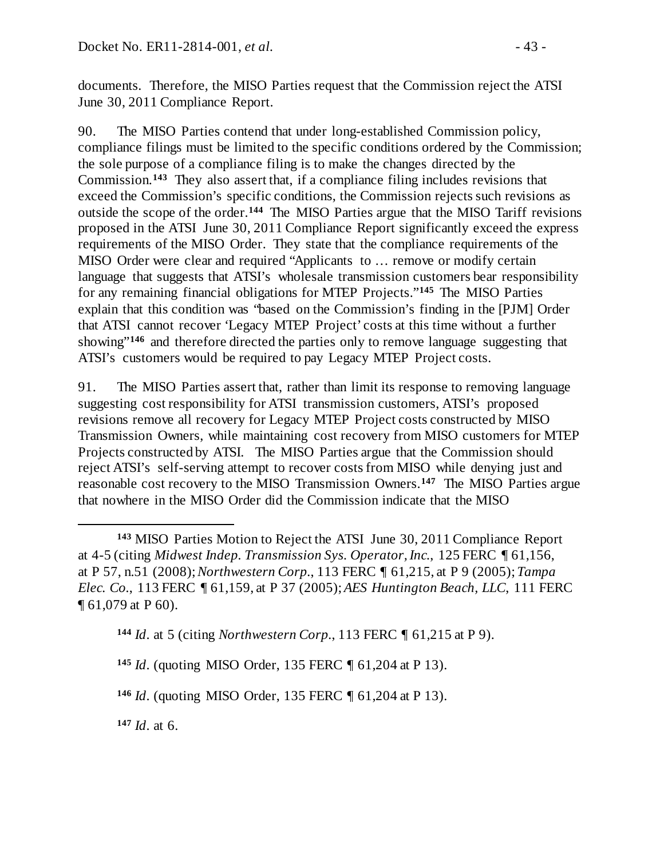documents. Therefore, the MISO Parties request that the Commission reject the ATSI June 30, 2011 Compliance Report.

90. The MISO Parties contend that under long-established Commission policy, compliance filings must be limited to the specific conditions ordered by the Commission; the sole purpose of a compliance filing is to make the changes directed by the Commission.**[143](#page-42-0)** They also assert that, if a compliance filing includes revisions that exceed the Commission's specific conditions, the Commission rejects such revisions as outside the scope of the order.**[144](#page-42-1)** The MISO Parties argue that the MISO Tariff revisions proposed in the ATSI June 30, 2011 Compliance Report significantly exceed the express requirements of the MISO Order. They state that the compliance requirements of the MISO Order were clear and required "Applicants to … remove or modify certain language that suggests that ATSI's wholesale transmission customers bear responsibility for any remaining financial obligations for MTEP Projects."**[145](#page-42-2)** The MISO Parties explain that this condition was "based on the Commission's finding in the [PJM] Order that ATSI cannot recover 'Legacy MTEP Project' costs at this time without a further showing"<sup>[146](#page-42-3)</sup> and therefore directed the parties only to remove language suggesting that ATSI's customers would be required to pay Legacy MTEP Project costs.

91. The MISO Parties assert that, rather than limit its response to removing language suggesting cost responsibility for ATSI transmission customers, ATSI's proposed revisions remove all recovery for Legacy MTEP Project costs constructed by MISO Transmission Owners, while maintaining cost recovery from MISO customers for MTEP Projects constructed by ATSI. The MISO Parties argue that the Commission should reject ATSI's self-serving attempt to recover costs from MISO while denying just and reasonable cost recovery to the MISO Transmission Owners.**[147](#page-42-4)** The MISO Parties argue that nowhere in the MISO Order did the Commission indicate that the MISO

<span id="page-42-1"></span>**<sup>144</sup>** *Id*. at 5 (citing *Northwestern Corp.*, 113 FERC ¶ 61,215 at P 9).

<span id="page-42-2"></span>**<sup>145</sup>** *Id*. (quoting MISO Order, 135 FERC ¶ 61,204 at P 13).

<span id="page-42-3"></span>**<sup>146</sup>** *Id*. (quoting MISO Order, 135 FERC ¶ 61,204 at P 13).

<span id="page-42-4"></span>**<sup>147</sup>** *Id*. at 6.

 $\overline{a}$ 

<span id="page-42-0"></span>**<sup>143</sup>** MISO Parties Motion to Reject the ATSI June 30, 2011 Compliance Report at 4-5 (citing *Midwest Indep. Transmission Sys. Operator, Inc.*, 125 FERC ¶ 61,156, at P 57, n.51 (2008); *Northwestern Corp.*, 113 FERC ¶ 61,215, at P 9 (2005); *Tampa Elec. Co.*, 113 FERC ¶ 61,159, at P 37 (2005); *AES Huntington Beach, LLC*, 111 FERC ¶ 61,079 at P 60).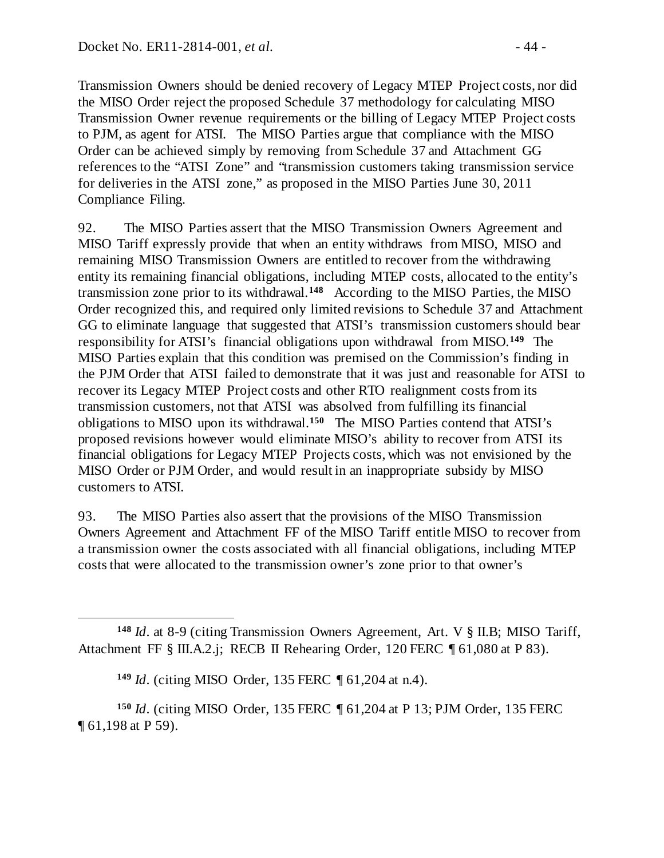Transmission Owners should be denied recovery of Legacy MTEP Project costs, nor did the MISO Order reject the proposed Schedule 37 methodology for calculating MISO Transmission Owner revenue requirements or the billing of Legacy MTEP Project costs to PJM, as agent for ATSI. The MISO Parties argue that compliance with the MISO Order can be achieved simply by removing from Schedule 37 and Attachment GG references to the "ATSI Zone" and "transmission customers taking transmission service for deliveries in the ATSI zone," as proposed in the MISO Parties June 30, 2011 Compliance Filing.

92. The MISO Parties assert that the MISO Transmission Owners Agreement and MISO Tariff expressly provide that when an entity withdraws from MISO, MISO and remaining MISO Transmission Owners are entitled to recover from the withdrawing entity its remaining financial obligations, including MTEP costs, allocated to the entity's transmission zone prior to its withdrawal.**[148](#page-43-0)** According to the MISO Parties, the MISO Order recognized this, and required only limited revisions to Schedule 37 and Attachment GG to eliminate language that suggested that ATSI's transmission customers should bear responsibility for ATSI's financial obligations upon withdrawal from MISO.**[149](#page-43-1)** The MISO Parties explain that this condition was premised on the Commission's finding in the PJM Order that ATSI failed to demonstrate that it was just and reasonable for ATSI to recover its Legacy MTEP Project costs and other RTO realignment costs from its transmission customers, not that ATSI was absolved from fulfilling its financial obligations to MISO upon its withdrawal.**[150](#page-43-2)** The MISO Parties contend that ATSI's proposed revisions however would eliminate MISO's ability to recover from ATSI its financial obligations for Legacy MTEP Projects costs, which was not envisioned by the MISO Order or PJM Order, and would result in an inappropriate subsidy by MISO customers to ATSI.

93. The MISO Parties also assert that the provisions of the MISO Transmission Owners Agreement and Attachment FF of the MISO Tariff entitle MISO to recover from a transmission owner the costs associated with all financial obligations, including MTEP costs that were allocated to the transmission owner's zone prior to that owner's

<span id="page-43-2"></span><span id="page-43-1"></span>**<sup>150</sup>** *Id*. (citing MISO Order, 135 FERC ¶ 61,204 at P 13; PJM Order, 135 FERC ¶ 61,198 at P 59).

<span id="page-43-0"></span> $\overline{a}$ **<sup>148</sup>** *Id*. at 8-9 (citing Transmission Owners Agreement, Art. V § II.B; MISO Tariff, Attachment FF § III.A.2.j; RECB II Rehearing Order, 120 FERC ¶ 61,080 at P 83).

**<sup>149</sup>** *Id*. (citing MISO Order, 135 FERC ¶ 61,204 at n.4).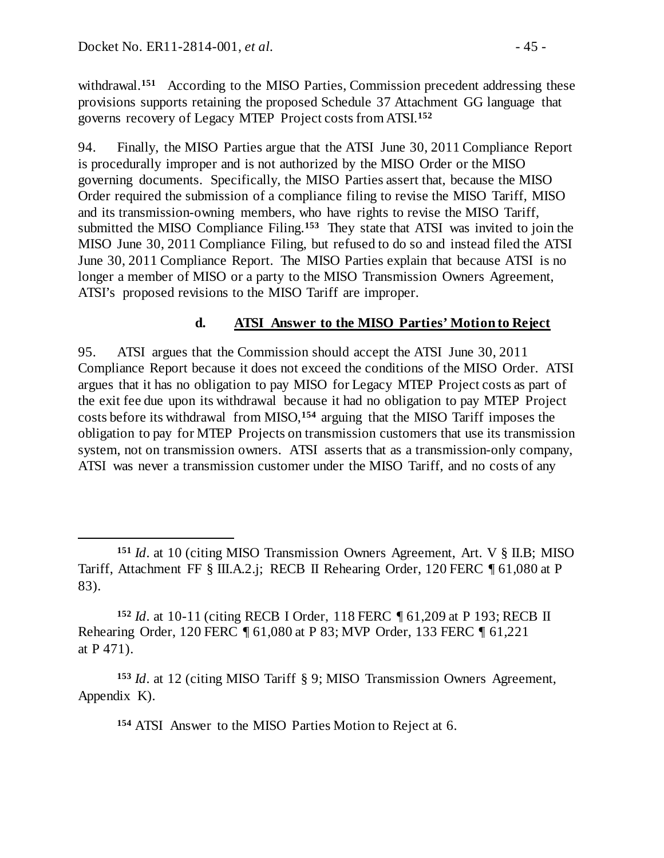$\overline{a}$ 

withdrawal.<sup>[151](#page-44-1)</sup> According to the MISO Parties, Commission precedent addressing these provisions supports retaining the proposed Schedule 37 Attachment GG language that governs recovery of Legacy MTEP Project costs from ATSI.**[152](#page-44-2)**

94. Finally, the MISO Parties argue that the ATSI June 30, 2011 Compliance Report is procedurally improper and is not authorized by the MISO Order or the MISO governing documents. Specifically, the MISO Parties assert that, because the MISO Order required the submission of a compliance filing to revise the MISO Tariff, MISO and its transmission-owning members, who have rights to revise the MISO Tariff, submitted the MISO Compliance Filing.**[153](#page-44-3)** They state that ATSI was invited to join the MISO June 30, 2011 Compliance Filing, but refused to do so and instead filed the ATSI June 30, 2011 Compliance Report. The MISO Parties explain that because ATSI is no longer a member of MISO or a party to the MISO Transmission Owners Agreement, ATSI's proposed revisions to the MISO Tariff are improper.

#### <span id="page-44-0"></span>**d. ATSI Answer to the MISO Parties' Motion to Reject**

95. ATSI argues that the Commission should accept the ATSI June 30, 2011 Compliance Report because it does not exceed the conditions of the MISO Order. ATSI argues that it has no obligation to pay MISO for Legacy MTEP Project costs as part of the exit fee due upon its withdrawal because it had no obligation to pay MTEP Project costs before its withdrawal from MISO,**[154](#page-44-4)** arguing that the MISO Tariff imposes the obligation to pay for MTEP Projects on transmission customers that use its transmission system, not on transmission owners. ATSI asserts that as a transmission-only company, ATSI was never a transmission customer under the MISO Tariff, and no costs of any

**<sup>154</sup>** ATSI Answer to the MISO Parties Motion to Reject at 6.

<span id="page-44-1"></span>**<sup>151</sup>** *Id*. at 10 (citing MISO Transmission Owners Agreement, Art. V § II.B; MISO Tariff, Attachment FF § III.A.2.j; RECB II Rehearing Order, 120 FERC ¶ 61,080 at P 83).

<span id="page-44-2"></span>**<sup>152</sup>** *Id*. at 10-11 (citing RECB I Order, 118 FERC ¶ 61,209 at P 193; RECB II Rehearing Order, 120 FERC ¶ 61,080 at P 83; MVP Order, 133 FERC ¶ 61,221 at P 471).

<span id="page-44-4"></span><span id="page-44-3"></span>**<sup>153</sup>** *Id*. at 12 (citing MISO Tariff § 9; MISO Transmission Owners Agreement, Appendix K).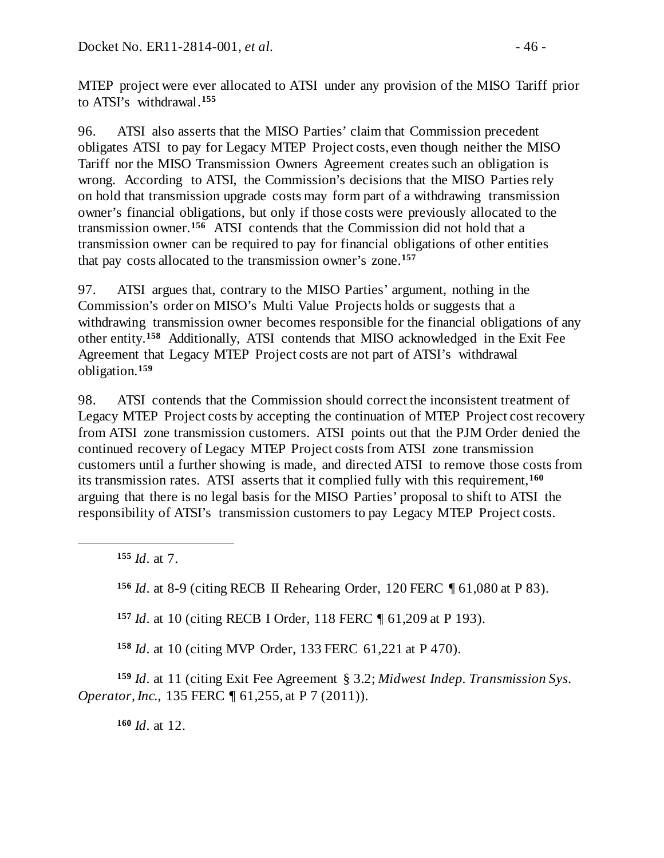MTEP project were ever allocated to ATSI under any provision of the MISO Tariff prior to ATSI's withdrawal.**[155](#page-45-0)**

96. ATSI also asserts that the MISO Parties' claim that Commission precedent obligates ATSI to pay for Legacy MTEP Project costs, even though neither the MISO Tariff nor the MISO Transmission Owners Agreement creates such an obligation is wrong. According to ATSI, the Commission's decisions that the MISO Parties rely on hold that transmission upgrade costs may form part of a withdrawing transmission owner's financial obligations, but only if those costs were previously allocated to the transmission owner.**[156](#page-45-1)** ATSI contends that the Commission did not hold that a transmission owner can be required to pay for financial obligations of other entities that pay costs allocated to the transmission owner's zone.**[157](#page-45-2)**

97. ATSI argues that, contrary to the MISO Parties' argument, nothing in the Commission's order on MISO's Multi Value Projects holds or suggests that a withdrawing transmission owner becomes responsible for the financial obligations of any other entity.**[158](#page-45-3)** Additionally, ATSI contends that MISO acknowledged in the Exit Fee Agreement that Legacy MTEP Project costs are not part of ATSI's withdrawal obligation.**[159](#page-45-4)**

98. ATSI contends that the Commission should correct the inconsistent treatment of Legacy MTEP Project costs by accepting the continuation of MTEP Project cost recovery from ATSI zone transmission customers. ATSI points out that the PJM Order denied the continued recovery of Legacy MTEP Project costs from ATSI zone transmission customers until a further showing is made, and directed ATSI to remove those costs from its transmission rates. ATSI asserts that it complied fully with this requirement,**[160](#page-45-5)** arguing that there is no legal basis for the MISO Parties' proposal to shift to ATSI the responsibility of ATSI's transmission customers to pay Legacy MTEP Project costs.

**<sup>155</sup>** *Id*. at 7.

<span id="page-45-1"></span><span id="page-45-0"></span> $\overline{a}$ 

**<sup>156</sup>** *Id*. at 8-9 (citing RECB II Rehearing Order, 120 FERC ¶ 61,080 at P 83).

**<sup>157</sup>** *Id*. at 10 (citing RECB I Order, 118 FERC ¶ 61,209 at P 193).

**<sup>158</sup>** *Id*. at 10 (citing MVP Order, 133 FERC 61,221 at P 470).

<span id="page-45-5"></span><span id="page-45-4"></span><span id="page-45-3"></span><span id="page-45-2"></span>**<sup>159</sup>** *Id*. at 11 (citing Exit Fee Agreement § 3.2; *Midwest Indep. Transmission Sys. Operator, Inc., 135 FERC* 161, 255, at P 7 (2011)).

**<sup>160</sup>** *Id*. at 12.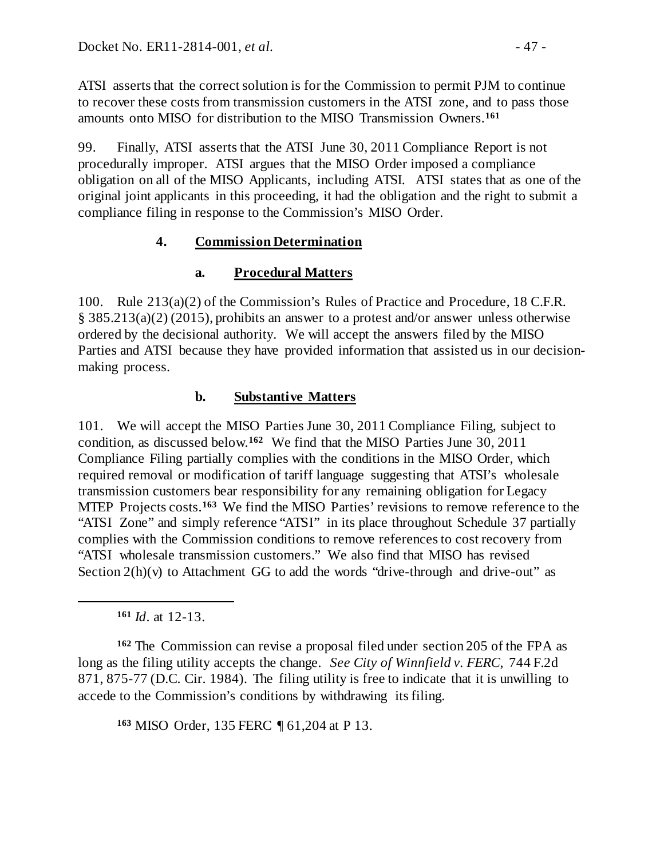ATSI asserts that the correct solution is for the Commission to permit PJM to continue to recover these costs from transmission customers in the ATSI zone, and to pass those amounts onto MISO for distribution to the MISO Transmission Owners.**[161](#page-46-3)**

99. Finally, ATSI asserts that the ATSI June 30, 2011 Compliance Report is not procedurally improper. ATSI argues that the MISO Order imposed a compliance obligation on all of the MISO Applicants, including ATSI. ATSI states that as one of the original joint applicants in this proceeding, it had the obligation and the right to submit a compliance filing in response to the Commission's MISO Order.

# **4. Commission Determination**

# <span id="page-46-1"></span><span id="page-46-0"></span>**a. Procedural Matters**

100. Rule 213(a)(2) of the Commission's Rules of Practice and Procedure, 18 C.F.R. § 385.213(a)(2) (2015), prohibits an answer to a protest and/or answer unless otherwise ordered by the decisional authority. We will accept the answers filed by the MISO Parties and ATSI because they have provided information that assisted us in our decisionmaking process.

# <span id="page-46-2"></span>**b. Substantive Matters**

101. We will accept the MISO Parties June 30, 2011 Compliance Filing, subject to condition, as discussed below. **[162](#page-46-4)** We find that the MISO Parties June 30, 2011 Compliance Filing partially complies with the conditions in the MISO Order, which required removal or modification of tariff language suggesting that ATSI's wholesale transmission customers bear responsibility for any remaining obligation for Legacy MTEP Projects costs.**[163](#page-46-5)** We find the MISO Parties' revisions to remove reference to the "ATSI Zone" and simply reference "ATSI" in its place throughout Schedule 37 partially complies with the Commission conditions to remove references to cost recovery from "ATSI wholesale transmission customers." We also find that MISO has revised Section  $2(h)(v)$  to Attachment GG to add the words "drive-through and drive-out" as

**<sup>161</sup>** *Id*. at 12-13.

<span id="page-46-3"></span> $\overline{a}$ 

<span id="page-46-5"></span><span id="page-46-4"></span>**<sup>162</sup>** The Commission can revise a proposal filed under section 205 of the FPA as long as the filing utility accepts the change. *See City of Winnfield v. FERC*, 744 F.2d 871, 875-77 (D.C. Cir. 1984). The filing utility is free to indicate that it is unwilling to accede to the Commission's conditions by withdrawing its filing.

**<sup>163</sup>** MISO Order, 135 FERC ¶ 61,204 at P 13.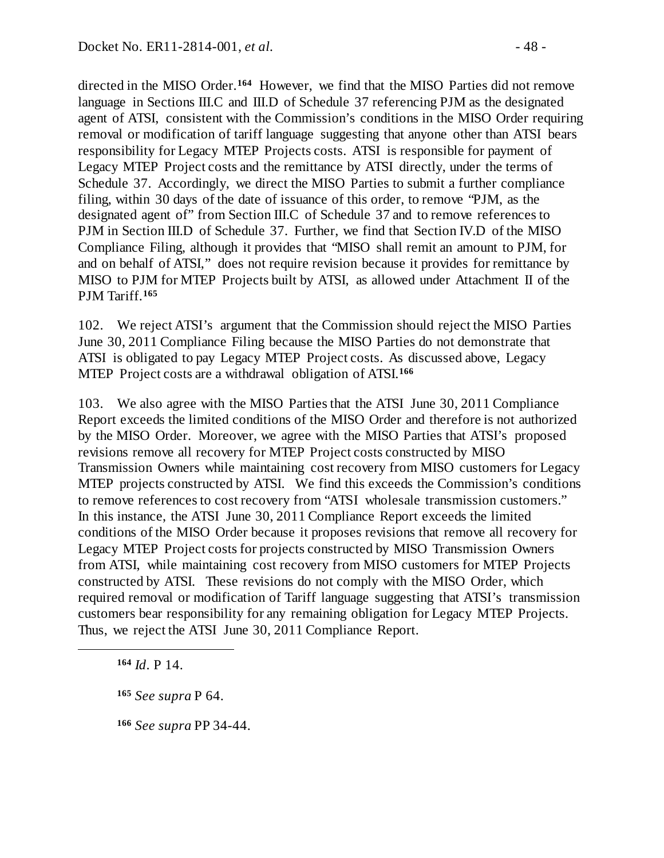directed in the MISO Order. **[164](#page-47-0)** However, we find that the MISO Parties did not remove language in Sections III.C and III.D of Schedule 37 referencing PJM as the designated agent of ATSI, consistent with the Commission's conditions in the MISO Order requiring removal or modification of tariff language suggesting that anyone other than ATSI bears responsibility for Legacy MTEP Projects costs. ATSI is responsible for payment of Legacy MTEP Project costs and the remittance by ATSI directly, under the terms of Schedule 37. Accordingly, we direct the MISO Parties to submit a further compliance filing, within 30 days of the date of issuance of this order, to remove "PJM, as the designated agent of" from Section III.C of Schedule 37 and to remove references to PJM in Section III.D of Schedule 37. Further, we find that Section IV.D of the MISO Compliance Filing, although it provides that "MISO shall remit an amount to PJM, for and on behalf of ATSI," does not require revision because it provides for remittance by MISO to PJM for MTEP Projects built by ATSI, as allowed under Attachment II of the PJM Tariff.**[165](#page-47-1)**

102. We reject ATSI's argument that the Commission should reject the MISO Parties June 30, 2011 Compliance Filing because the MISO Parties do not demonstrate that ATSI is obligated to pay Legacy MTEP Project costs. As discussed above, Legacy MTEP Project costs are a withdrawal obligation of ATSI.**[166](#page-47-2)**

103. We also agree with the MISO Parties that the ATSI June 30, 2011 Compliance Report exceeds the limited conditions of the MISO Order and therefore is not authorized by the MISO Order. Moreover, we agree with the MISO Parties that ATSI's proposed revisions remove all recovery for MTEP Project costs constructed by MISO Transmission Owners while maintaining cost recovery from MISO customers for Legacy MTEP projects constructed by ATSI. We find this exceeds the Commission's conditions to remove references to cost recovery from "ATSI wholesale transmission customers." In this instance, the ATSI June 30, 2011 Compliance Report exceeds the limited conditions of the MISO Order because it proposes revisions that remove all recovery for Legacy MTEP Project costs for projects constructed by MISO Transmission Owners from ATSI, while maintaining cost recovery from MISO customers for MTEP Projects constructed by ATSI. These revisions do not comply with the MISO Order, which required removal or modification of Tariff language suggesting that ATSI's transmission customers bear responsibility for any remaining obligation for Legacy MTEP Projects. Thus, we reject the ATSI June 30, 2011 Compliance Report.

**<sup>164</sup>** *Id*. P 14.

<span id="page-47-2"></span><span id="page-47-1"></span><span id="page-47-0"></span> $\overline{a}$ 

**<sup>165</sup>** *See supra* [P 64.](#page-31-2)

**<sup>166</sup>** *See supra* PP [34](#page-18-6)[-44.](#page-23-5)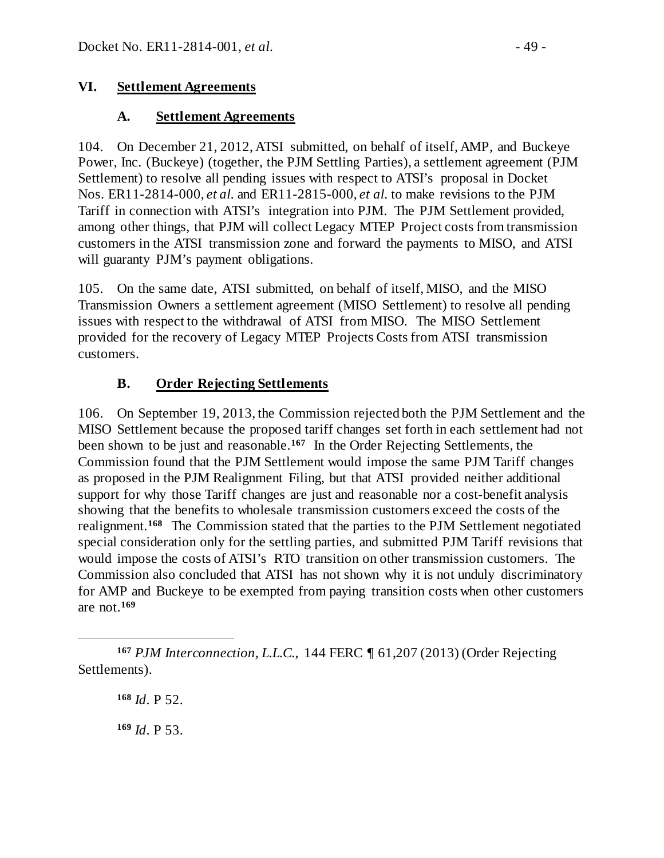## **VI. Settlement Agreements**

#### <span id="page-48-1"></span><span id="page-48-0"></span>**A. Settlement Agreements**

104. On December 21, 2012, ATSI submitted, on behalf of itself, AMP, and Buckeye Power, Inc. (Buckeye) (together, the PJM Settling Parties), a settlement agreement (PJM Settlement) to resolve all pending issues with respect to ATSI's proposal in Docket Nos. ER11-2814-000, *et al.* and ER11-2815-000, *et al.* to make revisions to the PJM Tariff in connection with ATSI's integration into PJM. The PJM Settlement provided, among other things, that PJM will collect Legacy MTEP Project costs from transmission customers in the ATSI transmission zone and forward the payments to MISO, and ATSI will guaranty PJM's payment obligations.

105. On the same date, ATSI submitted, on behalf of itself, MISO, and the MISO Transmission Owners a settlement agreement (MISO Settlement) to resolve all pending issues with respect to the withdrawal of ATSI from MISO. The MISO Settlement provided for the recovery of Legacy MTEP Projects Costs from ATSI transmission customers.

## <span id="page-48-2"></span>**B. Order Rejecting Settlements**

106. On September 19, 2013, the Commission rejected both the PJM Settlement and the MISO Settlement because the proposed tariff changes set forth in each settlement had not been shown to be just and reasonable.**[167](#page-48-3)** In the Order Rejecting Settlements, the Commission found that the PJM Settlement would impose the same PJM Tariff changes as proposed in the PJM Realignment Filing, but that ATSI provided neither additional support for why those Tariff changes are just and reasonable nor a cost-benefit analysis showing that the benefits to wholesale transmission customers exceed the costs of the realignment.**[168](#page-48-4)** The Commission stated that the parties to the PJM Settlement negotiated special consideration only for the settling parties, and submitted PJM Tariff revisions that would impose the costs of ATSI's RTO transition on other transmission customers. The Commission also concluded that ATSI has not shown why it is not unduly discriminatory for AMP and Buckeye to be exempted from paying transition costs when other customers are not.**[169](#page-48-5)**

**<sup>168</sup>** *Id*. P 52. **<sup>169</sup>** *Id*. P 53.

<span id="page-48-5"></span><span id="page-48-4"></span><span id="page-48-3"></span> $\overline{a}$ **<sup>167</sup>** *PJM Interconnection, L.L.C.*, 144 FERC ¶ 61,207 (2013) (Order Rejecting Settlements).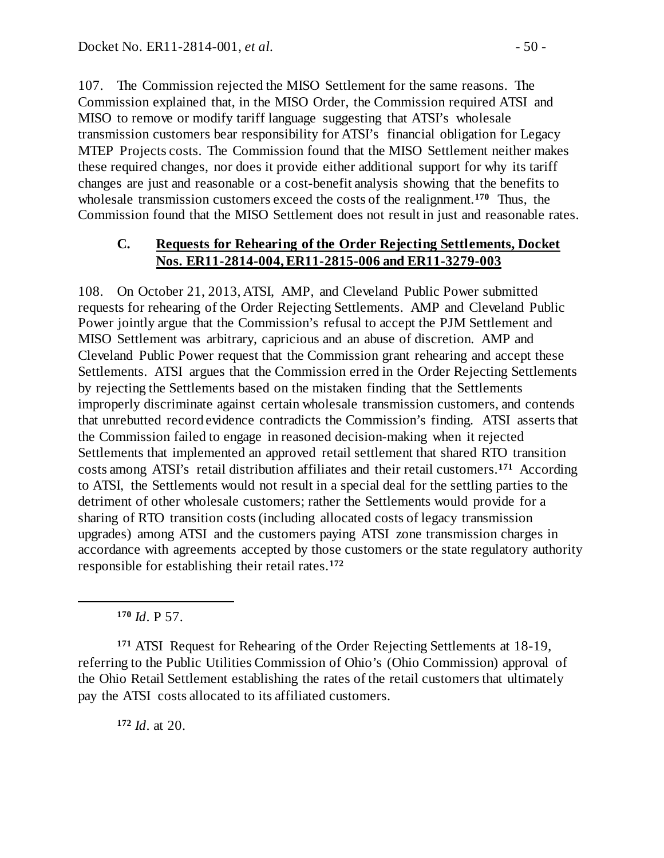107. The Commission rejected the MISO Settlement for the same reasons. The Commission explained that, in the MISO Order, the Commission required ATSI and MISO to remove or modify tariff language suggesting that ATSI's wholesale transmission customers bear responsibility for ATSI's financial obligation for Legacy MTEP Projects costs. The Commission found that the MISO Settlement neither makes these required changes, nor does it provide either additional support for why its tariff changes are just and reasonable or a cost-benefit analysis showing that the benefits to wholesale transmission customers exceed the costs of the realignment.**[170](#page-49-1)** Thus, the Commission found that the MISO Settlement does not result in just and reasonable rates.

#### <span id="page-49-0"></span>**C. Requests for Rehearing of the Order Rejecting Settlements, Docket Nos. ER11-2814-004, ER11-2815-006 and ER11-3279-003**

108. On October 21, 2013, ATSI, AMP, and Cleveland Public Power submitted requests for rehearing of the Order Rejecting Settlements. AMP and Cleveland Public Power jointly argue that the Commission's refusal to accept the PJM Settlement and MISO Settlement was arbitrary, capricious and an abuse of discretion. AMP and Cleveland Public Power request that the Commission grant rehearing and accept these Settlements. ATSI argues that the Commission erred in the Order Rejecting Settlements by rejecting the Settlements based on the mistaken finding that the Settlements improperly discriminate against certain wholesale transmission customers, and contends that unrebutted record evidence contradicts the Commission's finding. ATSI asserts that the Commission failed to engage in reasoned decision-making when it rejected Settlements that implemented an approved retail settlement that shared RTO transition costs among ATSI's retail distribution affiliates and their retail customers.**[171](#page-49-2)** According to ATSI, the Settlements would not result in a special deal for the settling parties to the detriment of other wholesale customers; rather the Settlements would provide for a sharing of RTO transition costs (including allocated costs of legacy transmission upgrades) among ATSI and the customers paying ATSI zone transmission charges in accordance with agreements accepted by those customers or the state regulatory authority responsible for establishing their retail rates.**[172](#page-49-3)**

**<sup>170</sup>** *Id*. P 57.

<span id="page-49-1"></span> $\overline{a}$ 

<span id="page-49-3"></span><span id="page-49-2"></span>**<sup>171</sup>** ATSI Request for Rehearing of the Order Rejecting Settlements at 18-19, referring to the Public Utilities Commission of Ohio's (Ohio Commission) approval of the Ohio Retail Settlement establishing the rates of the retail customers that ultimately pay the ATSI costs allocated to its affiliated customers.

**<sup>172</sup>** *Id*. at 20.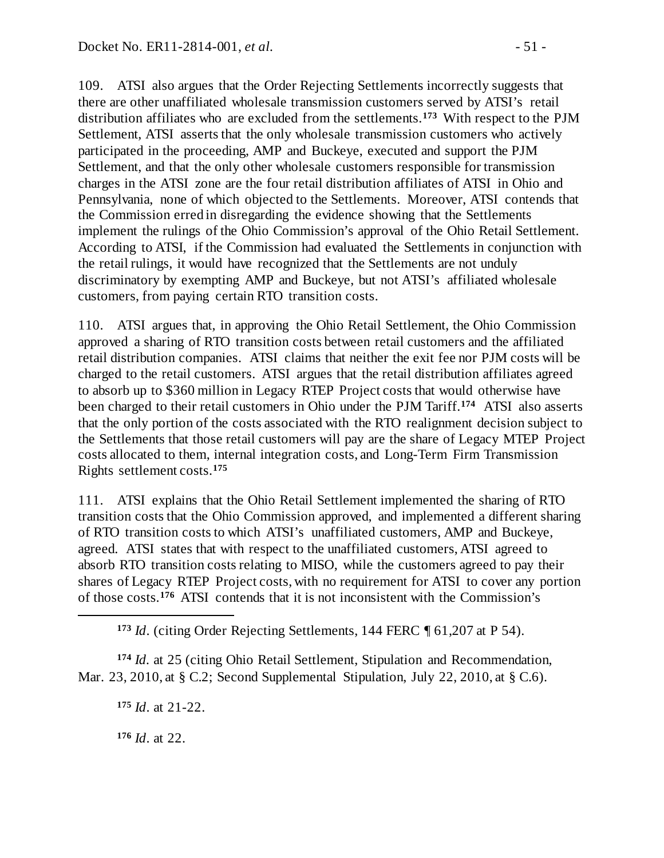109. ATSI also argues that the Order Rejecting Settlements incorrectly suggests that there are other unaffiliated wholesale transmission customers served by ATSI's retail distribution affiliates who are excluded from the settlements.**[173](#page-50-0)** With respect to the PJM Settlement, ATSI asserts that the only wholesale transmission customers who actively participated in the proceeding, AMP and Buckeye, executed and support the PJM Settlement, and that the only other wholesale customers responsible for transmission charges in the ATSI zone are the four retail distribution affiliates of ATSI in Ohio and Pennsylvania, none of which objected to the Settlements. Moreover, ATSI contends that the Commission erred in disregarding the evidence showing that the Settlements implement the rulings of the Ohio Commission's approval of the Ohio Retail Settlement. According to ATSI, if the Commission had evaluated the Settlements in conjunction with the retail rulings, it would have recognized that the Settlements are not unduly discriminatory by exempting AMP and Buckeye, but not ATSI's affiliated wholesale customers, from paying certain RTO transition costs.

110. ATSI argues that, in approving the Ohio Retail Settlement, the Ohio Commission approved a sharing of RTO transition costs between retail customers and the affiliated retail distribution companies. ATSI claims that neither the exit fee nor PJM costs will be charged to the retail customers. ATSI argues that the retail distribution affiliates agreed to absorb up to \$360 million in Legacy RTEP Project costs that would otherwise have been charged to their retail customers in Ohio under the PJM Tariff.**[174](#page-50-1)** ATSI also asserts that the only portion of the costs associated with the RTO realignment decision subject to the Settlements that those retail customers will pay are the share of Legacy MTEP Project costs allocated to them, internal integration costs, and Long-Term Firm Transmission Rights settlement costs.**[175](#page-50-2)**

111. ATSI explains that the Ohio Retail Settlement implemented the sharing of RTO transition costs that the Ohio Commission approved, and implemented a different sharing of RTO transition costs to which ATSI's unaffiliated customers, AMP and Buckeye, agreed. ATSI states that with respect to the unaffiliated customers, ATSI agreed to absorb RTO transition costs relating to MISO, while the customers agreed to pay their shares of Legacy RTEP Project costs, with no requirement for ATSI to cover any portion of those costs.**[176](#page-50-3)** ATSI contends that it is not inconsistent with the Commission's

**<sup>173</sup>** *Id*. (citing Order Rejecting Settlements, 144 FERC ¶ 61,207 at P 54).

<span id="page-50-3"></span><span id="page-50-2"></span><span id="page-50-1"></span>**<sup>174</sup>** *Id.* at 25 (citing Ohio Retail Settlement, Stipulation and Recommendation, Mar. 23, 2010, at § C.2; Second Supplemental Stipulation, July 22, 2010, at § C.6).

**<sup>175</sup>** *Id*. at 21-22.

**<sup>176</sup>** *Id*. at 22.

<span id="page-50-0"></span> $\overline{a}$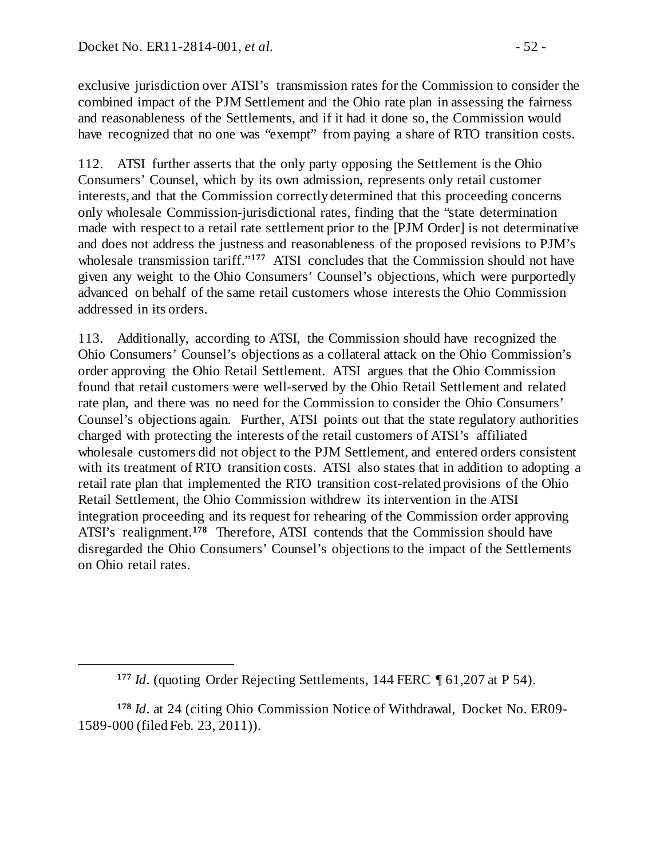<span id="page-51-0"></span> $\overline{a}$ 

exclusive jurisdiction over ATSI's transmission rates for the Commission to consider the combined impact of the PJM Settlement and the Ohio rate plan in assessing the fairness and reasonableness of the Settlements, and if it had it done so, the Commission would have recognized that no one was "exempt" from paying a share of RTO transition costs.

112. ATSI further asserts that the only party opposing the Settlement is the Ohio Consumers' Counsel, which by its own admission, represents only retail customer interests, and that the Commission correctly determined that this proceeding concerns only wholesale Commission-jurisdictional rates, finding that the "state determination made with respect to a retail rate settlement prior to the [PJM Order] is not determinative and does not address the justness and reasonableness of the proposed revisions to PJM's wholesale transmission tariff."**[177](#page-51-0)** ATSI concludes that the Commission should not have given any weight to the Ohio Consumers' Counsel's objections, which were purportedly advanced on behalf of the same retail customers whose interests the Ohio Commission addressed in its orders.

113. Additionally, according to ATSI, the Commission should have recognized the Ohio Consumers' Counsel's objections as a collateral attack on the Ohio Commission's order approving the Ohio Retail Settlement. ATSI argues that the Ohio Commission found that retail customers were well-served by the Ohio Retail Settlement and related rate plan, and there was no need for the Commission to consider the Ohio Consumers' Counsel's objections again. Further, ATSI points out that the state regulatory authorities charged with protecting the interests of the retail customers of ATSI's affiliated wholesale customers did not object to the PJM Settlement, and entered orders consistent with its treatment of RTO transition costs. ATSI also states that in addition to adopting a retail rate plan that implemented the RTO transition cost-related provisions of the Ohio Retail Settlement, the Ohio Commission withdrew its intervention in the ATSI integration proceeding and its request for rehearing of the Commission order approving ATSI's realignment.**[178](#page-51-1)** Therefore, ATSI contends that the Commission should have disregarded the Ohio Consumers' Counsel's objections to the impact of the Settlements on Ohio retail rates.

**<sup>177</sup>** *Id*. (quoting Order Rejecting Settlements, 144 FERC ¶ 61,207 at P 54).

<span id="page-51-1"></span>**<sup>178</sup>** *Id*. at 24 (citing Ohio Commission Notice of Withdrawal, Docket No. ER09- 1589-000 (filed Feb. 23, 2011)).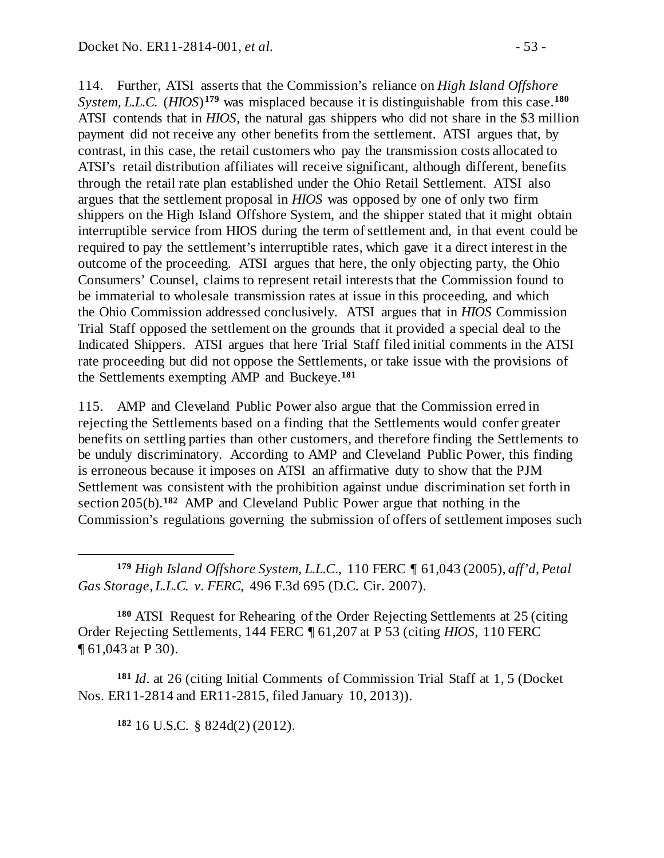114. Further, ATSI asserts that the Commission's reliance on *High Island Offshore System, L.L.C.* (*HIOS*)**[179](#page-52-0)** was misplaced because it is distinguishable from this case.**[180](#page-52-1)** ATSI contends that in *HIOS*, the natural gas shippers who did not share in the \$3 million payment did not receive any other benefits from the settlement. ATSI argues that, by contrast, in this case, the retail customers who pay the transmission costs allocated to ATSI's retail distribution affiliates will receive significant, although different, benefits through the retail rate plan established under the Ohio Retail Settlement. ATSI also argues that the settlement proposal in *HIOS* was opposed by one of only two firm shippers on the High Island Offshore System, and the shipper stated that it might obtain interruptible service from HIOS during the term of settlement and, in that event could be required to pay the settlement's interruptible rates, which gave it a direct interest in the outcome of the proceeding. ATSI argues that here, the only objecting party, the Ohio Consumers' Counsel, claims to represent retail interests that the Commission found to be immaterial to wholesale transmission rates at issue in this proceeding, and which the Ohio Commission addressed conclusively. ATSI argues that in *HIOS* Commission Trial Staff opposed the settlement on the grounds that it provided a special deal to the Indicated Shippers. ATSI argues that here Trial Staff filed initial comments in the ATSI rate proceeding but did not oppose the Settlements, or take issue with the provisions of the Settlements exempting AMP and Buckeye.**[181](#page-52-2)**

115. AMP and Cleveland Public Power also argue that the Commission erred in rejecting the Settlements based on a finding that the Settlements would confer greater benefits on settling parties than other customers, and therefore finding the Settlements to be unduly discriminatory. According to AMP and Cleveland Public Power, this finding is erroneous because it imposes on ATSI an affirmative duty to show that the PJM Settlement was consistent with the prohibition against undue discrimination set forth in section 205(b).**[182](#page-52-3)** AMP and Cleveland Public Power argue that nothing in the Commission's regulations governing the submission of offers of settlement imposes such

<span id="page-52-1"></span>**<sup>180</sup>** ATSI Request for Rehearing of the Order Rejecting Settlements at 25 (citing Order Rejecting Settlements, 144 FERC ¶ 61,207 at P 53 (citing *HIOS*, 110 FERC ¶ 61,043 at P 30).

<span id="page-52-3"></span><span id="page-52-2"></span>**<sup>181</sup>** *Id*. at 26 (citing Initial Comments of Commission Trial Staff at 1, 5 (Docket Nos. ER11-2814 and ER11-2815, filed January 10, 2013)).

**<sup>182</sup>** 16 U.S.C. § 824d(2) (2012).

 $\overline{a}$ 

<span id="page-52-0"></span>**<sup>179</sup>** *High Island Offshore System, L.L.C*., 110 FERC ¶ 61,043 (2005), *aff'd*, *Petal Gas Storage, L.L.C. v. FERC*, 496 F.3d 695 (D.C. Cir. 2007).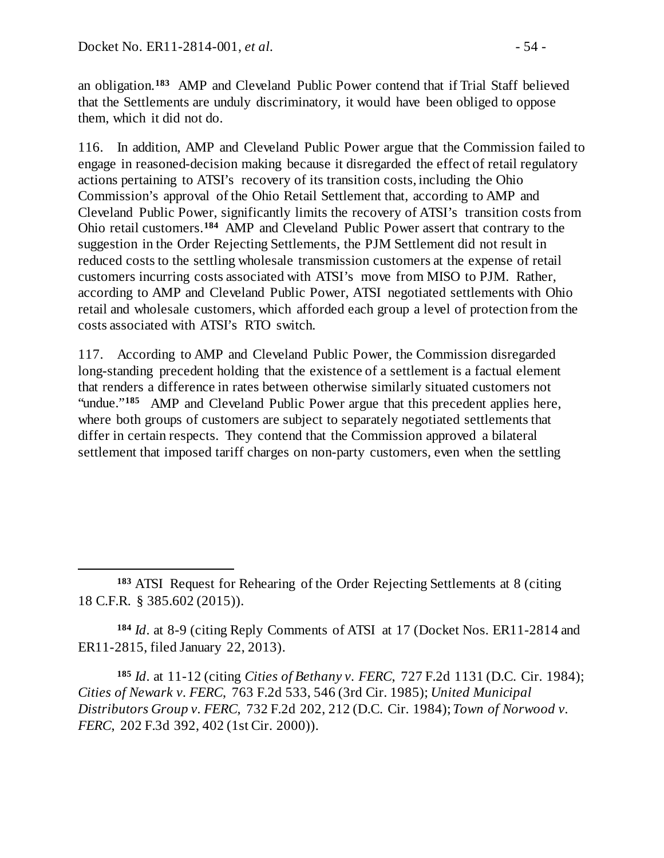an obligation.**[183](#page-53-0)** AMP and Cleveland Public Power contend that if Trial Staff believed that the Settlements are unduly discriminatory, it would have been obliged to oppose them, which it did not do.

116. In addition, AMP and Cleveland Public Power argue that the Commission failed to engage in reasoned-decision making because it disregarded the effect of retail regulatory actions pertaining to ATSI's recovery of its transition costs, including the Ohio Commission's approval of the Ohio Retail Settlement that, according to AMP and Cleveland Public Power, significantly limits the recovery of ATSI's transition costs from Ohio retail customers.**[184](#page-53-1)** AMP and Cleveland Public Power assert that contrary to the suggestion in the Order Rejecting Settlements, the PJM Settlement did not result in reduced costs to the settling wholesale transmission customers at the expense of retail customers incurring costs associated with ATSI's move from MISO to PJM. Rather, according to AMP and Cleveland Public Power, ATSI negotiated settlements with Ohio retail and wholesale customers, which afforded each group a level of protection from the costs associated with ATSI's RTO switch.

117. According to AMP and Cleveland Public Power, the Commission disregarded long-standing precedent holding that the existence of a settlement is a factual element that renders a difference in rates between otherwise similarly situated customers not "undue."<sup>[185](#page-53-2)</sup> AMP and Cleveland Public Power argue that this precedent applies here, where both groups of customers are subject to separately negotiated settlements that differ in certain respects. They contend that the Commission approved a bilateral settlement that imposed tariff charges on non-party customers, even when the settling

<span id="page-53-1"></span>**<sup>184</sup>** *Id*. at 8-9 (citing Reply Comments of ATSI at 17 (Docket Nos. ER11-2814 and ER11-2815, filed January 22, 2013).

<span id="page-53-2"></span>**<sup>185</sup>** *Id*. at 11-12 (citing *Cities of Bethany v. FERC*, 727 F.2d 1131 (D.C. Cir. 1984); *Cities of Newark v. FERC*, 763 F.2d 533, 546 (3rd Cir. 1985); *United Municipal Distributors Group v. FERC*, 732 F.2d 202, 212 (D.C. Cir. 1984); *Town of Norwood v. FERC*, 202 F.3d 392, 402 (1st Cir. 2000)).

<span id="page-53-0"></span> $\overline{a}$ **<sup>183</sup>** ATSI Request for Rehearing of the Order Rejecting Settlements at 8 (citing 18 C.F.R. § 385.602 (2015)).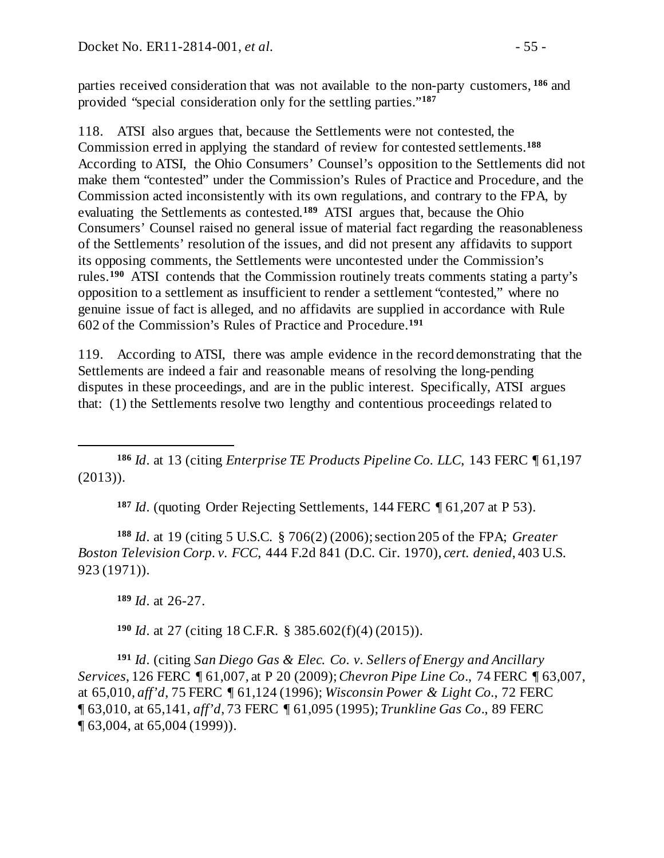parties received consideration that was not available to the non-party customers, **[186](#page-54-0)** and provided "special consideration only for the settling parties."**[187](#page-54-1)**

118. ATSI also argues that, because the Settlements were not contested, the Commission erred in applying the standard of review for contested settlements.**[188](#page-54-2)** According to ATSI, the Ohio Consumers' Counsel's opposition to the Settlements did not make them "contested" under the Commission's Rules of Practice and Procedure, and the Commission acted inconsistently with its own regulations, and contrary to the FPA, by evaluating the Settlements as contested.**[189](#page-54-3)** ATSI argues that, because the Ohio Consumers' Counsel raised no general issue of material fact regarding the reasonableness of the Settlements' resolution of the issues, and did not present any affidavits to support its opposing comments, the Settlements were uncontested under the Commission's rules.**[190](#page-54-4)** ATSI contends that the Commission routinely treats comments stating a party's opposition to a settlement as insufficient to render a settlement "contested," where no genuine issue of fact is alleged, and no affidavits are supplied in accordance with Rule 602 of the Commission's Rules of Practice and Procedure.**[191](#page-54-5)**

119. According to ATSI, there was ample evidence in the record demonstrating that the Settlements are indeed a fair and reasonable means of resolving the long-pending disputes in these proceedings, and are in the public interest. Specifically, ATSI argues that: (1) the Settlements resolve two lengthy and contentious proceedings related to

<span id="page-54-0"></span> $\overline{a}$ **<sup>186</sup>** *Id*. at 13 (citing *Enterprise TE Products Pipeline Co. LLC*, 143 FERC ¶ 61,197 (2013)).

**<sup>187</sup>** *Id*. (quoting Order Rejecting Settlements, 144 FERC ¶ 61,207 at P 53).

<span id="page-54-2"></span><span id="page-54-1"></span>**<sup>188</sup>** *Id*. at 19 (citing 5 U.S.C. § 706(2) (2006); section 205 of the FPA; *Greater Boston Television Corp. v. FCC*, 444 F.2d 841 (D.C. Cir. 1970), *cert. denied*, 403 U.S. 923 (1971)).

**<sup>189</sup>** *Id*. at 26-27.

**<sup>190</sup>** *Id*. at 27 (citing 18 C.F.R. § 385.602(f)(4) (2015)).

<span id="page-54-5"></span><span id="page-54-4"></span><span id="page-54-3"></span>**<sup>191</sup>** *Id*. (citing *San Diego Gas & Elec. Co. v. Sellers of Energy and Ancillary Services*, 126 FERC ¶ 61,007, at P 20 (2009); *Chevron Pipe Line Co*., 74 FERC ¶ 63,007, at 65,010*, aff'd*, 75 FERC ¶ 61,124 (1996); *Wisconsin Power & Light Co.*, 72 FERC ¶ 63,010, at 65,141, *aff'd*, 73 FERC ¶ 61,095 (1995); *Trunkline Gas Co*., 89 FERC ¶ 63,004, at 65,004 (1999)).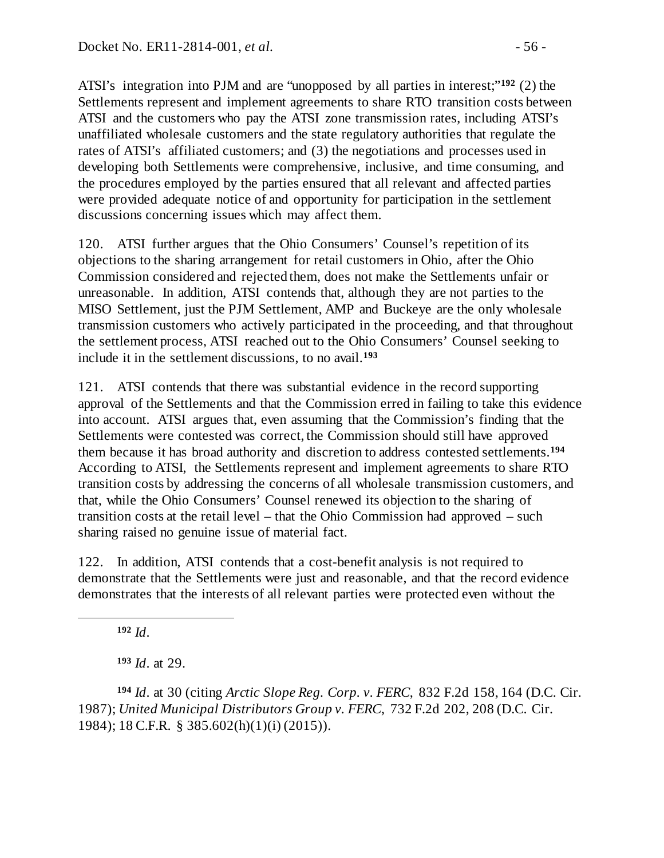ATSI's integration into PJM and are "unopposed by all parties in interest;"**[192](#page-55-0)** (2) the Settlements represent and implement agreements to share RTO transition costs between ATSI and the customers who pay the ATSI zone transmission rates, including ATSI's unaffiliated wholesale customers and the state regulatory authorities that regulate the rates of ATSI's affiliated customers; and (3) the negotiations and processes used in developing both Settlements were comprehensive, inclusive, and time consuming, and the procedures employed by the parties ensured that all relevant and affected parties were provided adequate notice of and opportunity for participation in the settlement discussions concerning issues which may affect them.

120. ATSI further argues that the Ohio Consumers' Counsel's repetition of its objections to the sharing arrangement for retail customers in Ohio, after the Ohio Commission considered and rejected them, does not make the Settlements unfair or unreasonable. In addition, ATSI contends that, although they are not parties to the MISO Settlement, just the PJM Settlement, AMP and Buckeye are the only wholesale transmission customers who actively participated in the proceeding, and that throughout the settlement process, ATSI reached out to the Ohio Consumers' Counsel seeking to include it in the settlement discussions, to no avail.**[193](#page-55-1)**

121. ATSI contends that there was substantial evidence in the record supporting approval of the Settlements and that the Commission erred in failing to take this evidence into account. ATSI argues that, even assuming that the Commission's finding that the Settlements were contested was correct, the Commission should still have approved them because it has broad authority and discretion to address contested settlements.**[194](#page-55-2)** According to ATSI, the Settlements represent and implement agreements to share RTO transition costs by addressing the concerns of all wholesale transmission customers, and that, while the Ohio Consumers' Counsel renewed its objection to the sharing of transition costs at the retail level – that the Ohio Commission had approved – such sharing raised no genuine issue of material fact.

122. In addition, ATSI contends that a cost-benefit analysis is not required to demonstrate that the Settlements were just and reasonable, and that the record evidence demonstrates that the interests of all relevant parties were protected even without the

**<sup>192</sup>** *Id*.

<span id="page-55-0"></span> $\overline{a}$ 

**<sup>193</sup>** *Id*. at 29.

<span id="page-55-2"></span><span id="page-55-1"></span>**<sup>194</sup>** *Id*. at 30 (citing *Arctic Slope Reg. Corp. v. FERC*, 832 F.2d 158, 164 (D.C. Cir. 1987); *United Municipal Distributors Group v. FERC*, 732 F.2d 202, 208 (D.C. Cir. 1984); 18 C.F.R. § 385.602(h)(1)(i) (2015)).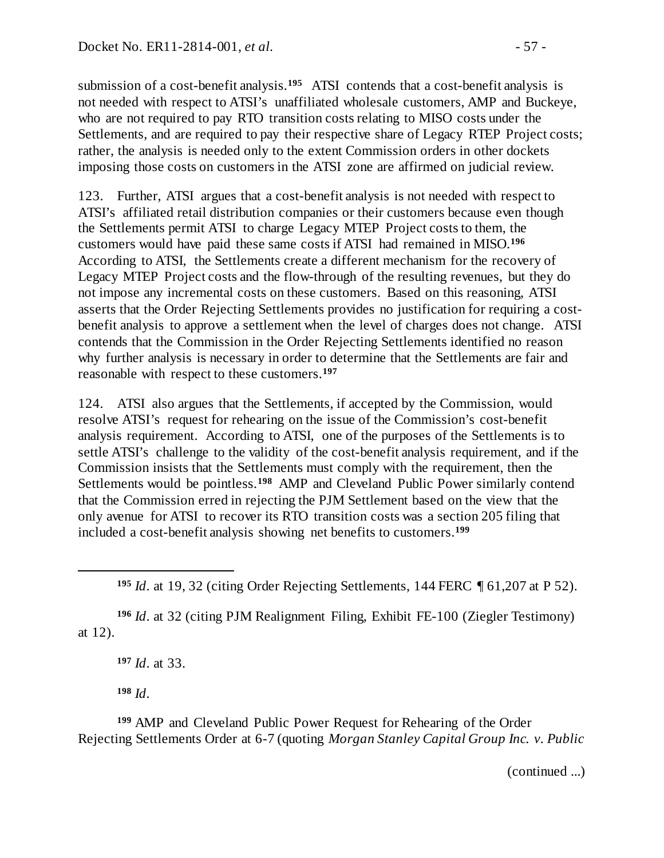submission of a cost-benefit analysis.**[195](#page-56-0)** ATSI contends that a cost-benefit analysis is not needed with respect to ATSI's unaffiliated wholesale customers, AMP and Buckeye, who are not required to pay RTO transition costs relating to MISO costs under the Settlements, and are required to pay their respective share of Legacy RTEP Project costs; rather, the analysis is needed only to the extent Commission orders in other dockets imposing those costs on customers in the ATSI zone are affirmed on judicial review.

123. Further, ATSI argues that a cost-benefit analysis is not needed with respect to ATSI's affiliated retail distribution companies or their customers because even though the Settlements permit ATSI to charge Legacy MTEP Project costs to them, the customers would have paid these same costs if ATSI had remained in MISO.**[196](#page-56-1)** According to ATSI, the Settlements create a different mechanism for the recovery of Legacy MTEP Project costs and the flow-through of the resulting revenues, but they do not impose any incremental costs on these customers. Based on this reasoning, ATSI asserts that the Order Rejecting Settlements provides no justification for requiring a costbenefit analysis to approve a settlement when the level of charges does not change. ATSI contends that the Commission in the Order Rejecting Settlements identified no reason why further analysis is necessary in order to determine that the Settlements are fair and reasonable with respect to these customers.**[197](#page-56-2)**

124. ATSI also argues that the Settlements, if accepted by the Commission, would resolve ATSI's request for rehearing on the issue of the Commission's cost-benefit analysis requirement. According to ATSI, one of the purposes of the Settlements is to settle ATSI's challenge to the validity of the cost-benefit analysis requirement, and if the Commission insists that the Settlements must comply with the requirement, then the Settlements would be pointless.**[198](#page-56-3)** AMP and Cleveland Public Power similarly contend that the Commission erred in rejecting the PJM Settlement based on the view that the only avenue for ATSI to recover its RTO transition costs was a section 205 filing that included a cost-benefit analysis showing net benefits to customers.**[199](#page-56-4)**

<span id="page-56-2"></span><span id="page-56-1"></span>**<sup>196</sup>** *Id*. at 32 (citing PJM Realignment Filing, Exhibit FE-100 (Ziegler Testimony) at 12).

**<sup>197</sup>** *Id*. at 33.

**<sup>198</sup>** *Id*.

<span id="page-56-0"></span> $\overline{a}$ 

<span id="page-56-4"></span><span id="page-56-3"></span>**<sup>199</sup>** AMP and Cleveland Public Power Request for Rehearing of the Order Rejecting Settlements Order at 6-7 (quoting *Morgan Stanley Capital Group Inc. v. Public* 

(continued ...)

**<sup>195</sup>** *Id*. at 19, 32 (citing Order Rejecting Settlements, 144 FERC ¶ 61,207 at P 52).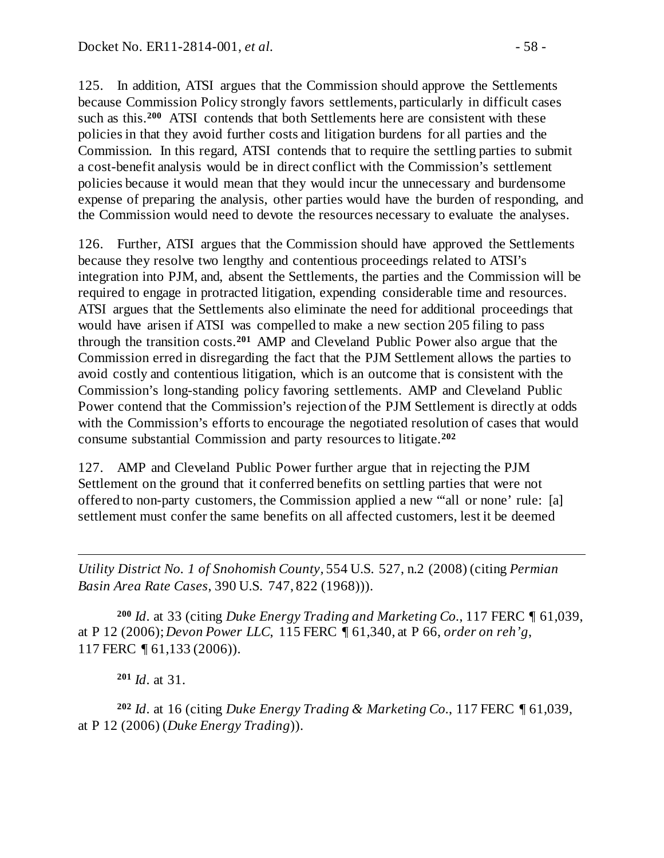125. In addition, ATSI argues that the Commission should approve the Settlements because Commission Policy strongly favors settlements, particularly in difficult cases such as this.**[200](#page-57-0)** ATSI contends that both Settlements here are consistent with these policies in that they avoid further costs and litigation burdens for all parties and the Commission. In this regard, ATSI contends that to require the settling parties to submit a cost-benefit analysis would be in direct conflict with the Commission's settlement policies because it would mean that they would incur the unnecessary and burdensome expense of preparing the analysis, other parties would have the burden of responding, and the Commission would need to devote the resources necessary to evaluate the analyses.

126. Further, ATSI argues that the Commission should have approved the Settlements because they resolve two lengthy and contentious proceedings related to ATSI's integration into PJM, and, absent the Settlements, the parties and the Commission will be required to engage in protracted litigation, expending considerable time and resources. ATSI argues that the Settlements also eliminate the need for additional proceedings that would have arisen if ATSI was compelled to make a new section 205 filing to pass through the transition costs.**[201](#page-57-1)** AMP and Cleveland Public Power also argue that the Commission erred in disregarding the fact that the PJM Settlement allows the parties to avoid costly and contentious litigation, which is an outcome that is consistent with the Commission's long-standing policy favoring settlements. AMP and Cleveland Public Power contend that the Commission's rejection of the PJM Settlement is directly at odds with the Commission's efforts to encourage the negotiated resolution of cases that would consume substantial Commission and party resources to litigate.**[202](#page-57-2)**

127. AMP and Cleveland Public Power further argue that in rejecting the PJM Settlement on the ground that it conferred benefits on settling parties that were not offered to non-party customers, the Commission applied a new "'all or none' rule: [a] settlement must confer the same benefits on all affected customers, lest it be deemed

*Utility District No. 1 of Snohomish County,* 554 U.S. 527, n.2 (2008) (citing *Permian Basin Area Rate Cases*, 390 U.S. 747, 822 (1968))).

<span id="page-57-0"></span>**<sup>200</sup>** *Id*. at 33 (citing *Duke Energy Trading and Marketing Co.*, 117 FERC ¶ 61,039, at P 12 (2006); *Devon Power LLC*, 115 FERC ¶ 61,340, at P 66, *order on reh'g*, 117 FERC ¶ 61,133 (2006)).

**<sup>201</sup>** *Id*. at 31.

 $\overline{a}$ 

<span id="page-57-2"></span><span id="page-57-1"></span>**<sup>202</sup>** *Id*. at 16 (citing *Duke Energy Trading & Marketing Co.*, 117 FERC ¶ 61,039, at P 12 (2006) (*Duke Energy Trading*)).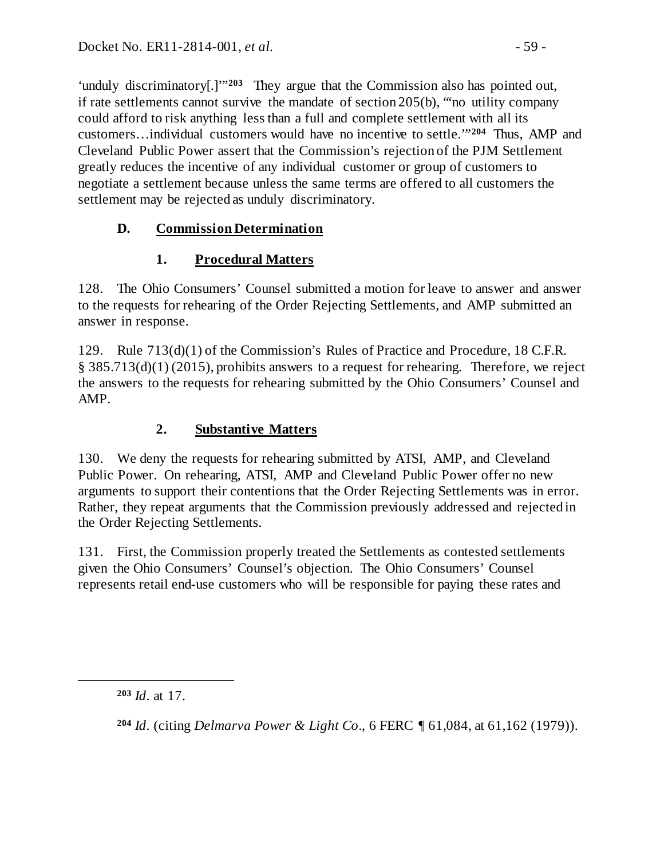'unduly discriminatory[.]'"**[203](#page-58-3)** They argue that the Commission also has pointed out, if rate settlements cannot survive the mandate of section 205(b), "'no utility company could afford to risk anything less than a full and complete settlement with all its customers…individual customers would have no incentive to settle.'"**[204](#page-58-4)** Thus, AMP and Cleveland Public Power assert that the Commission's rejection of the PJM Settlement greatly reduces the incentive of any individual customer or group of customers to negotiate a settlement because unless the same terms are offered to all customers the settlement may be rejected as unduly discriminatory.

# **D. Commission Determination**

# <span id="page-58-1"></span><span id="page-58-0"></span>**1. Procedural Matters**

128. The Ohio Consumers' Counsel submitted a motion for leave to answer and answer to the requests for rehearing of the Order Rejecting Settlements, and AMP submitted an answer in response.

129. Rule 713(d)(1) of the Commission's Rules of Practice and Procedure, 18 C.F.R. § 385.713(d)(1) (2015), prohibits answers to a request for rehearing. Therefore, we reject the answers to the requests for rehearing submitted by the Ohio Consumers' Counsel and AMP.

# <span id="page-58-2"></span>**2. Substantive Matters**

130. We deny the requests for rehearing submitted by ATSI, AMP, and Cleveland Public Power. On rehearing, ATSI, AMP and Cleveland Public Power offer no new arguments to support their contentions that the Order Rejecting Settlements was in error. Rather, they repeat arguments that the Commission previously addressed and rejected in the Order Rejecting Settlements.

131. First, the Commission properly treated the Settlements as contested settlements given the Ohio Consumers' Counsel's objection. The Ohio Consumers' Counsel represents retail end-use customers who will be responsible for paying these rates and

<span id="page-58-4"></span><span id="page-58-3"></span> $\overline{a}$ 

**<sup>204</sup>** *Id*. (citing *Delmarva Power & Light Co*., 6 FERC ¶ 61,084, at 61,162 (1979)).

**<sup>203</sup>** *Id*. at 17.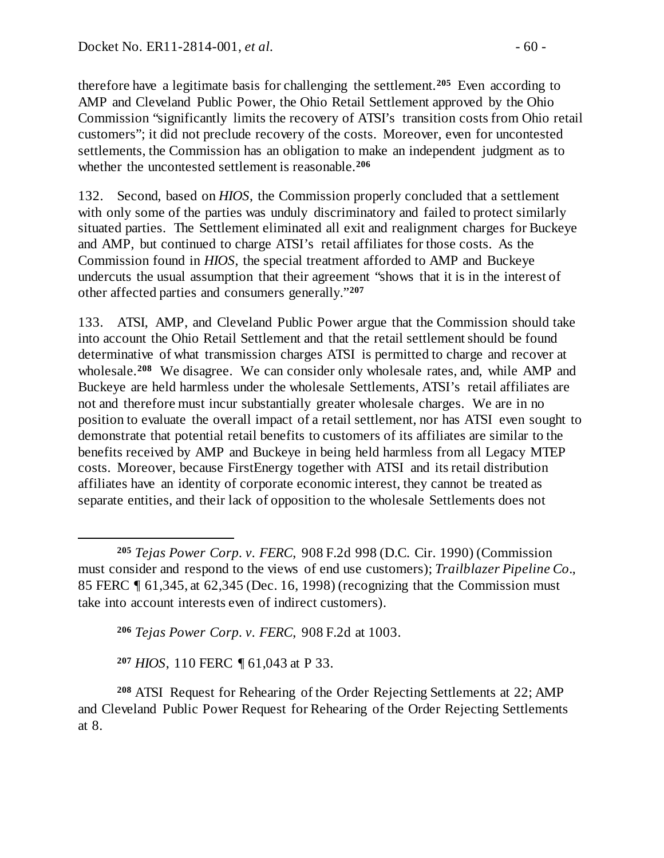therefore have a legitimate basis for challenging the settlement.**[205](#page-59-0)** Even according to AMP and Cleveland Public Power, the Ohio Retail Settlement approved by the Ohio Commission "significantly limits the recovery of ATSI's transition costs from Ohio retail customers"; it did not preclude recovery of the costs. Moreover, even for uncontested settlements, the Commission has an obligation to make an independent judgment as to whether the uncontested settlement is reasonable.**[206](#page-59-1)**

132. Second, based on *HIOS*, the Commission properly concluded that a settlement with only some of the parties was unduly discriminatory and failed to protect similarly situated parties. The Settlement eliminated all exit and realignment charges for Buckeye and AMP, but continued to charge ATSI's retail affiliates for those costs. As the Commission found in *HIOS*, the special treatment afforded to AMP and Buckeye undercuts the usual assumption that their agreement "shows that it is in the interest of other affected parties and consumers generally."**[207](#page-59-2)**

133. ATSI, AMP, and Cleveland Public Power argue that the Commission should take into account the Ohio Retail Settlement and that the retail settlement should be found determinative of what transmission charges ATSI is permitted to charge and recover at wholesale.**[208](#page-59-3)** We disagree. We can consider only wholesale rates, and, while AMP and Buckeye are held harmless under the wholesale Settlements, ATSI's retail affiliates are not and therefore must incur substantially greater wholesale charges. We are in no position to evaluate the overall impact of a retail settlement, nor has ATSI even sought to demonstrate that potential retail benefits to customers of its affiliates are similar to the benefits received by AMP and Buckeye in being held harmless from all Legacy MTEP costs. Moreover, because FirstEnergy together with ATSI and its retail distribution affiliates have an identity of corporate economic interest, they cannot be treated as separate entities, and their lack of opposition to the wholesale Settlements does not

**<sup>206</sup>** *Tejas Power Corp. v. FERC*, 908 F.2d at 1003.

**<sup>207</sup>** *HIOS*, 110 FERC ¶ 61,043 at P 33.

<span id="page-59-3"></span><span id="page-59-2"></span><span id="page-59-1"></span>**<sup>208</sup>** ATSI Request for Rehearing of the Order Rejecting Settlements at 22; AMP and Cleveland Public Power Request for Rehearing of the Order Rejecting Settlements at 8.

<span id="page-59-0"></span> $\overline{a}$ **<sup>205</sup>** *Tejas Power Corp. v. FERC*, 908 F.2d 998 (D.C. Cir. 1990) (Commission must consider and respond to the views of end use customers); *Trailblazer Pipeline Co*., 85 FERC ¶ 61,345, at 62,345 (Dec. 16, 1998) (recognizing that the Commission must take into account interests even of indirect customers).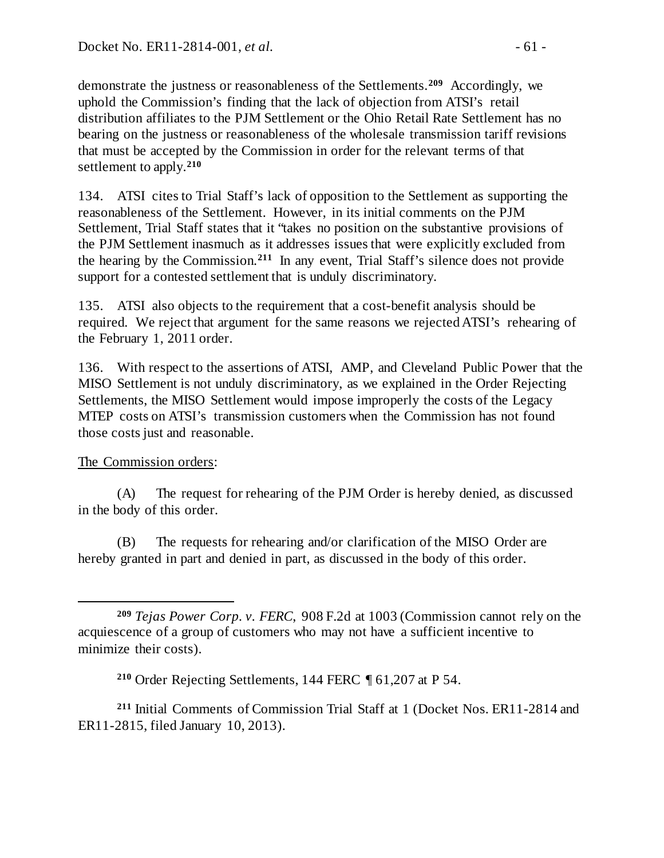demonstrate the justness or reasonableness of the Settlements.**[209](#page-60-0)** Accordingly, we uphold the Commission's finding that the lack of objection from ATSI's retail distribution affiliates to the PJM Settlement or the Ohio Retail Rate Settlement has no bearing on the justness or reasonableness of the wholesale transmission tariff revisions that must be accepted by the Commission in order for the relevant terms of that settlement to apply.**[210](#page-60-1)**

134. ATSI cites to Trial Staff's lack of opposition to the Settlement as supporting the reasonableness of the Settlement. However, in its initial comments on the PJM Settlement, Trial Staff states that it "takes no position on the substantive provisions of the PJM Settlement inasmuch as it addresses issues that were explicitly excluded from the hearing by the Commission.**[211](#page-60-2)** In any event, Trial Staff's silence does not provide support for a contested settlement that is unduly discriminatory.

135. ATSI also objects to the requirement that a cost-benefit analysis should be required. We reject that argument for the same reasons we rejected ATSI's rehearing of the February 1, 2011 order.

136. With respect to the assertions of ATSI, AMP, and Cleveland Public Power that the MISO Settlement is not unduly discriminatory, as we explained in the Order Rejecting Settlements, the MISO Settlement would impose improperly the costs of the Legacy MTEP costs on ATSI's transmission customers when the Commission has not found those costs just and reasonable.

## The Commission orders:

(A) The request for rehearing of the PJM Order is hereby denied, as discussed in the body of this order.

(B) The requests for rehearing and/or clarification of the MISO Order are hereby granted in part and denied in part, as discussed in the body of this order.

<span id="page-60-2"></span><span id="page-60-1"></span>**<sup>211</sup>** Initial Comments of Commission Trial Staff at 1 (Docket Nos. ER11-2814 and ER11-2815, filed January 10, 2013).

<span id="page-60-0"></span> $\overline{a}$ **<sup>209</sup>** *Tejas Power Corp. v. FERC*, 908 F.2d at 1003 (Commission cannot rely on the acquiescence of a group of customers who may not have a sufficient incentive to minimize their costs).

**<sup>210</sup>** Order Rejecting Settlements, 144 FERC ¶ 61,207 at P 54.